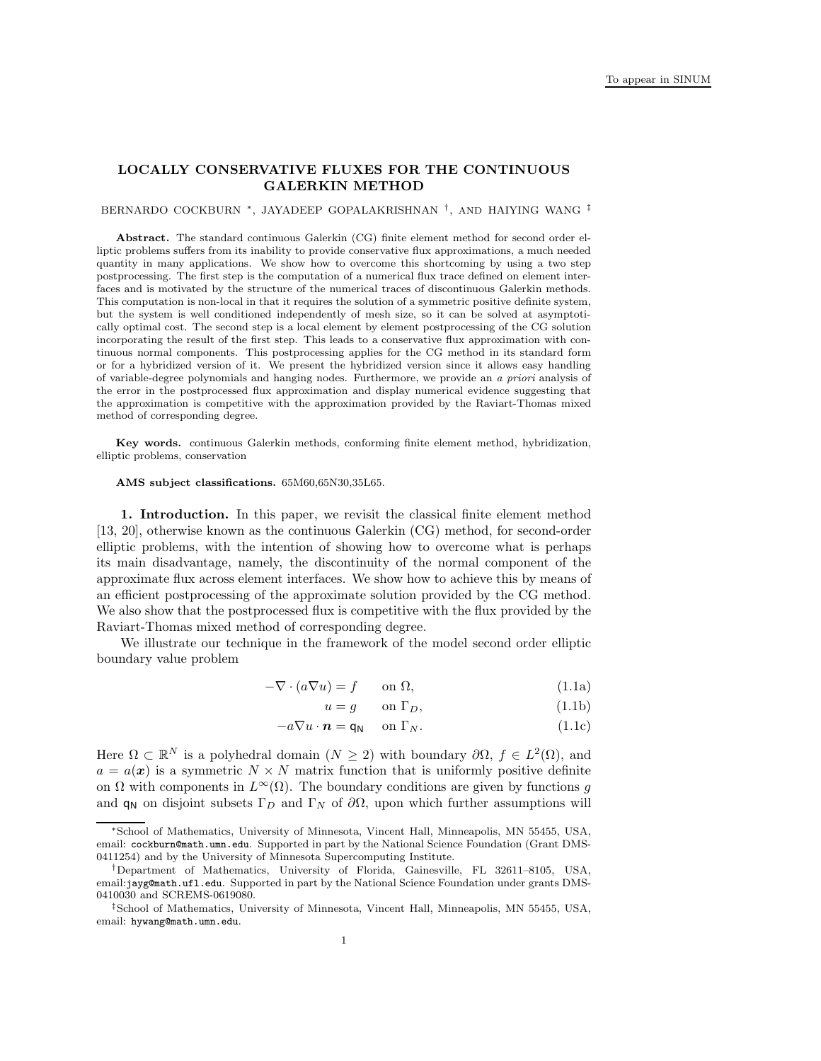# LOCALLY CONSERVATIVE FLUXES FOR THE CONTINUOUS GALERKIN METHOD

#### BERNARDO COCKBURN \*, JAYADEEP GOPALAKRISHNAN <sup>†</sup>, AND HAIYING WANG <sup>‡</sup>

Abstract. The standard continuous Galerkin (CG) finite element method for second order elliptic problems suffers from its inability to provide conservative flux approximations, a much needed quantity in many applications. We show how to overcome this shortcoming by using a two step postprocessing. The first step is the computation of a numerical flux trace defined on element interfaces and is motivated by the structure of the numerical traces of discontinuous Galerkin methods. This computation is non-local in that it requires the solution of a symmetric positive definite system, but the system is well conditioned independently of mesh size, so it can be solved at asymptotically optimal cost. The second step is a local element by element postprocessing of the CG solution incorporating the result of the first step. This leads to a conservative flux approximation with continuous normal components. This postprocessing applies for the CG method in its standard form or for a hybridized version of it. We present the hybridized version since it allows easy handling of variable-degree polynomials and hanging nodes. Furthermore, we provide an a priori analysis of the error in the postprocessed flux approximation and display numerical evidence suggesting that the approximation is competitive with the approximation provided by the Raviart-Thomas mixed method of corresponding degree.

Key words. continuous Galerkin methods, conforming finite element method, hybridization, elliptic problems, conservation

#### AMS subject classifications. 65M60,65N30,35L65.

1. Introduction. In this paper, we revisit the classical finite element method [13, 20], otherwise known as the continuous Galerkin (CG) method, for second-order elliptic problems, with the intention of showing how to overcome what is perhaps its main disadvantage, namely, the discontinuity of the normal component of the approximate flux across element interfaces. We show how to achieve this by means of an efficient postprocessing of the approximate solution provided by the CG method. We also show that the postprocessed flux is competitive with the flux provided by the Raviart-Thomas mixed method of corresponding degree.

We illustrate our technique in the framework of the model second order elliptic boundary value problem

$$
-\nabla \cdot (a\nabla u) = f \qquad \text{on } \Omega,
$$
\n(1.1a)

$$
u = g \qquad \text{on } \Gamma_D,\tag{1.1b}
$$

$$
-a\nabla u \cdot \mathbf{n} = \mathsf{q}_N \quad \text{on } \Gamma_N. \tag{1.1c}
$$

Here  $\Omega \subset \mathbb{R}^N$  is a polyhedral domain  $(N \geq 2)$  with boundary  $\partial \Omega, f \in L^2(\Omega)$ , and  $a = a(x)$  is a symmetric  $N \times N$  matrix function that is uniformly positive definite on  $\Omega$  with components in  $L^{\infty}(\Omega)$ . The boundary conditions are given by functions g and  $q_N$  on disjoint subsets  $\Gamma_D$  and  $\Gamma_N$  of  $\partial\Omega$ , upon which further assumptions will

<sup>∗</sup>School of Mathematics, University of Minnesota, Vincent Hall, Minneapolis, MN 55455, USA, email: cockburn@math.umn.edu. Supported in part by the National Science Foundation (Grant DMS-0411254) and by the University of Minnesota Supercomputing Institute.

<sup>†</sup>Department of Mathematics, University of Florida, Gainesville, FL 32611–8105, USA, email:jayg@math.ufl.edu. Supported in part by the National Science Foundation under grants DMS-0410030 and SCREMS-0619080.

<sup>‡</sup>School of Mathematics, University of Minnesota, Vincent Hall, Minneapolis, MN 55455, USA, email: hywang@math.umn.edu.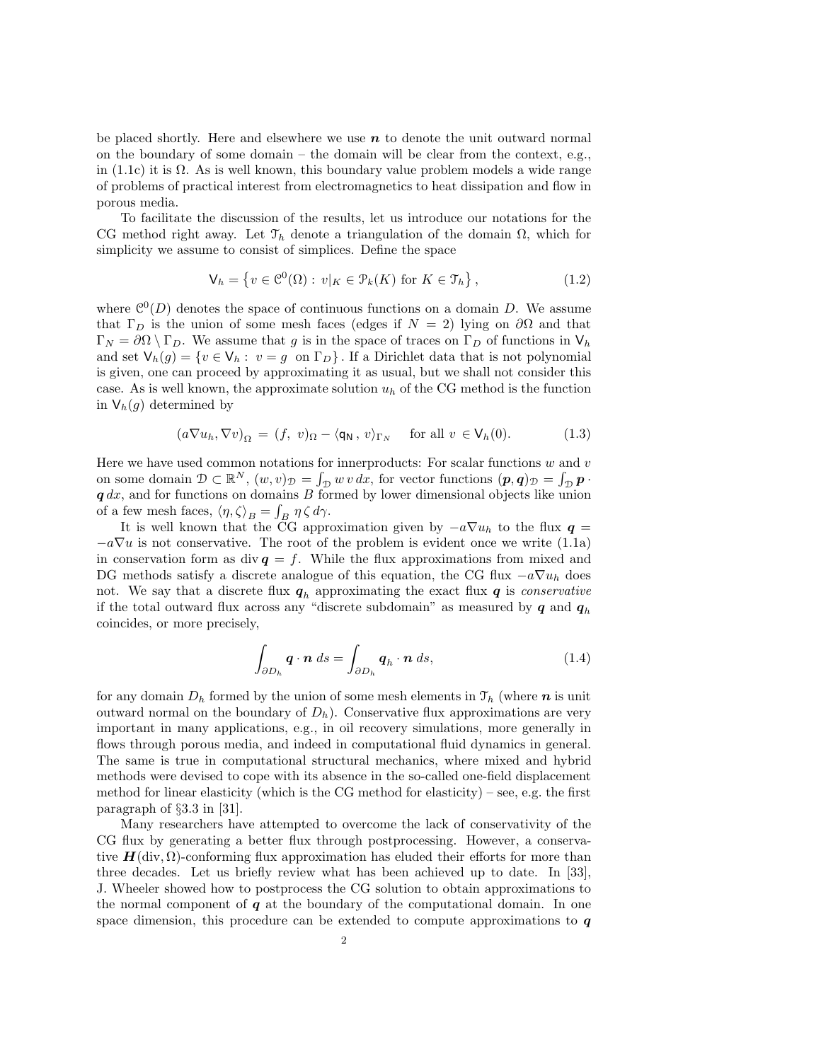be placed shortly. Here and elsewhere we use  $n$  to denote the unit outward normal on the boundary of some domain – the domain will be clear from the context, e.g., in (1.1c) it is  $\Omega$ . As is well known, this boundary value problem models a wide range of problems of practical interest from electromagnetics to heat dissipation and flow in porous media.

To facilitate the discussion of the results, let us introduce our notations for the CG method right away. Let  $\mathcal{T}_h$  denote a triangulation of the domain  $\Omega$ , which for simplicity we assume to consist of simplices. Define the space

$$
\mathsf{V}_h = \left\{ v \in \mathcal{C}^0(\Omega) : v|_K \in \mathcal{P}_k(K) \text{ for } K \in \mathcal{T}_h \right\},\tag{1.2}
$$

where  $\mathcal{C}^0(D)$  denotes the space of continuous functions on a domain D. We assume that  $\Gamma_D$  is the union of some mesh faces (edges if  $N = 2$ ) lying on  $\partial\Omega$  and that  $\Gamma_N = \partial \Omega \setminus \Gamma_D$ . We assume that g is in the space of traces on  $\Gamma_D$  of functions in  $V_h$ and set  $\mathsf{V}_h(g) = \{v \in \mathsf{V}_h : v = g \text{ on } \Gamma_D\}$ . If a Dirichlet data that is not polynomial is given, one can proceed by approximating it as usual, but we shall not consider this case. As is well known, the approximate solution  $u<sub>h</sub>$  of the CG method is the function in  $\mathsf{V}_h(g)$  determined by

$$
(a\nabla u_h, \nabla v)_{\Omega} = (f, v)_{\Omega} - \langle \mathsf{q}_\mathsf{N}, v \rangle_{\Gamma_N} \quad \text{for all } v \in \mathsf{V}_h(0). \tag{1.3}
$$

Here we have used common notations for innerproducts: For scalar functions  $w$  and  $v$ on some domain  $\mathcal{D} \subset \mathbb{R}^N$ ,  $(w, v)_{\mathcal{D}} = \int_{\mathcal{D}} w v \, dx$ , for vector functions  $(p, q)_{\mathcal{D}} = \int_{\mathcal{D}} p \cdot$  $q dx$ , and for functions on domains B formed by lower dimensional objects like union of a few mesh faces,  $\langle \eta, \zeta \rangle_B = \int_B \eta \zeta \, d\gamma$ .

It is well known that the CG approximation given by  $-a\nabla u_h$  to the flux  $q =$  $-a\nabla u$  is not conservative. The root of the problem is evident once we write (1.1a) in conservation form as div  $q = f$ . While the flux approximations from mixed and DG methods satisfy a discrete analogue of this equation, the CG flux  $-a\nabla u_h$  does not. We say that a discrete flux  $q_h$  approximating the exact flux  $q$  is *conservative* if the total outward flux across any "discrete subdomain" as measured by  $q$  and  $q_h$ coincides, or more precisely,

$$
\int_{\partial D_h} \mathbf{q} \cdot \mathbf{n} \, ds = \int_{\partial D_h} \mathbf{q}_h \cdot \mathbf{n} \, ds,\tag{1.4}
$$

for any domain  $D_h$  formed by the union of some mesh elements in  $\mathcal{T}_h$  (where n is unit outward normal on the boundary of  $D_h$ ). Conservative flux approximations are very important in many applications, e.g., in oil recovery simulations, more generally in flows through porous media, and indeed in computational fluid dynamics in general. The same is true in computational structural mechanics, where mixed and hybrid methods were devised to cope with its absence in the so-called one-field displacement method for linear elasticity (which is the CG method for elasticity) – see, e.g. the first paragraph of §3.3 in [31].

Many researchers have attempted to overcome the lack of conservativity of the CG flux by generating a better flux through postprocessing. However, a conservative  $H(\text{div}, \Omega)$ -conforming flux approximation has eluded their efforts for more than three decades. Let us briefly review what has been achieved up to date. In [33], J. Wheeler showed how to postprocess the CG solution to obtain approximations to the normal component of  $q$  at the boundary of the computational domain. In one space dimension, this procedure can be extended to compute approximations to  $q$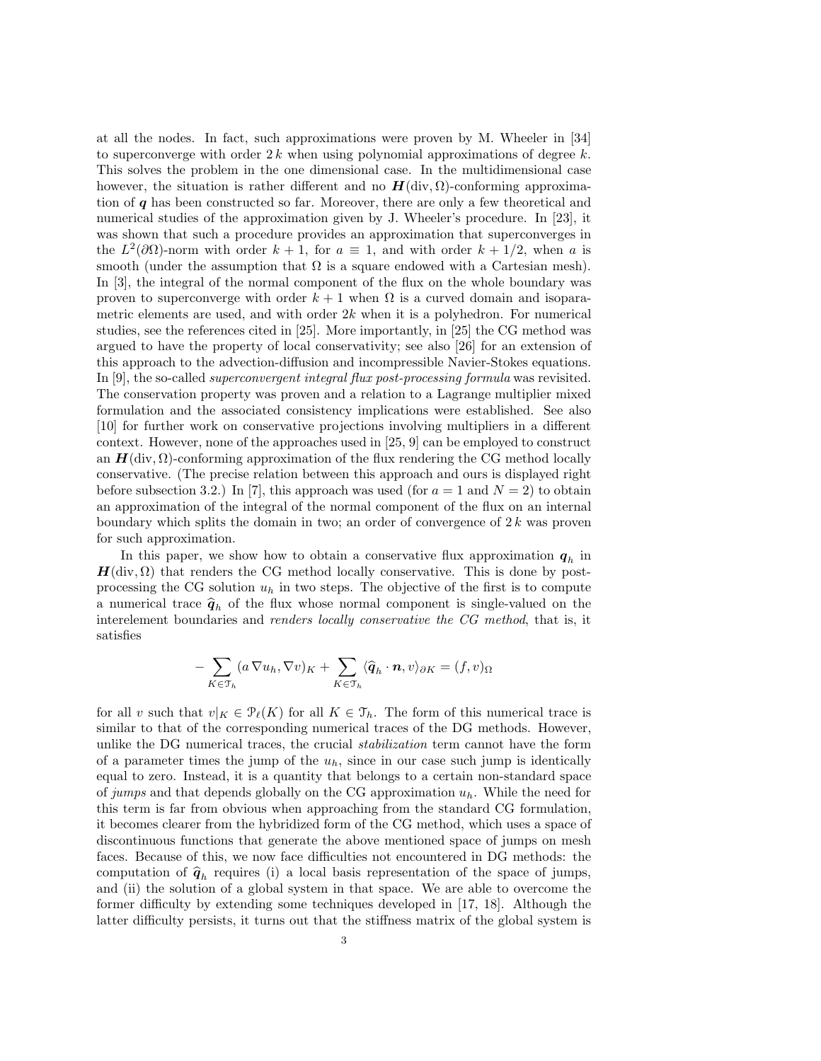at all the nodes. In fact, such approximations were proven by M. Wheeler in [34] to superconverge with order  $2k$  when using polynomial approximations of degree k. This solves the problem in the one dimensional case. In the multidimensional case however, the situation is rather different and no  $H(\text{div}, \Omega)$ -conforming approximation of q has been constructed so far. Moreover, there are only a few theoretical and numerical studies of the approximation given by J. Wheeler's procedure. In [23], it was shown that such a procedure provides an approximation that superconverges in the  $L^2(\partial\Omega)$ -norm with order  $k+1$ , for  $a \equiv 1$ , and with order  $k+1/2$ , when a is smooth (under the assumption that  $\Omega$  is a square endowed with a Cartesian mesh). In [3], the integral of the normal component of the flux on the whole boundary was proven to superconverge with order  $k + 1$  when  $\Omega$  is a curved domain and isoparametric elements are used, and with order  $2k$  when it is a polyhedron. For numerical studies, see the references cited in [25]. More importantly, in [25] the CG method was argued to have the property of local conservativity; see also [26] for an extension of this approach to the advection-diffusion and incompressible Navier-Stokes equations. In [9], the so-called superconvergent integral flux post-processing formula was revisited. The conservation property was proven and a relation to a Lagrange multiplier mixed formulation and the associated consistency implications were established. See also [10] for further work on conservative projections involving multipliers in a different context. However, none of the approaches used in [25, 9] can be employed to construct an  $H(\text{div}, \Omega)$ -conforming approximation of the flux rendering the CG method locally conservative. (The precise relation between this approach and ours is displayed right before subsection 3.2.) In [7], this approach was used (for  $a = 1$  and  $N = 2$ ) to obtain an approximation of the integral of the normal component of the flux on an internal boundary which splits the domain in two; an order of convergence of  $2k$  was proven for such approximation.

In this paper, we show how to obtain a conservative flux approximation  $q_h$  in  $H(\text{div}, \Omega)$  that renders the CG method locally conservative. This is done by postprocessing the CG solution  $u_h$  in two steps. The objective of the first is to compute a numerical trace  $\hat{q}_h$  of the flux whose normal component is single-valued on the interelement boundaries and renders locally conservative the CG method, that is, it satisfies

$$
-\sum_{K\in\mathcal{T}_h} (a\,\nabla u_h, \nabla v)_K + \sum_{K\in\mathcal{T}_h} \langle \widehat{\boldsymbol{q}}_h \cdot \boldsymbol{n}, v \rangle_{\partial K} = (f, v)_{\Omega}
$$

for all v such that  $v|_K \in \mathcal{P}_{\ell}(K)$  for all  $K \in \mathcal{T}_h$ . The form of this numerical trace is similar to that of the corresponding numerical traces of the DG methods. However, unlike the DG numerical traces, the crucial stabilization term cannot have the form of a parameter times the jump of the  $u_h$ , since in our case such jump is identically equal to zero. Instead, it is a quantity that belongs to a certain non-standard space of jumps and that depends globally on the CG approximation  $u_h$ . While the need for this term is far from obvious when approaching from the standard CG formulation, it becomes clearer from the hybridized form of the CG method, which uses a space of discontinuous functions that generate the above mentioned space of jumps on mesh faces. Because of this, we now face difficulties not encountered in DG methods: the computation of  $\hat{q}_h$  requires (i) a local basis representation of the space of jumps, and (ii) the solution of a global system in that space. We are able to overcome the former difficulty by extending some techniques developed in [17, 18]. Although the latter difficulty persists, it turns out that the stiffness matrix of the global system is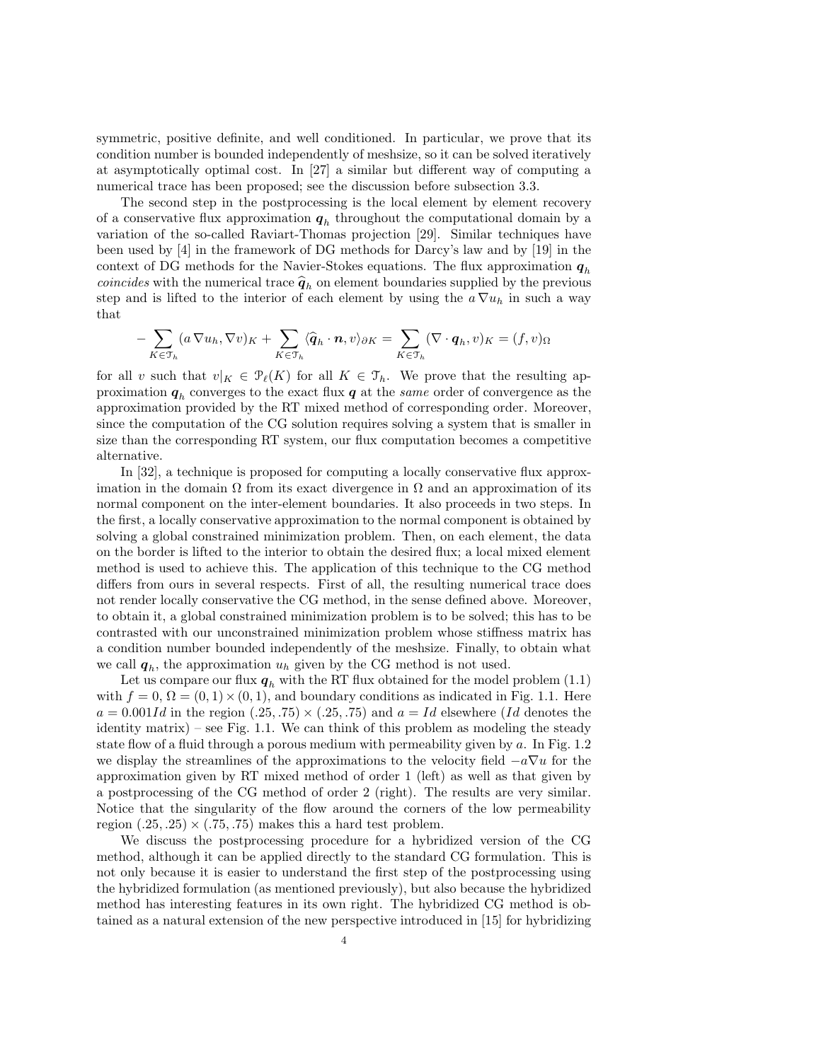symmetric, positive definite, and well conditioned. In particular, we prove that its condition number is bounded independently of meshsize, so it can be solved iteratively at asymptotically optimal cost. In [27] a similar but different way of computing a numerical trace has been proposed; see the discussion before subsection 3.3.

The second step in the postprocessing is the local element by element recovery of a conservative flux approximation  $q_h$  throughout the computational domain by a variation of the so-called Raviart-Thomas projection [29]. Similar techniques have been used by [4] in the framework of DG methods for Darcy's law and by [19] in the context of DG methods for the Navier-Stokes equations. The flux approximation  $q_h$ *coincides* with the numerical trace  $\hat{q}_h$  on element boundaries supplied by the previous step and is lifted to the interior of each element by using the  $a \nabla u_h$  in such a way that

$$
-\sum_{K\in\mathcal{T}_h} (a\nabla u_h, \nabla v)_K + \sum_{K\in\mathcal{T}_h} \langle \widehat{\boldsymbol{q}}_h \cdot \boldsymbol{n}, v \rangle_{\partial K} = \sum_{K\in\mathcal{T}_h} (\nabla \cdot \boldsymbol{q}_h, v)_K = (f, v)_\Omega
$$

for all v such that  $v|_K \in \mathcal{P}_{\ell}(K)$  for all  $K \in \mathcal{T}_h$ . We prove that the resulting approximation  $q_h$  converges to the exact flux  $q$  at the *same* order of convergence as the approximation provided by the RT mixed method of corresponding order. Moreover, since the computation of the CG solution requires solving a system that is smaller in size than the corresponding RT system, our flux computation becomes a competitive alternative.

In [32], a technique is proposed for computing a locally conservative flux approximation in the domain  $\Omega$  from its exact divergence in  $\Omega$  and an approximation of its normal component on the inter-element boundaries. It also proceeds in two steps. In the first, a locally conservative approximation to the normal component is obtained by solving a global constrained minimization problem. Then, on each element, the data on the border is lifted to the interior to obtain the desired flux; a local mixed element method is used to achieve this. The application of this technique to the CG method differs from ours in several respects. First of all, the resulting numerical trace does not render locally conservative the CG method, in the sense defined above. Moreover, to obtain it, a global constrained minimization problem is to be solved; this has to be contrasted with our unconstrained minimization problem whose stiffness matrix has a condition number bounded independently of the meshsize. Finally, to obtain what we call  $q_h$ , the approximation  $u_h$  given by the CG method is not used.

Let us compare our flux  $q_h$  with the RT flux obtained for the model problem (1.1) with  $f = 0$ ,  $\Omega = (0, 1) \times (0, 1)$ , and boundary conditions as indicated in Fig. 1.1. Here  $a = 0.001Id$  in the region  $(.25, .75) \times (.25, .75)$  and  $a = Id$  elsewhere (Id denotes the identity matrix) – see Fig. 1.1. We can think of this problem as modeling the steady state flow of a fluid through a porous medium with permeability given by  $a$ . In Fig. 1.2 we display the streamlines of the approximations to the velocity field  $-a\nabla u$  for the approximation given by RT mixed method of order 1 (left) as well as that given by a postprocessing of the CG method of order 2 (right). The results are very similar. Notice that the singularity of the flow around the corners of the low permeability region  $(.25, .25) \times (.75, .75)$  makes this a hard test problem.

We discuss the postprocessing procedure for a hybridized version of the CG method, although it can be applied directly to the standard CG formulation. This is not only because it is easier to understand the first step of the postprocessing using the hybridized formulation (as mentioned previously), but also because the hybridized method has interesting features in its own right. The hybridized CG method is obtained as a natural extension of the new perspective introduced in [15] for hybridizing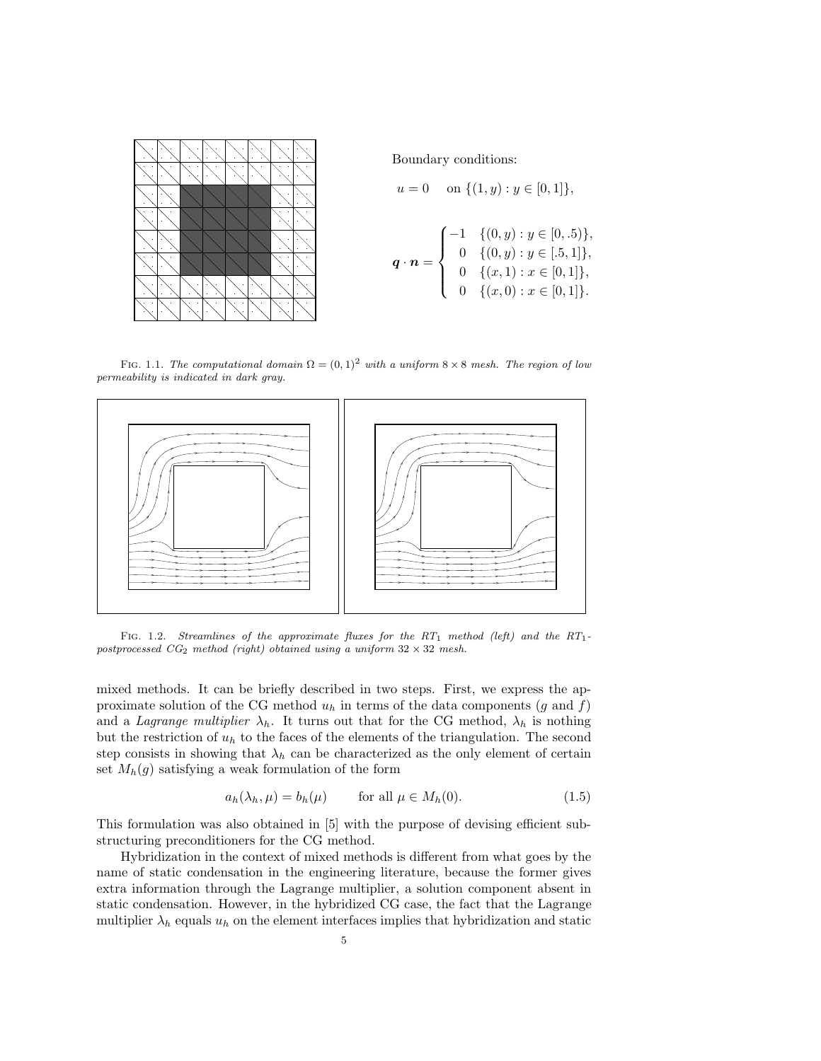

Boundary conditions:

$$
u = 0 \quad \text{on } \{(1, y) : y \in [0, 1]\},
$$

$$
\mathbf{q} \cdot \mathbf{n} = \begin{cases} -1 & \{(0, y) : y \in [0, .5)\}, \\ 0 & \{(0, y) : y \in [.5, 1]\}, \\ 0 & \{(x, 1) : x \in [0, 1]\}, \\ 0 & \{(x, 0) : x \in [0, 1]\}. \end{cases}
$$

FIG. 1.1. The computational domain  $\Omega = (0, 1)^2$  with a uniform  $8 \times 8$  mesh. The region of low permeability is indicated in dark gray.



FIG. 1.2. Streamlines of the approximate fluxes for the RT<sub>1</sub> method (left) and the RT<sub>1</sub>postprocessed  $CG_2$  method (right) obtained using a uniform  $32 \times 32$  mesh.

mixed methods. It can be briefly described in two steps. First, we express the approximate solution of the CG method  $u_h$  in terms of the data components (g and f) and a Lagrange multiplier  $\lambda_h$ . It turns out that for the CG method,  $\lambda_h$  is nothing but the restriction of  $u<sub>h</sub>$  to the faces of the elements of the triangulation. The second step consists in showing that  $\lambda_h$  can be characterized as the only element of certain set  $M_h(g)$  satisfying a weak formulation of the form

$$
a_h(\lambda_h, \mu) = b_h(\mu) \qquad \text{for all } \mu \in M_h(0). \tag{1.5}
$$

This formulation was also obtained in [5] with the purpose of devising efficient substructuring preconditioners for the CG method.

Hybridization in the context of mixed methods is different from what goes by the name of static condensation in the engineering literature, because the former gives extra information through the Lagrange multiplier, a solution component absent in static condensation. However, in the hybridized CG case, the fact that the Lagrange multiplier  $\lambda_h$  equals  $u_h$  on the element interfaces implies that hybridization and static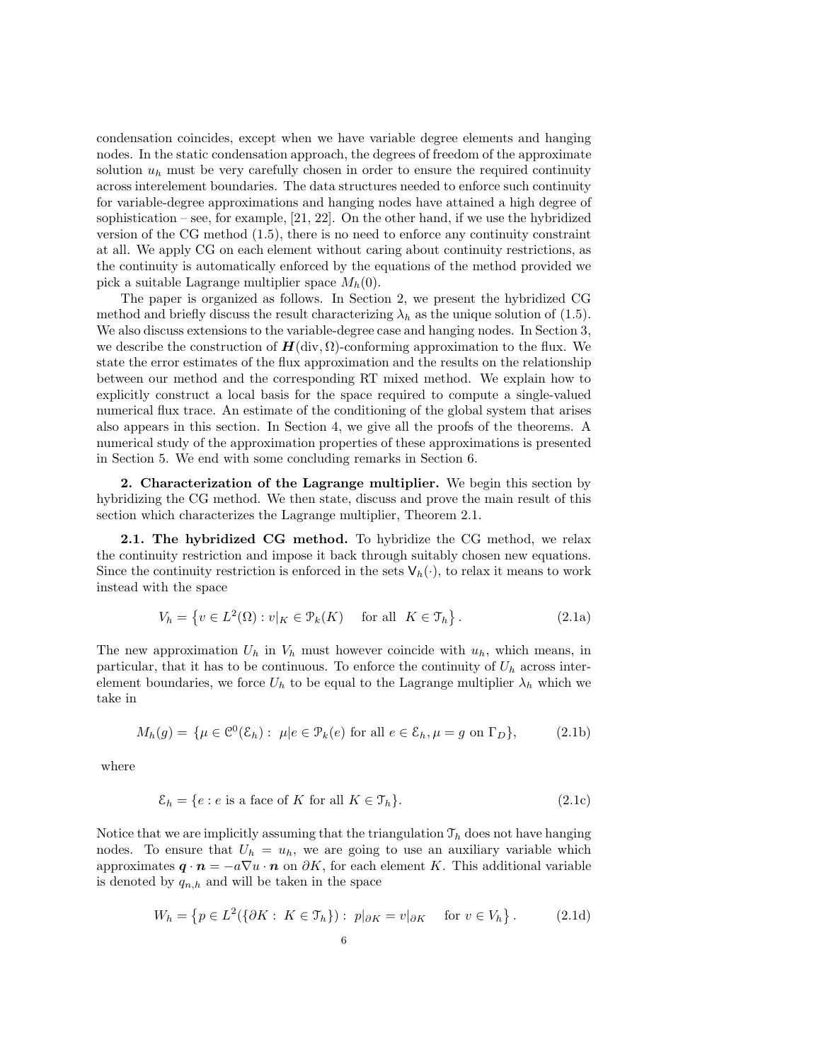condensation coincides, except when we have variable degree elements and hanging nodes. In the static condensation approach, the degrees of freedom of the approximate solution  $u_h$  must be very carefully chosen in order to ensure the required continuity across interelement boundaries. The data structures needed to enforce such continuity for variable-degree approximations and hanging nodes have attained a high degree of sophistication – see, for example,  $[21, 22]$ . On the other hand, if we use the hybridized version of the CG method (1.5), there is no need to enforce any continuity constraint at all. We apply CG on each element without caring about continuity restrictions, as the continuity is automatically enforced by the equations of the method provided we pick a suitable Lagrange multiplier space  $M_h(0)$ .

The paper is organized as follows. In Section 2, we present the hybridized CG method and briefly discuss the result characterizing  $\lambda_h$  as the unique solution of (1.5). We also discuss extensions to the variable-degree case and hanging nodes. In Section 3, we describe the construction of  $H(\text{div}, \Omega)$ -conforming approximation to the flux. We state the error estimates of the flux approximation and the results on the relationship between our method and the corresponding RT mixed method. We explain how to explicitly construct a local basis for the space required to compute a single-valued numerical flux trace. An estimate of the conditioning of the global system that arises also appears in this section. In Section 4, we give all the proofs of the theorems. A numerical study of the approximation properties of these approximations is presented in Section 5. We end with some concluding remarks in Section 6.

2. Characterization of the Lagrange multiplier. We begin this section by hybridizing the CG method. We then state, discuss and prove the main result of this section which characterizes the Lagrange multiplier, Theorem 2.1.

2.1. The hybridized CG method. To hybridize the CG method, we relax the continuity restriction and impose it back through suitably chosen new equations. Since the continuity restriction is enforced in the sets  $V_h(\cdot)$ , to relax it means to work instead with the space

$$
V_h = \left\{ v \in L^2(\Omega) : v|_K \in \mathcal{P}_k(K) \quad \text{ for all } K \in \mathcal{T}_h \right\}.
$$
 (2.1a)

The new approximation  $U_h$  in  $V_h$  must however coincide with  $u_h$ , which means, in particular, that it has to be continuous. To enforce the continuity of  $U_h$  across interelement boundaries, we force  $U_h$  to be equal to the Lagrange multiplier  $\lambda_h$  which we take in

$$
M_h(g) = \{ \mu \in \mathcal{C}^0(\mathcal{E}_h) : \mu | e \in \mathcal{P}_k(e) \text{ for all } e \in \mathcal{E}_h, \mu = g \text{ on } \Gamma_D \},\tag{2.1b}
$$

where

$$
\mathcal{E}_h = \{ e : e \text{ is a face of } K \text{ for all } K \in \mathcal{T}_h \}. \tag{2.1c}
$$

Notice that we are implicitly assuming that the triangulation  $\mathcal{T}_h$  does not have hanging nodes. To ensure that  $U_h = u_h$ , we are going to use an auxiliary variable which approximates  $\mathbf{q} \cdot \mathbf{n} = -a\nabla u \cdot \mathbf{n}$  on  $\partial K$ , for each element K. This additional variable is denoted by  $q_{n,h}$  and will be taken in the space

$$
W_h = \left\{ p \in L^2(\{\partial K : K \in \mathcal{T}_h\}) : p|_{\partial K} = v|_{\partial K} \quad \text{for } v \in V_h \right\}.
$$
 (2.1d)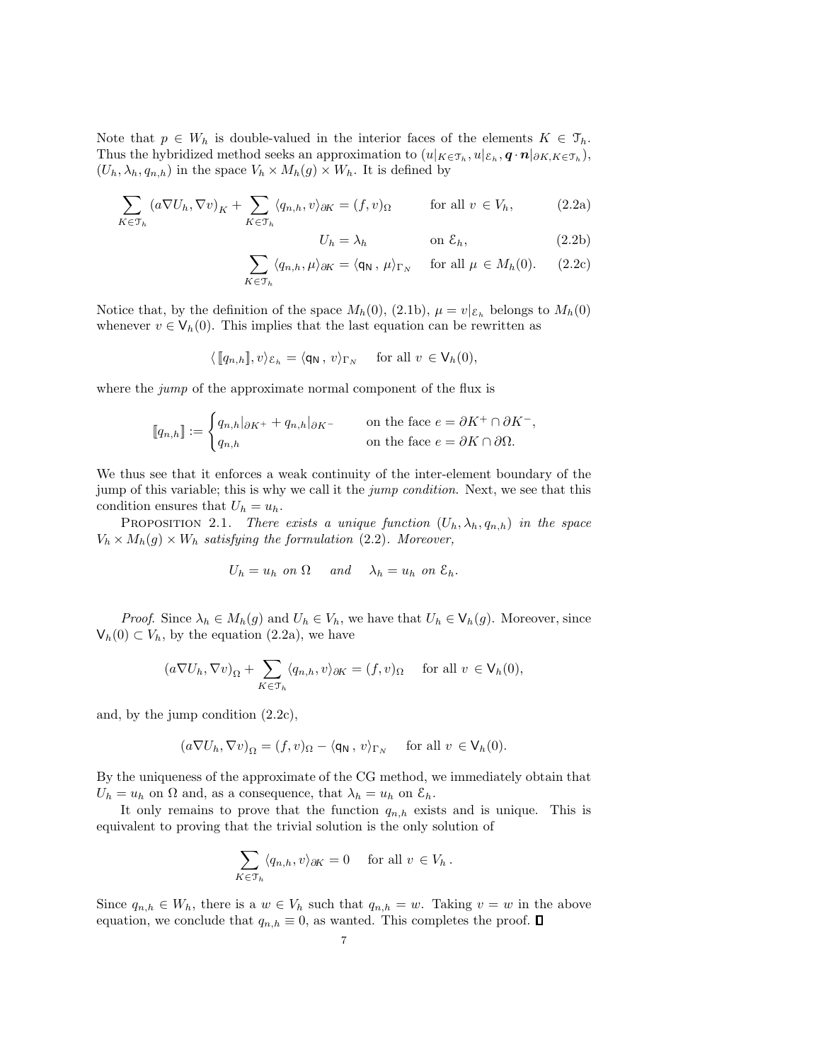Note that  $p \in W_h$  is double-valued in the interior faces of the elements  $K \in \mathcal{T}_h$ . Thus the hybridized method seeks an approximation to  $(u|_{K \in \mathcal{T}_h}, u|_{\mathcal{E}_h}, \mathbf{q} \cdot \mathbf{n}|_{\partial K, K \in \mathcal{T}_h}),$  $(U_h, \lambda_h, q_{n,h})$  in the space  $V_h \times M_h(g) \times W_h$ . It is defined by

$$
\sum_{K \in \mathcal{T}_h} \left( a \nabla U_h, \nabla v \right)_K + \sum_{K \in \mathcal{T}_h} \langle q_{n,h}, v \rangle_{\partial K} = (f, v)_{\Omega} \quad \text{for all } v \in V_h,
$$
 (2.2a)

$$
U_h = \lambda_h \qquad \text{on } \mathcal{E}_h,\tag{2.2b}
$$

$$
\sum_{K \in \mathcal{T}_h} \langle q_{n,h}, \mu \rangle_{\partial K} = \langle \mathsf{q}_{\mathsf{N}}, \mu \rangle_{\Gamma_N} \quad \text{for all } \mu \in M_h(0). \tag{2.2c}
$$

Notice that, by the definition of the space  $M_h(0)$ , (2.1b),  $\mu = v|_{\mathcal{E}_h}$  belongs to  $M_h(0)$ whenever  $v \in V_h(0)$ . This implies that the last equation can be rewritten as

$$
\langle [\![q_{n,h}]\!], v \rangle_{\mathcal{E}_h} = \langle \mathsf{q}_{\mathsf{N}} \, , \, v \rangle_{\Gamma_N} \quad \text{ for all } v \in \mathsf{V}_h(0),
$$

where the *jump* of the approximate normal component of the flux is

$$
\llbracket q_{n,h} \rrbracket := \begin{cases} q_{n,h} |_{\partial K^+} + q_{n,h} |_{\partial K^-} & \text{on the face } e = \partial K^+ \cap \partial K^-, \\ q_{n,h} & \text{on the face } e = \partial K \cap \partial \Omega. \end{cases}
$$

We thus see that it enforces a weak continuity of the inter-element boundary of the jump of this variable; this is why we call it the *jump condition*. Next, we see that this condition ensures that  $U_h = u_h$ .

PROPOSITION 2.1. There exists a unique function  $(U_h, \lambda_h, q_{n,h})$  in the space  $V_h \times M_h(g) \times W_h$  satisfying the formulation (2.2). Moreover,

$$
U_h = u_h \text{ on } \Omega \quad \text{ and } \quad \lambda_h = u_h \text{ on } \mathcal{E}_h.
$$

*Proof.* Since  $\lambda_h \in M_h(g)$  and  $U_h \in V_h$ , we have that  $U_h \in V_h(g)$ . Moreover, since  $V_h(0) \subset V_h$ , by the equation (2.2a), we have

$$
(a\nabla U_h, \nabla v)_{\Omega} + \sum_{K \in \mathcal{T}_h} \langle q_{n,h}, v \rangle_{\partial K} = (f, v)_{\Omega} \quad \text{ for all } v \in \mathsf{V}_h(0),
$$

and, by the jump condition (2.2c),

$$
(a\nabla U_h, \nabla v)_{\Omega} = (f, v)_{\Omega} - \langle \mathsf{q}_\mathsf{N}, v \rangle_{\Gamma_N} \quad \text{ for all } v \in \mathsf{V}_h(0).
$$

By the uniqueness of the approximate of the CG method, we immediately obtain that  $U_h = u_h$  on  $\Omega$  and, as a consequence, that  $\lambda_h = u_h$  on  $\mathcal{E}_h$ .

It only remains to prove that the function  $q_{n,h}$  exists and is unique. This is equivalent to proving that the trivial solution is the only solution of

$$
\sum_{K\in\mathfrak{T}_h} \langle q_{n,h}, v \rangle_{\partial K} = 0 \quad \text{ for all } v \in V_h.
$$

Since  $q_{n,h} \in W_h$ , there is a  $w \in V_h$  such that  $q_{n,h} = w$ . Taking  $v = w$  in the above equation, we conclude that  $q_{n,h} \equiv 0$ , as wanted. This completes the proof.  $\square$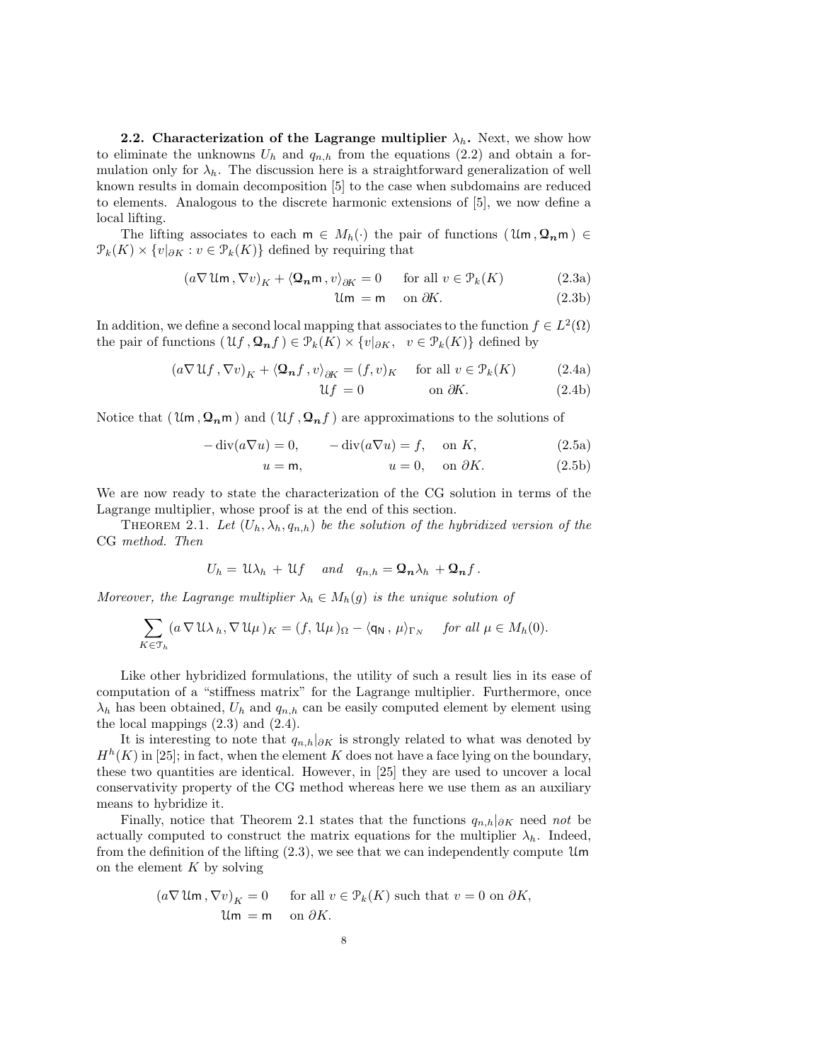**2.2.** Characterization of the Lagrange multiplier  $\lambda_h$ . Next, we show how to eliminate the unknowns  $U_h$  and  $q_{n,h}$  from the equations (2.2) and obtain a formulation only for  $\lambda_h$ . The discussion here is a straightforward generalization of well known results in domain decomposition [5] to the case when subdomains are reduced to elements. Analogous to the discrete harmonic extensions of [5], we now define a local lifting.

The lifting associates to each  $m \in M_h(\cdot)$  the pair of functions  $(\mathfrak{U}_m, \mathfrak{Q}_n m) \in$  $\mathcal{P}_k(K) \times \{v|_{\partial K} : v \in \mathcal{P}_k(K)\}\$  defined by requiring that

$$
(a\nabla \mathcal{U}\mathsf{m}\, , \nabla v)_K + \langle \mathbf{\Omega}_n \mathsf{m}\, , v \rangle_{\partial K} = 0 \qquad \text{for all } v \in \mathcal{P}_k(K) \tag{2.3a}
$$

$$
\mathfrak{Um} = \mathsf{m} \quad \text{on } \partial K. \tag{2.3b}
$$

In addition, we define a second local mapping that associates to the function  $f \in L^2(\Omega)$ the pair of functions  $(\mathfrak{U} f, \mathfrak{Q}_n f) \in \mathcal{P}_k(K) \times \{v|_{\partial K}, v \in \mathcal{P}_k(K)\}\$  defined by

$$
(a\nabla \mathcal{U}f, \nabla v)_K + \langle \mathbf{\Omega_n}f, v \rangle_{\partial K} = (f, v)_K \quad \text{ for all } v \in \mathcal{P}_k(K)
$$
 (2.4a)

$$
\mathcal{U}f = 0 \qquad \text{on } \partial K. \tag{2.4b}
$$

Notice that  $(\mathfrak{U}_m, \mathfrak{Q}_n)$  and  $(\mathfrak{U}_f, \mathfrak{Q}_n)$  are approximations to the solutions of

$$
-\operatorname{div}(a\nabla u) = 0, \qquad -\operatorname{div}(a\nabla u) = f, \quad \text{on } K,\tag{2.5a}
$$

$$
u = \mathsf{m}, \qquad u = 0, \quad \text{on } \partial K. \tag{2.5b}
$$

We are now ready to state the characterization of the CG solution in terms of the Lagrange multiplier, whose proof is at the end of this section.

THEOREM 2.1. Let  $(U_h, \lambda_h, q_{n,h})$  be the solution of the hybridized version of the CG method. Then

$$
U_h = \mathfrak{U}\lambda_h + \mathfrak{U}f \quad \text{and} \quad q_{n,h} = \mathfrak{Q}_n\lambda_h + \mathfrak{Q}_n f.
$$

Moreover, the Lagrange multiplier  $\lambda_h \in M_h(g)$  is the unique solution of

$$
\sum_{K\in\mathfrak{T}_h} (a\,\nabla\,\mathfrak{U}\lambda_h,\nabla\,\mathfrak{U}\mu\,)_K = (f,\,\mathfrak{U}\mu\,)_\Omega - \langle \mathsf{q}_\mathsf{N}\,,\,\mu \rangle_{\Gamma_N} \quad\text{ for all }\mu\in M_h(0).
$$

Like other hybridized formulations, the utility of such a result lies in its ease of computation of a "stiffness matrix" for the Lagrange multiplier. Furthermore, once  $\lambda_h$  has been obtained,  $U_h$  and  $q_{n,h}$  can be easily computed element by element using the local mappings (2.3) and (2.4).

It is interesting to note that  $q_{n,h}|_{\partial K}$  is strongly related to what was denoted by  $H<sup>h</sup>(K)$  in [25]; in fact, when the element K does not have a face lying on the boundary, these two quantities are identical. However, in [25] they are used to uncover a local conservativity property of the CG method whereas here we use them as an auxiliary means to hybridize it.

Finally, notice that Theorem 2.1 states that the functions  $q_{n,h}|_{\partial K}$  need not be actually computed to construct the matrix equations for the multiplier  $\lambda_h$ . Indeed, from the definition of the lifting  $(2.3)$ , we see that we can independently compute Um on the element  $K$  by solving

$$
(a\nabla \mathfrak{U}\mathfrak{m}, \nabla v)_K = 0
$$
 for all  $v \in \mathcal{P}_k(K)$  such that  $v = 0$  on  $\partial K$ ,  
 $\mathfrak{U}\mathfrak{m} = \mathfrak{m}$  on  $\partial K$ .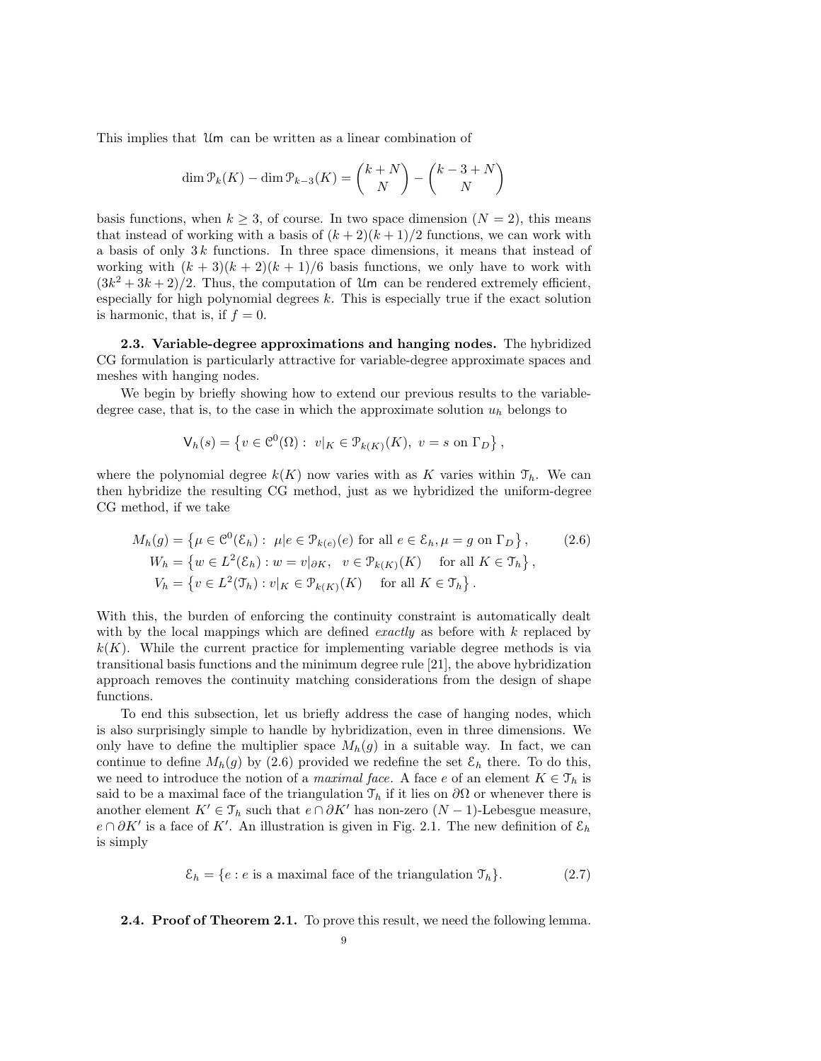This implies that Um can be written as a linear combination of

$$
\dim \mathcal{P}_k(K) - \dim \mathcal{P}_{k-3}(K) = \binom{k+N}{N} - \binom{k-3+N}{N}
$$

basis functions, when  $k \geq 3$ , of course. In two space dimension  $(N = 2)$ , this means that instead of working with a basis of  $(k+2)(k+1)/2$  functions, we can work with a basis of only  $3k$  functions. In three space dimensions, it means that instead of working with  $(k+3)(k+2)(k+1)/6$  basis functions, we only have to work with  $(3k^2+3k+2)/2$ . Thus, the computation of Um can be rendered extremely efficient, especially for high polynomial degrees  $k$ . This is especially true if the exact solution is harmonic, that is, if  $f = 0$ .

2.3. Variable-degree approximations and hanging nodes. The hybridized CG formulation is particularly attractive for variable-degree approximate spaces and meshes with hanging nodes.

We begin by briefly showing how to extend our previous results to the variabledegree case, that is, to the case in which the approximate solution  $u_h$  belongs to

$$
\mathsf{V}_h(s) = \left\{ v \in \mathcal{C}^0(\Omega) : \ v|_K \in \mathcal{P}_{k(K)}(K), \ v = s \text{ on } \Gamma_D \right\},\
$$

where the polynomial degree  $k(K)$  now varies with as K varies within  $\mathcal{T}_h$ . We can then hybridize the resulting CG method, just as we hybridized the uniform-degree CG method, if we take

$$
M_h(g) = \left\{ \mu \in \mathcal{C}^0(\mathcal{E}_h) : \mu | e \in \mathcal{P}_{k(e)}(e) \text{ for all } e \in \mathcal{E}_h, \mu = g \text{ on } \Gamma_D \right\}, \qquad (2.6)
$$
  
\n
$$
W_h = \left\{ w \in L^2(\mathcal{E}_h) : w = v|_{\partial K}, \quad v \in \mathcal{P}_{k(K)}(K) \quad \text{for all } K \in \mathcal{T}_h \right\},
$$
  
\n
$$
V_h = \left\{ v \in L^2(\mathcal{T}_h) : v|_K \in \mathcal{P}_{k(K)}(K) \quad \text{for all } K \in \mathcal{T}_h \right\}.
$$

With this, the burden of enforcing the continuity constraint is automatically dealt with by the local mappings which are defined *exactly* as before with  $k$  replaced by  $k(K)$ . While the current practice for implementing variable degree methods is via transitional basis functions and the minimum degree rule [21], the above hybridization approach removes the continuity matching considerations from the design of shape functions.

To end this subsection, let us briefly address the case of hanging nodes, which is also surprisingly simple to handle by hybridization, even in three dimensions. We only have to define the multiplier space  $M_h(g)$  in a suitable way. In fact, we can continue to define  $M_h(g)$  by (2.6) provided we redefine the set  $\mathcal{E}_h$  there. To do this, we need to introduce the notion of a *maximal face*. A face e of an element  $K \in \mathcal{T}_h$  is said to be a maximal face of the triangulation  $\mathcal{T}_h$  if it lies on  $\partial\Omega$  or whenever there is another element  $K' \in \mathcal{T}_h$  such that  $e \cap \partial K'$  has non-zero  $(N-1)$ -Lebesgue measure,  $e \cap \partial K'$  is a face of K'. An illustration is given in Fig. 2.1. The new definition of  $\mathcal{E}_h$ is simply

$$
\mathcal{E}_h = \{e : e \text{ is a maximal face of the triangulation } \mathcal{T}_h\}. \tag{2.7}
$$

## 2.4. Proof of Theorem 2.1. To prove this result, we need the following lemma.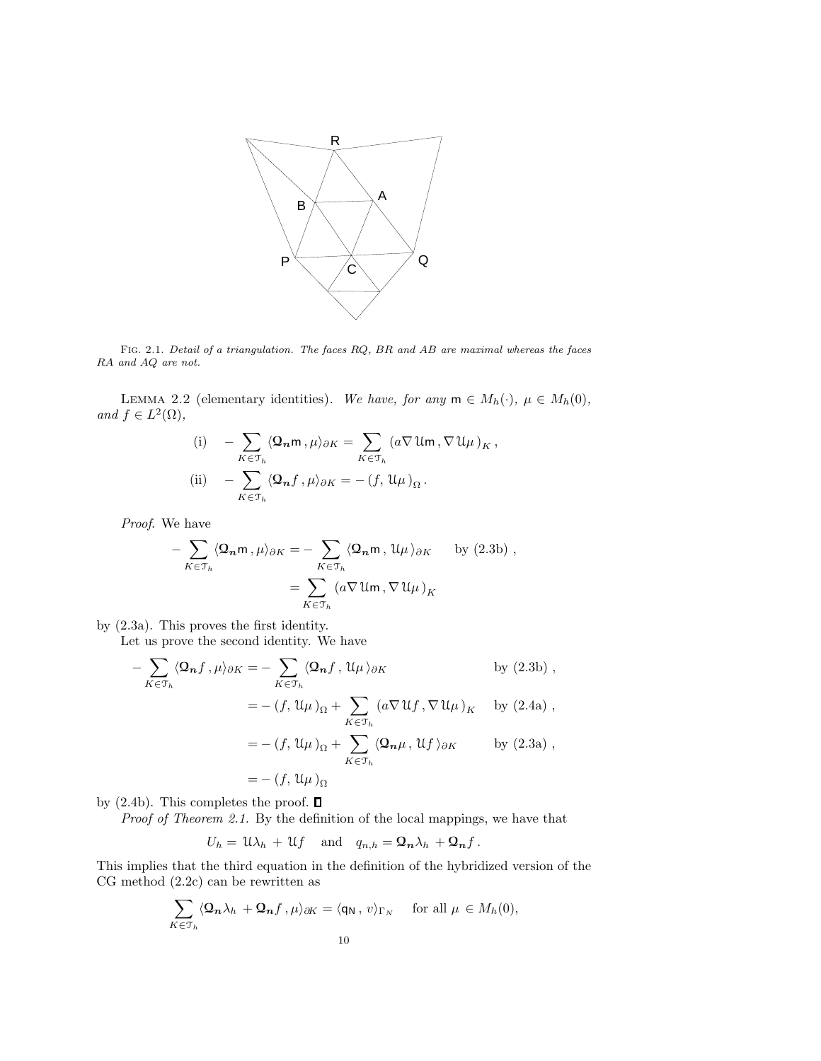

Fig. 2.1. Detail of a triangulation. The faces RQ, BR and AB are maximal whereas the faces RA and AQ are not.

LEMMA 2.2 (elementary identities). We have, for any  $m \in M_h(\cdot)$ ,  $\mu \in M_h(0)$ , and  $f \in L^2(\Omega)$ ,

(i) 
$$
-\sum_{K \in \mathcal{T}_h} \langle \mathbf{\Omega}_n \mathbf{m}, \mu \rangle_{\partial K} = \sum_{K \in \mathcal{T}_h} (a \nabla \mathfrak{U} \mathbf{m}, \nabla \mathfrak{U} \mu)_K,
$$
  
\n(ii) 
$$
-\sum_{K \in \mathcal{T}_h} \langle \mathbf{\Omega}_n f, \mu \rangle_{\partial K} = -(f, \mathfrak{U} \mu)_\Omega.
$$

Proof. We have

$$
-\sum_{K\in\mathcal{T}_h} \langle \mathbf{Q}_n \mathbf{m}, \mu \rangle_{\partial K} = -\sum_{K\in\mathcal{T}_h} \langle \mathbf{Q}_n \mathbf{m}, \mathfrak{U}\mu \rangle_{\partial K} \quad \text{by (2.3b)},
$$

$$
=\sum_{K\in\mathcal{T}_h} \left( a \nabla \mathfrak{U} \mathbf{m}, \nabla \mathfrak{U}\mu \right)_K
$$

by (2.3a). This proves the first identity.

Let us prove the second identity. We have

$$
-\sum_{K\in\mathcal{T}_h} \langle \mathbf{Q_n} f, \mu \rangle_{\partial K} = -\sum_{K\in\mathcal{T}_h} \langle \mathbf{Q_n} f, \mathcal{U}\mu \rangle_{\partial K} \qquad \text{by (2.3b)},
$$
  

$$
= -(f, \mathcal{U}\mu)_{\Omega} + \sum_{K\in\mathcal{T}_h} (a\nabla \mathcal{U} f, \nabla \mathcal{U}\mu)_K \qquad \text{by (2.4a)},
$$
  

$$
= -(f, \mathcal{U}\mu)_{\Omega} + \sum_{K\in\mathcal{T}_h} \langle \mathbf{Q_n}\mu, \mathcal{U} f \rangle_{\partial K} \qquad \text{by (2.3a)},
$$
  

$$
= -(f, \mathcal{U}\mu)_{\Omega}
$$

by (2.4b). This completes the proof.  $\square$ 

Proof of Theorem 2.1. By the definition of the local mappings, we have that

$$
U_h = \mathfrak{U}\lambda_h + \mathfrak{U}f
$$
 and  $q_{n,h} = \mathfrak{Q}_n\lambda_h + \mathfrak{Q}_n f$ .

This implies that the third equation in the definition of the hybridized version of the CG method (2.2c) can be rewritten as

$$
\sum_{K\in\mathcal{T}_h} \langle \mathbf{Q}_n \lambda_h + \mathbf{Q}_n f \, , \mu \rangle_{\partial K} = \langle \mathsf{q}_\mathsf{N} \, , \, v \rangle_{\Gamma_N} \quad \text{ for all } \mu \in M_h(0),
$$
  
10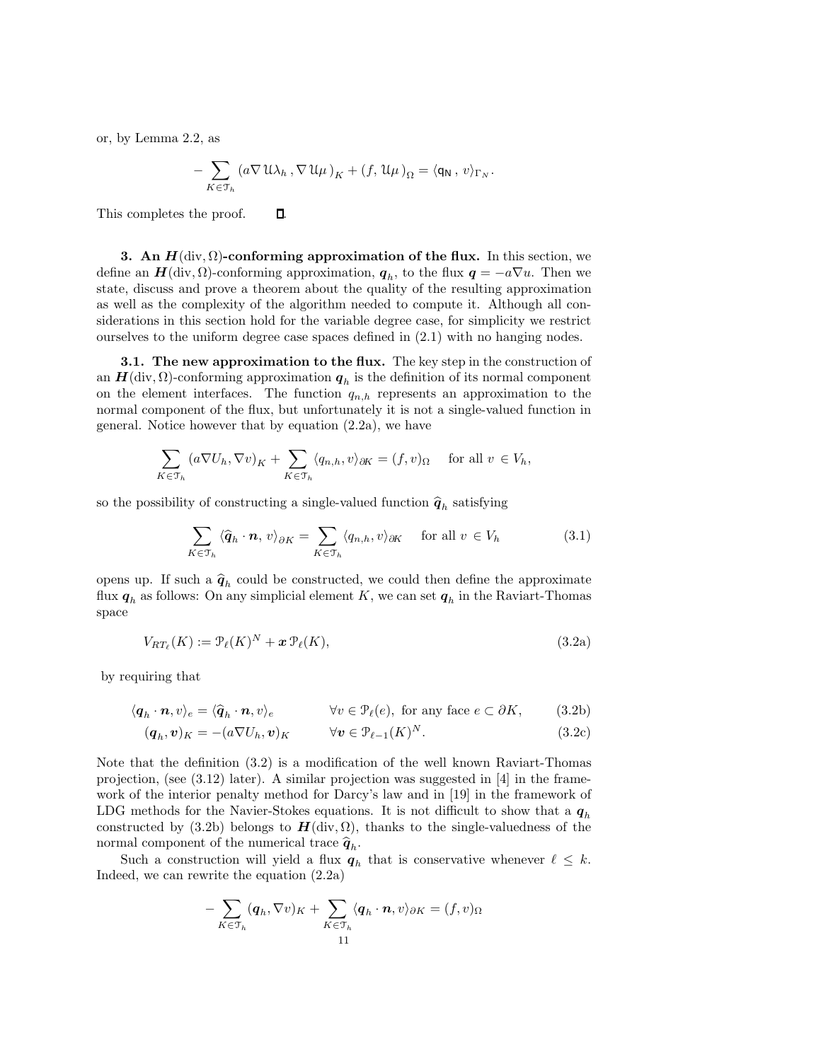or, by Lemma 2.2, as

$$
-\sum_{K\in\mathcal{T}_h}\left(a\nabla\,\mathfrak{U}\lambda_h\,,\nabla\,\mathfrak{U}\mu\,\right)_K+\left(f,\,\mathfrak{U}\mu\,\right)_{\Omega}=\langle\mathsf{q}_\mathsf{N}\,,\,v\rangle_{\Gamma_N}.
$$

This completes the proof.  $\Box$ 

3. An  $H(\text{div}, \Omega)$ -conforming approximation of the flux. In this section, we define an  $H(\text{div}, \Omega)$ -conforming approximation,  $q_h$ , to the flux  $q = -a\nabla u$ . Then we state, discuss and prove a theorem about the quality of the resulting approximation as well as the complexity of the algorithm needed to compute it. Although all considerations in this section hold for the variable degree case, for simplicity we restrict ourselves to the uniform degree case spaces defined in (2.1) with no hanging nodes.

**3.1.** The new approximation to the flux. The key step in the construction of an  $\boldsymbol{H}(\text{div}, \Omega)$ -conforming approximation  $\boldsymbol{q}_h$  is the definition of its normal component on the element interfaces. The function  $q_{n,h}$  represents an approximation to the normal component of the flux, but unfortunately it is not a single-valued function in general. Notice however that by equation (2.2a), we have

$$
\sum_{K \in \mathcal{T}_h} (a \nabla U_h, \nabla v)_K + \sum_{K \in \mathcal{T}_h} \langle q_{n,h}, v \rangle_{\partial K} = (f, v)_{\Omega} \quad \text{ for all } v \in V_h,
$$

so the possibility of constructing a single-valued function  $\hat{\boldsymbol{q}}_h$  satisfying

$$
\sum_{K \in \mathcal{T}_h} \langle \widehat{\boldsymbol{q}}_h \cdot \boldsymbol{n}, \, v \rangle_{\partial K} = \sum_{K \in \mathcal{T}_h} \langle q_{n,h}, v \rangle_{\partial K} \quad \text{for all } v \in V_h \tag{3.1}
$$

opens up. If such a  $\hat{q}_h$  could be constructed, we could then define the approximate flux  $q_h$  as follows: On any simplicial element K, we can set  $q_h$  in the Raviart-Thomas space

$$
V_{RT_{\ell}}(K) := \mathcal{P}_{\ell}(K)^N + \mathbf{x} \, \mathcal{P}_{\ell}(K),\tag{3.2a}
$$

by requiring that

$$
\langle \boldsymbol{q}_h \cdot \boldsymbol{n}, v \rangle_e = \langle \widehat{\boldsymbol{q}}_h \cdot \boldsymbol{n}, v \rangle_e \qquad \forall v \in \mathcal{P}_\ell(e), \text{ for any face } e \subset \partial K,
$$
 (3.2b)

$$
(\boldsymbol{q}_h, \boldsymbol{v})_K = -(\boldsymbol{a} \nabla U_h, \boldsymbol{v})_K \qquad \forall \boldsymbol{v} \in \mathcal{P}_{\ell-1}(K)^N. \tag{3.2c}
$$

Note that the definition (3.2) is a modification of the well known Raviart-Thomas projection, (see (3.12) later). A similar projection was suggested in [4] in the framework of the interior penalty method for Darcy's law and in [19] in the framework of LDG methods for the Navier-Stokes equations. It is not difficult to show that a  $q_h$ constructed by (3.2b) belongs to  $H(\text{div}, \Omega)$ , thanks to the single-valuedness of the normal component of the numerical trace  $\hat{q}_h$ .

Such a construction will yield a flux  $q_h$  that is conservative whenever  $\ell \leq k$ . Indeed, we can rewrite the equation (2.2a)

$$
-\sum_{K\in\mathcal{T}_h}(\boldsymbol{q}_h,\nabla v)_K+\sum_{K\in\mathcal{T}_h}\langle\boldsymbol{q}_h\cdot\boldsymbol{n},v\rangle_{\partial K}=(f,v)_\Omega
$$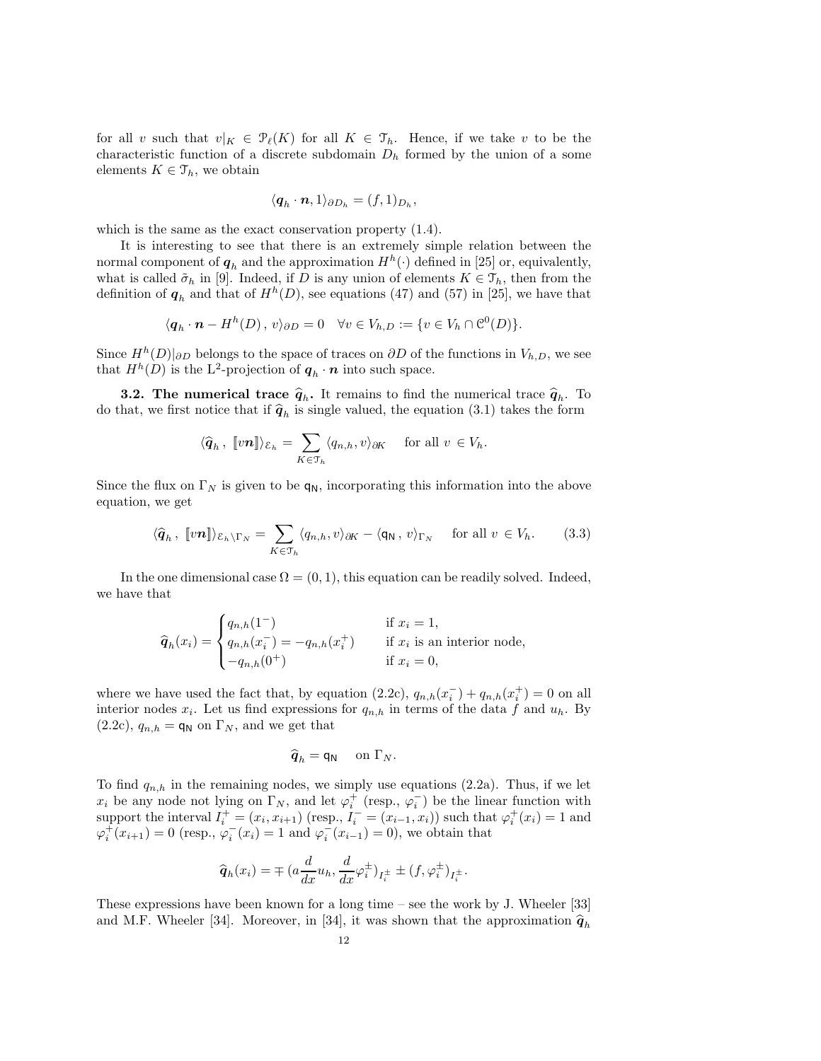for all v such that  $v|_K \in \mathcal{P}_{\ell}(K)$  for all  $K \in \mathcal{T}_h$ . Hence, if we take v to be the characteristic function of a discrete subdomain  $D_h$  formed by the union of a some elements  $K \in \mathcal{T}_h$ , we obtain

$$
\langle \boldsymbol{q}_h\cdot\boldsymbol{n},1\rangle_{\partial D_h}=(f,1)_{D_h},
$$

which is the same as the exact conservation property (1.4).

It is interesting to see that there is an extremely simple relation between the normal component of  $q_h$  and the approximation  $H^h(\cdot)$  defined in [25] or, equivalently, what is called  $\tilde{\sigma}_h$  in [9]. Indeed, if D is any union of elements  $K \in \mathcal{T}_h$ , then from the definition of  $q_h$  and that of  $H^h(D)$ , see equations (47) and (57) in [25], we have that

$$
\langle \boldsymbol{q}_h \cdot \boldsymbol{n} - H^h(D), v \rangle_{\partial D} = 0 \quad \forall v \in V_{h, D} := \{ v \in V_h \cap \mathcal{C}^0(D) \}.
$$

Since  $H<sup>h</sup>(D)|_{\partial D}$  belongs to the space of traces on  $\partial D$  of the functions in  $V_{h,D}$ , we see that  $H^h(D)$  is the L<sup>2</sup>-projection of  $q_h \cdot n$  into such space.

**3.2. The numerical trace**  $\hat{q}_h$ **.** It remains to find the numerical trace  $\hat{q}_h$ . To do that, we first notice that if  $\hat{q}_h$  is single valued, the equation (3.1) takes the form

$$
\langle \widehat{\boldsymbol{q}}_h, \; [\![v\boldsymbol{n}]\!] \rangle_{\mathcal{E}_h} = \sum_{K \in \mathfrak{T}_h} \langle q_{n,h}, v \rangle_{\partial K} \quad \text{ for all } v \in V_h.
$$

Since the flux on  $\Gamma_N$  is given to be  $q_N$ , incorporating this information into the above equation, we get

$$
\langle \widehat{\boldsymbol{q}}_h, \; [\![ v \boldsymbol{n} ]\!] \rangle_{\mathcal{E}_h \setminus \Gamma_N} = \sum_{K \in \mathcal{T}_h} \langle q_{n,h}, v \rangle_{\partial K} - \langle \mathsf{q}_\mathsf{N}, v \rangle_{\Gamma_N} \quad \text{for all } v \in V_h. \tag{3.3}
$$

In the one dimensional case  $\Omega = (0, 1)$ , this equation can be readily solved. Indeed, we have that

$$
\widehat{\mathbf{q}}_h(x_i) = \begin{cases} q_{n,h}(1^-) & \text{if } x_i = 1, \\ q_{n,h}(x_i^-) = -q_{n,h}(x_i^+) & \text{if } x_i \text{ is an interior node,} \\ -q_{n,h}(0^+) & \text{if } x_i = 0, \end{cases}
$$

where we have used the fact that, by equation  $(2.2c)$ ,  $q_{n,h}(x_i) + q_{n,h}(x_i) = 0$  on all interior nodes  $x_i$ . Let us find expressions for  $q_{n,h}$  in terms of the data f and  $u_h$ . By  $(2.2c)$ ,  $q_{n,h} = q_N$  on  $\Gamma_N$ , and we get that

$$
\widehat{\boldsymbol{q}}_h = \mathsf{q}_\mathsf{N} \quad \text{ on } \Gamma_N.
$$

To find  $q_{n,h}$  in the remaining nodes, we simply use equations (2.2a). Thus, if we let  $x_i$  be any node not lying on  $\Gamma_N$ , and let  $\varphi_i^+$  (resp.,  $\varphi_i^-$ ) be the linear function with support the interval  $I_i^+ = (x_i, x_{i+1})$  (resp.,  $I_i^- = (x_{i-1}, x_i)$ ) such that  $\varphi_i^+(x_i) = 1$  and  $\varphi_i^+(x_{i+1}) = 0$  (resp.,  $\varphi_i^-(x_i) = 1$  and  $\varphi_i^-(x_{i-1}) = 0$ ), we obtain that

$$
\widehat{\mathbf{q}}_h(x_i)=\mp\big(a\frac{d}{dx}u_h,\frac{d}{dx}\varphi_i^{\pm}\big)_{I_i^{\pm}}\pm\big(f,\varphi_i^{\pm}\big)_{I_i^{\pm}}.
$$

These expressions have been known for a long time – see the work by J. Wheeler [33] and M.F. Wheeler [34]. Moreover, in [34], it was shown that the approximation  $\hat{q}_h$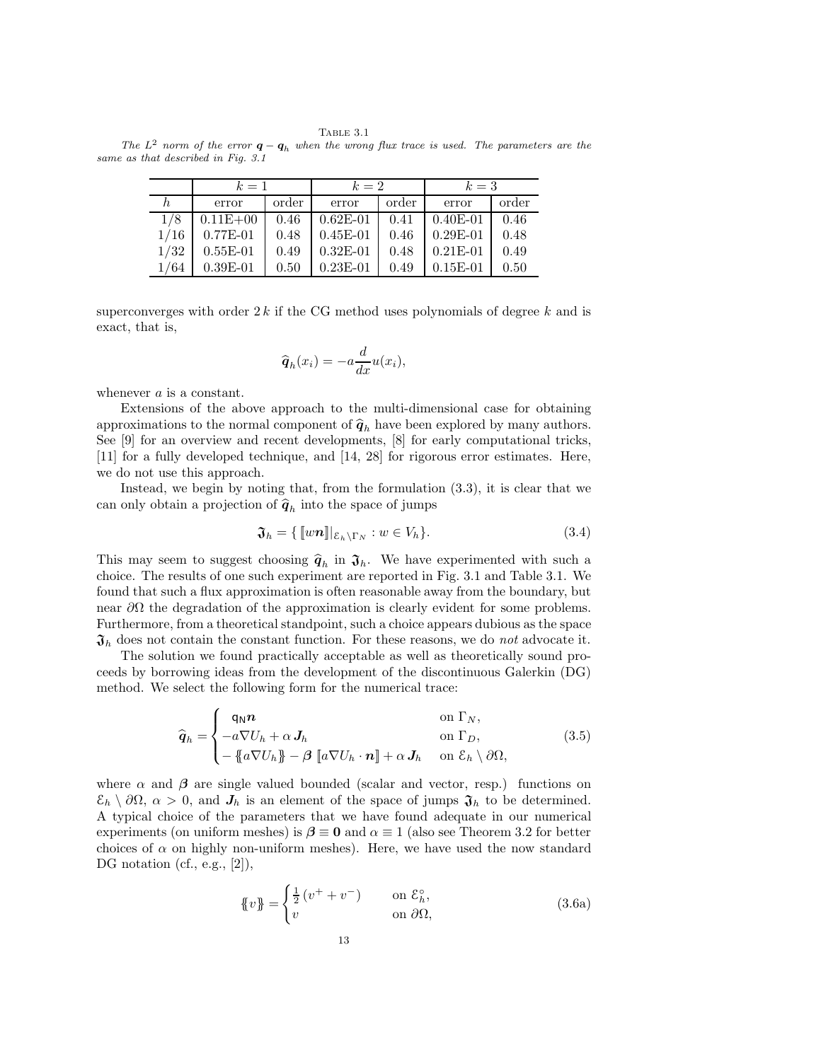Table 3.1 The  $L^2$  norm of the error  $\boldsymbol{q} - \boldsymbol{q}_h$  when the wrong flux trace is used. The parameters are the same as that described in Fig. 3.1

|      | $k=1$          |      | $k=2$        |       | $k=3$      |       |  |
|------|----------------|------|--------------|-------|------------|-------|--|
|      | order<br>error |      | error        | order |            | order |  |
| 1/8  | $0.11E + 00$   | 0.46 | $0.62E - 01$ | 0.41  | $0.40E-01$ | 0.46  |  |
| 1/16 | $0.77E - 01$   | 0.48 | $0.45E - 01$ | 0.46  | $0.29E-01$ | 0.48  |  |
| 1/32 | $0.55E-01$     | 0.49 | $0.32E - 01$ | 0.48  | $0.21E-01$ | 0.49  |  |
| 1/64 | $0.39E-01$     | 0.50 | $0.23E-01$   | 0.49  | $0.15E-01$ | 0.50  |  |

superconverges with order  $2k$  if the CG method uses polynomials of degree k and is exact, that is,

$$
\widehat{\boldsymbol{q}}_h(x_i) = -a \frac{d}{dx} u(x_i),
$$

whenever a is a constant.

Extensions of the above approach to the multi-dimensional case for obtaining approximations to the normal component of  $\hat{q}_h$  have been explored by many authors. See [9] for an overview and recent developments, [8] for early computational tricks, [11] for a fully developed technique, and [14, 28] for rigorous error estimates. Here, we do not use this approach.

Instead, we begin by noting that, from the formulation (3.3), it is clear that we can only obtain a projection of  $\hat{\boldsymbol{q}}_h$  into the space of jumps

$$
\mathfrak{J}_h = \{ [\![w\mathbf{n}]\!] |_{\mathcal{E}_h \backslash \Gamma_N} : w \in V_h \}. \tag{3.4}
$$

This may seem to suggest choosing  $\hat{q}_h$  in  $\mathfrak{J}_h$ . We have experimented with such a chains Theorem who consumed in Fig. 2.1 and Table 2.1. We choice. The results of one such experiment are reported in Fig. 3.1 and Table 3.1. We found that such a flux approximation is often reasonable away from the boundary, but near  $\partial\Omega$  the degradation of the approximation is clearly evident for some problems. Furthermore, from a theoretical standpoint, such a choice appears dubious as the space  $\mathfrak{J}_h$  does not contain the constant function. For these reasons, we do not advocate it.

The solution we found practically acceptable as well as theoretically sound proceeds by borrowing ideas from the development of the discontinuous Galerkin (DG) method. We select the following form for the numerical trace:

$$
\widehat{\boldsymbol{q}}_h = \begin{cases}\n\mathbf{q}_N \boldsymbol{n} & \text{on } \Gamma_N, \\
-\mathbf{a} \nabla U_h + \alpha \, \mathbf{J}_h & \text{on } \Gamma_D, \\
-\mathbf{a} \nabla U_h \mathbf{J} - \boldsymbol{\beta} \left[ \mathbf{a} \nabla U_h \cdot \mathbf{n} \right] + \alpha \, \mathbf{J}_h & \text{on } \mathcal{E}_h \setminus \partial \Omega,\n\end{cases}
$$
\n(3.5)

where  $\alpha$  and  $\beta$  are single valued bounded (scalar and vector, resp.) functions on  $\mathcal{E}_h \setminus \partial \Omega$ ,  $\alpha > 0$ , and  $J_h$  is an element of the space of jumps  $\mathfrak{J}_h$  to be determined. A typical choice of the parameters that we have found adequate in our numerical experiments (on uniform meshes) is  $\beta \equiv 0$  and  $\alpha \equiv 1$  (also see Theorem 3.2 for better choices of  $\alpha$  on highly non-uniform meshes). Here, we have used the now standard DG notation (cf., e.g., [2]),

$$
\{\!\!\{\,v\,\}\!\!\} = \begin{cases} \frac{1}{2} \left(v^+ + v^-\right) & \text{on } \mathcal{E}_h^\circ, \\ v & \text{on } \partial\Omega, \end{cases} \tag{3.6a}
$$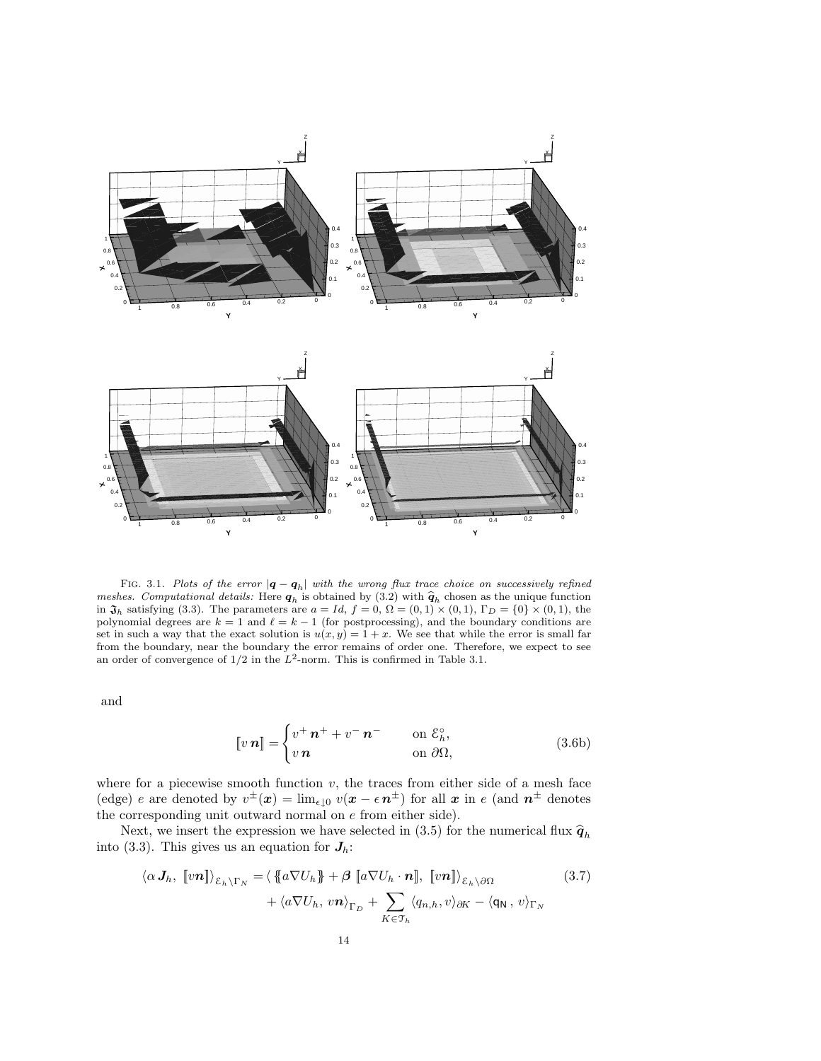

FIG. 3.1. Plots of the error  $|\boldsymbol{q} - \boldsymbol{q}_h|$  with the wrong flux trace choice on successively refined meshes. Computational details: Here  $q_h$  is obtained by (3.2) with  $\hat{q}_h$  chosen as the unique function in  $\mathfrak{J}_h$  satisfying (3.3). The parameters are  $a = Id$ ,  $f = 0$ ,  $\Omega = (0, 1) \times (0, 1)$ ,  $\Gamma_D = \{0\} \times (0, 1)$ , the polynomial degrees are  $k = 1$  and  $\ell = k - 1$  (for postprocessing), and the boundary conditions are set in such a way that the exact solution is  $u(x, y) = 1 + x$ . We see that while the error is small far from the boundary, near the boundary the error remains of order one. Therefore, we expect to see an order of convergence of  $1/2$  in the  $L^2$ -norm. This is confirmed in Table 3.1.

and

$$
\llbracket v \, \boldsymbol{n} \rrbracket = \begin{cases} v^+ \, \boldsymbol{n}^+ + v^- \, \boldsymbol{n}^- & \text{on } \mathcal{E}_h^\circ, \\ v \, \boldsymbol{n} & \text{on } \partial \Omega, \end{cases} \tag{3.6b}
$$

where for a piecewise smooth function  $v$ , the traces from either side of a mesh face (edge) e are denoted by  $v^{\pm}(x) = \lim_{\epsilon \downarrow 0} v(x - \epsilon n^{\pm})$  for all x in e (and  $n^{\pm}$  denotes the corresponding unit outward normal on e from either side).

Next, we insert the expression we have selected in (3.5) for the numerical flux  $\hat{q}_h$ into (3.3). This gives us an equation for  $J_h$ :

$$
\langle \alpha J_h, \, [vn] \rangle_{\mathcal{E}_h \backslash \Gamma_N} = \langle \, \{ a \nabla U_h \} + \beta \, [a \nabla U_h \cdot n], \, [vn] \rangle_{\mathcal{E}_h \backslash \partial \Omega} \qquad (3.7)
$$
\n
$$
+ \langle a \nabla U_h, \, v \mathbf{n} \rangle_{\Gamma_D} + \sum_{K \in \mathcal{T}_h} \langle q_{n,h}, v \rangle_{\partial K} - \langle \mathbf{q}_N, \, v \rangle_{\Gamma_N}
$$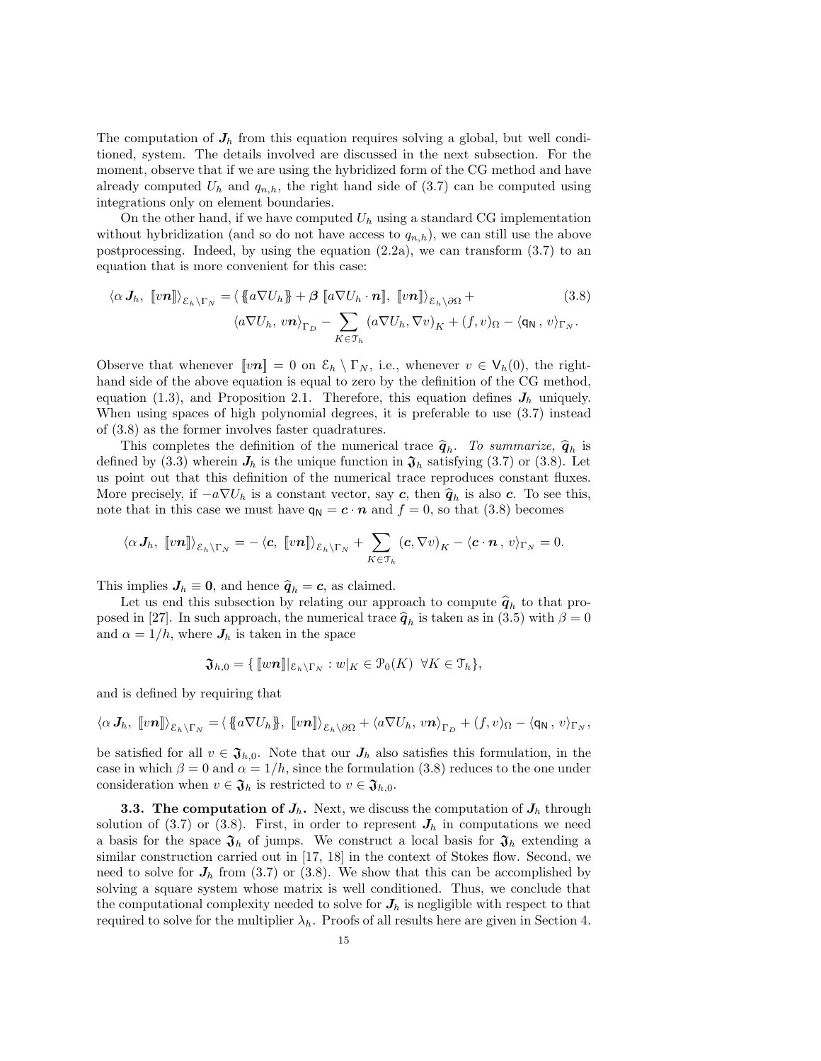The computation of  $J<sub>h</sub>$  from this equation requires solving a global, but well conditioned, system. The details involved are discussed in the next subsection. For the moment, observe that if we are using the hybridized form of the CG method and have already computed  $U_h$  and  $q_{n,h}$ , the right hand side of (3.7) can be computed using integrations only on element boundaries.

On the other hand, if we have computed  $U_h$  using a standard CG implementation without hybridization (and so do not have access to  $q_{n,h}$ ), we can still use the above postprocessing. Indeed, by using the equation  $(2.2a)$ , we can transform  $(3.7)$  to an equation that is more convenient for this case:

$$
\langle \alpha J_h, [vn] \rangle_{\mathcal{E}_h \setminus \Gamma_N} = \langle \{ a \nabla U_h \} + \beta [a \nabla U_h \cdot n], [vn] \rangle_{\mathcal{E}_h \setminus \partial \Omega} +
$$
  

$$
\langle a \nabla U_h, vn \rangle_{\Gamma_D} - \sum_{K \in \mathcal{T}_h} (a \nabla U_h, \nabla v)_K + (f, v)_\Omega - \langle q_N, v \rangle_{\Gamma_N}.
$$
  
(3.8)

Observe that whenever  $[\![vn]\!] = 0$  on  $\mathcal{E}_h \setminus \Gamma_N$ , i.e., whenever  $v \in V_h(0)$ , the righthand side of the above equation is equal to zero by the definition of the CG method, equation (1.3), and Proposition 2.1. Therefore, this equation defines  $J_h$  uniquely. When using spaces of high polynomial degrees, it is preferable to use (3.7) instead of (3.8) as the former involves faster quadratures.

This completes the definition of the numerical trace  $\hat{q}_h$ . To summarize,  $\hat{q}_h$  is defined by (3.3) wherein  $J_h$  is the unique function in  $\mathfrak{J}_h$  satisfying (3.7) or (3.8). Let us point out that this definition of the numerical trace reproduces constant fluxes. More precisely, if  $-a\nabla U_h$  is a constant vector, say c, then  $\hat{q}_h$  is also c. To see this, note that in this case we must have  $q_N = c \cdot n$  and  $f = 0$ , so that (3.8) becomes

$$
\langle \alpha J_h, \; [vn] \rangle_{\mathcal{E}_h \setminus \Gamma_N} = -\langle c, \; [vn] \rangle_{\mathcal{E}_h \setminus \Gamma_N} + \sum_{K \in \mathcal{T}_h} (c, \nabla v)_K - \langle c \cdot n \, , \, v \rangle_{\Gamma_N} = 0.
$$

This implies  $J_h \equiv 0$ , and hence  $\hat{q}_h = c$ , as claimed.

Let us end this subsection by relating our approach to compute  $\hat{q}_h$  to that proposed in [27]. In such approach, the numerical trace  $\hat{q}_h$  is taken as in (3.5) with  $\beta = 0$ and  $\alpha = 1/h$ , where  $J_h$  is taken in the space

$$
\mathfrak{J}_{h,0}=\{\llbracket w\boldsymbol{n}\rrbracket|_{\mathcal{E}_h\backslash\Gamma_N}:w|_K\in\mathfrak{P}_0(K)\;\;\forall K\in\mathfrak{T}_h\},
$$

and is defined by requiring that

$$
\langle \alpha J_h, \; [vn] \rangle_{\mathcal{E}_h \setminus \Gamma_N} = \langle \; [a \nabla U_h], \; [vn] \rangle_{\mathcal{E}_h \setminus \partial \Omega} + \langle a \nabla U_h, \, vn \rangle_{\Gamma_D} + (f, v)_{\Omega} - \langle q_N, \, v \rangle_{\Gamma_N},
$$

be satisfied for all  $v \in \mathfrak{J}_{h,0}$ . Note that our  $J_h$  also satisfies this formulation, in the case in which  $\beta = 0$  and  $\alpha = 1/h$ , since the formulation (3.8) reduces to the one under consideration when  $v \in \mathfrak{J}_h$  is restricted to  $v \in \mathfrak{J}_{h,0}$ .

**3.3.** The computation of  $J_h$ . Next, we discuss the computation of  $J_h$  through solution of  $(3.7)$  or  $(3.8)$ . First, in order to represent  $J_h$  in computations we need a basis for the space  $\mathfrak{J}_h$  of jumps. We construct a local basis for  $\mathfrak{J}_h$  extending a similar construction carried out in [17, 18] in the context of Stokes flow. Second, we need to solve for  $J_h$  from (3.7) or (3.8). We show that this can be accomplished by solving a square system whose matrix is well conditioned. Thus, we conclude that the computational complexity needed to solve for  $J_h$  is negligible with respect to that required to solve for the multiplier  $\lambda_h$ . Proofs of all results here are given in Section 4.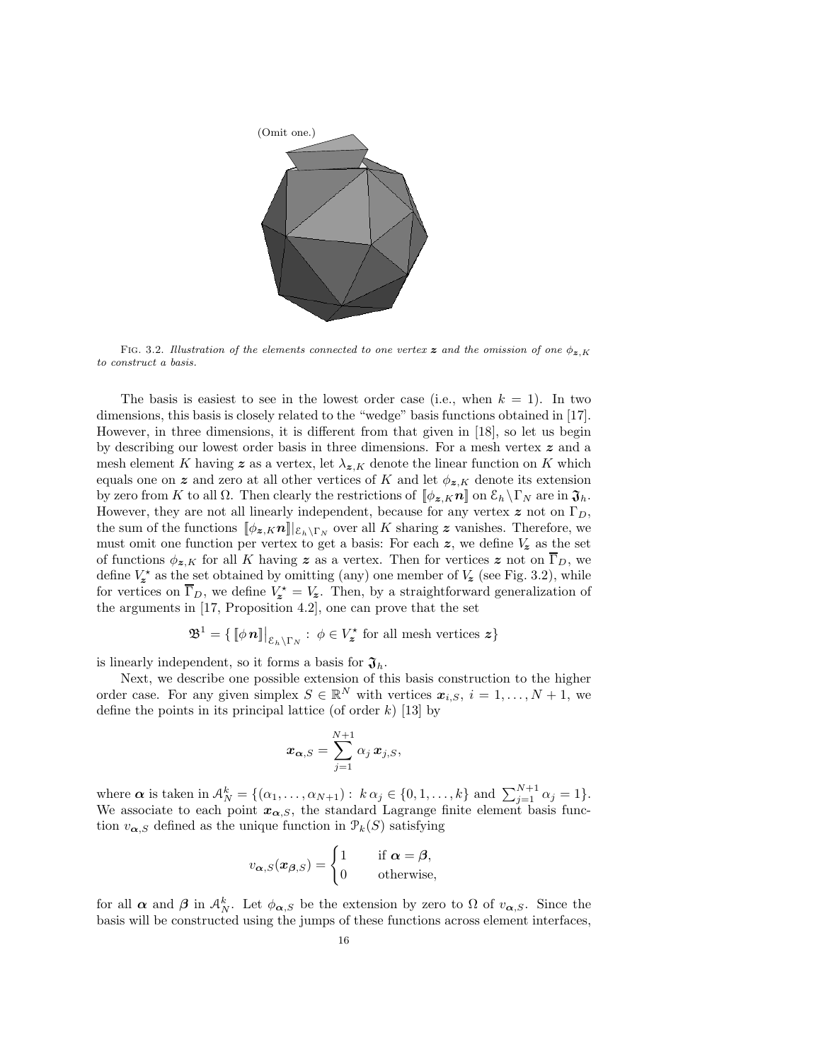

FIG. 3.2. Illustration of the elements connected to one vertex z and the omission of one  $\phi_{z,K}$ to construct a basis.

The basis is easiest to see in the lowest order case (i.e., when  $k = 1$ ). In two dimensions, this basis is closely related to the "wedge" basis functions obtained in [17]. However, in three dimensions, it is different from that given in [18], so let us begin by describing our lowest order basis in three dimensions. For a mesh vertex  $z$  and a mesh element K having z as a vertex, let  $\lambda_{\mathbf{z},K}$  denote the linear function on K which equals one on z and zero at all other vertices of K and let  $\phi_{z,K}$  denote its extension by zero from K to all  $\Omega$ . Then clearly the restrictions of  $[\![\phi_{\mathbf{z},K}\mathbf{n}]\!]$  on  $\mathcal{E}_h \setminus \Gamma_N$  are in  $\mathfrak{J}_h$ . However, they are not all linearly independent, because for any vertex z not on  $\Gamma_D$ , the sum of the functions  $[\![\phi_{\bm{z},K}\bm{n}]\!]|_{\mathcal{E}_h\setminus\Gamma_N}$  over all K sharing  $\bm{z}$  vanishes. Therefore, we must omit one function per vertex to get a basis: For each  $z$ , we define  $V_z$  as the set of functions  $\phi_{z,K}$  for all K having z as a vertex. Then for vertices z not on  $\overline{\Gamma}_D$ , we define  $V_z^*$  as the set obtained by omitting (any) one member of  $V_z$  (see Fig. 3.2), while for vertices on  $\overline{\Gamma}_D$ , we define  $V_z^* = V_z$ . Then, by a straightforward generalization of the arguments in [17, Proposition 4.2], one can prove that the set

$$
\mathfrak{B}^1=\{\llbracket\phi\,\boldsymbol{n}\rrbracket\big|_{\mathcal{E}_h\backslash\Gamma_N}:\ \phi\in V_{\boldsymbol{z}}^{\star}\ \text{for all mesh vertices}\ \boldsymbol{z}\}
$$

is linearly independent, so it forms a basis for  $\mathfrak{J}_h$ .

Next, we describe one possible extension of this basis construction to the higher order case. For any given simplex  $S \in \mathbb{R}^N$  with vertices  $x_{i,S}$ ,  $i = 1, \ldots, N + 1$ , we define the points in its principal lattice (of order  $k$ ) [13] by

$$
\boldsymbol{x}_{\boldsymbol{\alpha},S} = \sum_{j=1}^{N+1} \alpha_j \, \boldsymbol{x}_{j,S},
$$

where  $\boldsymbol{\alpha}$  is taken in  $\mathcal{A}_N^k = \{(\alpha_1, \ldots, \alpha_{N+1}) : k \alpha_j \in \{0, 1, \ldots, k\} \text{ and } \sum_{j=1}^{N+1} \alpha_j = 1\}.$ We associate to each point  $x_{\alpha,S}$ , the standard Lagrange finite element basis function  $v_{\alpha, S}$  defined as the unique function in  $\mathcal{P}_k(S)$  satisfying

$$
v_{\boldsymbol{\alpha},S}(\boldsymbol{x}_{\boldsymbol{\beta},S}) = \begin{cases} 1 & \text{if } \boldsymbol{\alpha} = \boldsymbol{\beta}, \\ 0 & \text{otherwise}, \end{cases}
$$

for all  $\alpha$  and  $\beta$  in  $\mathcal{A}_N^k$ . Let  $\phi_{\alpha,s}$  be the extension by zero to  $\Omega$  of  $v_{\alpha,s}$ . Since the basis will be constructed using the jumps of these functions across element interfaces,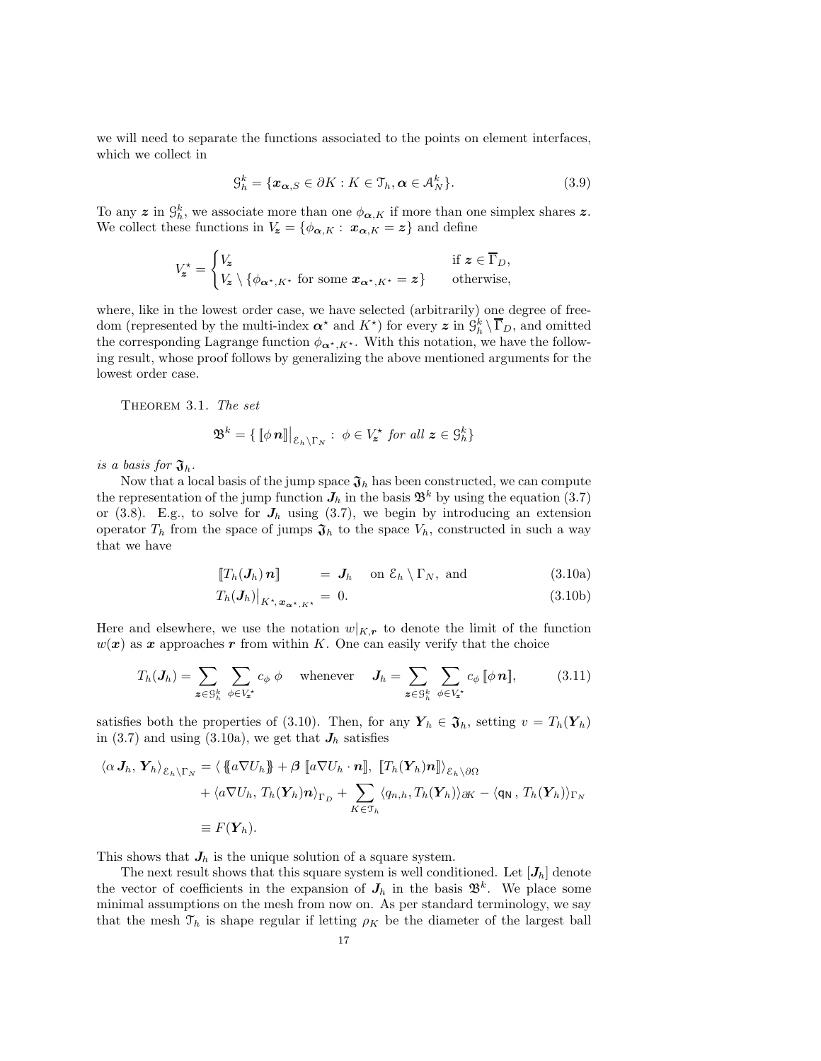we will need to separate the functions associated to the points on element interfaces, which we collect in

$$
\mathcal{G}_h^k = \{ \mathbf{x}_{\alpha,S} \in \partial K : K \in \mathcal{T}_h, \alpha \in \mathcal{A}_N^k \}. \tag{3.9}
$$

To any  $\boldsymbol{z}$  in  $\mathcal{G}_h^k$ , we associate more than one  $\phi_{\boldsymbol{\alpha},K}$  if more than one simplex shares  $\boldsymbol{z}$ . We collect these functions in  $V_z = \{\phi_{\alpha,K} : x_{\alpha,K} = z\}$  and define

$$
V_{\mathbf{z}}^{\star} = \begin{cases} V_{\mathbf{z}} & \text{if } \mathbf{z} \in \overline{\Gamma}_D, \\ V_{\mathbf{z}} \setminus \{ \phi_{\alpha^{\star}, K^{\star}} \text{ for some } \mathbf{x}_{\alpha^{\star}, K^{\star}} = \mathbf{z} \} & \text{otherwise,} \end{cases}
$$

where, like in the lowest order case, we have selected (arbitrarily) one degree of freedom (represented by the multi-index  $\alpha^*$  and  $K^*$ ) for every  $z$  in  $\mathcal{G}_h^k \setminus \overline{\Gamma}_D$ , and omitted the corresponding Lagrange function  $\phi_{\alpha^*,K^*}$ . With this notation, we have the following result, whose proof follows by generalizing the above mentioned arguments for the lowest order case.

THEOREM 3.1. The set

$$
\mathfrak{B}^k = \{ \llbracket \phi \, \boldsymbol{n} \rrbracket \big|_{\mathcal{E}_h \backslash \Gamma_N} : \phi \in V_{\boldsymbol{z}}^{\star} \text{ for all } \boldsymbol{z} \in \mathcal{G}_h^k \}
$$

is a basis for  $\mathfrak{J}_h$ .

Now that a local basis of the jump space  $\mathfrak{J}_h$  has been constructed, we can compute the representation of the jump function  $J_h$  in the basis  $\mathfrak{B}^k$  by using the equation (3.7) or (3.8). E.g., to solve for  $J_h$  using (3.7), we begin by introducing an extension operator  $T_h$  from the space of jumps  $\mathfrak{J}_h$  to the space  $V_h$ , constructed in such a way that we have

$$
\llbracket T_h(\boldsymbol{J}_h) \, \boldsymbol{n} \rrbracket \qquad = \, \boldsymbol{J}_h \quad \text{on } \mathcal{E}_h \setminus \Gamma_N, \text{ and} \tag{3.10a}
$$

$$
T_h(\boldsymbol{J}_h)\big|_{K^\star,\boldsymbol{x}_{\alpha^\star,K^\star}} = 0. \tag{3.10b}
$$

Here and elsewhere, we use the notation  $w|_{K,r}$  to denote the limit of the function  $w(x)$  as x approaches r from within K. One can easily verify that the choice

$$
T_h(\mathbf{J}_h) = \sum_{\mathbf{z} \in \mathcal{S}_h^k} \sum_{\phi \in V_{\mathbf{z}}^*} c_{\phi} \phi \quad \text{whenever} \quad \mathbf{J}_h = \sum_{\mathbf{z} \in \mathcal{S}_h^k} \sum_{\phi \in V_{\mathbf{z}}^*} c_{\phi} [\phi \, \mathbf{n}], \tag{3.11}
$$

satisfies both the properties of (3.10). Then, for any  $Y_h \in \mathfrak{J}_h$ , setting  $v = T_h(Y_h)$ in (3.7) and using (3.10a), we get that  $J_h$  satisfies

$$
\langle \alpha J_h, \mathbf{Y}_h \rangle_{\mathcal{E}_h \setminus \Gamma_N} = \langle \{ a \nabla U_h \} + \beta \left[ a \nabla U_h \cdot \mathbf{n} \right], \left[ T_h(\mathbf{Y}_h) \mathbf{n} \right] \rangle_{\mathcal{E}_h \setminus \partial \Omega} + \langle a \nabla U_h, T_h(\mathbf{Y}_h) \mathbf{n} \rangle_{\Gamma_D} + \sum_{K \in \mathcal{T}_h} \langle q_{n,h}, T_h(\mathbf{Y}_h) \rangle_{\partial K} - \langle \mathbf{q}_N, T_h(\mathbf{Y}_h) \rangle_{\Gamma_N} \equiv F(\mathbf{Y}_h).
$$

This shows that  $J_h$  is the unique solution of a square system.

The next result shows that this square system is well conditioned. Let  $[J_h]$  denote the vector of coefficients in the expansion of  $J_h$  in the basis  $\mathfrak{B}^k$ . We place some minimal assumptions on the mesh from now on. As per standard terminology, we say that the mesh  $\mathfrak{T}_h$  is shape regular if letting  $\rho_K$  be the diameter of the largest ball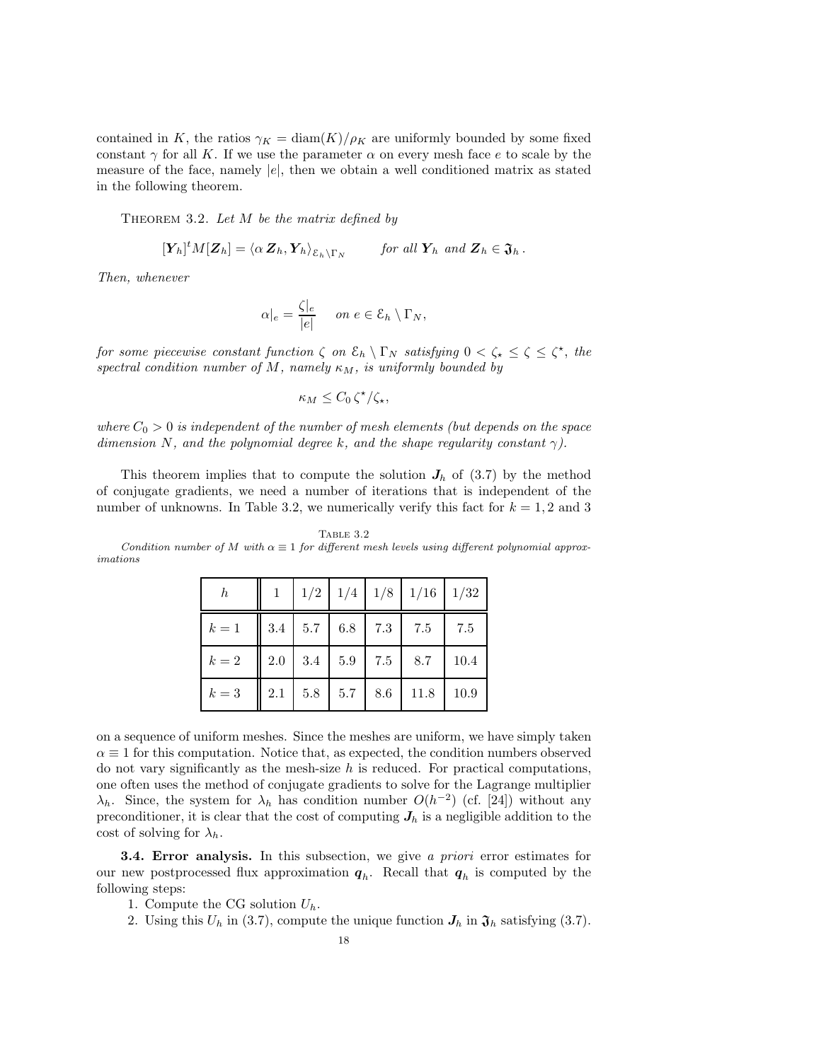contained in K, the ratios  $\gamma_K = \text{diam}(K)/\rho_K$  are uniformly bounded by some fixed constant  $\gamma$  for all K. If we use the parameter  $\alpha$  on every mesh face e to scale by the measure of the face, namely  $|e|$ , then we obtain a well conditioned matrix as stated in the following theorem.

THEOREM 3.2. Let  $M$  be the matrix defined by

$$
[\mathbf{Y}_h]^t M [\mathbf{Z}_h] = \langle \alpha \, \mathbf{Z}_h, \mathbf{Y}_h \rangle_{\mathcal{E}_h \setminus \Gamma_N} \quad \text{for all } \mathbf{Y}_h \text{ and } \mathbf{Z}_h \in \mathfrak{J}_h \,.
$$

Then, whenever

$$
\alpha|_e = \frac{\zeta|_e}{|e|} \quad on \ e \in \mathcal{E}_h \setminus \Gamma_N,
$$

for some piecewise constant function  $\zeta$  on  $\mathcal{E}_h \setminus \Gamma_N$  satisfying  $0 < \zeta_* \leq \zeta \leq \zeta^*$ , the spectral condition number of M, namely  $\kappa_M$ , is uniformly bounded by

$$
\kappa_M \leq C_0 \zeta^{\star}/\zeta_{\star},
$$

where  $C_0 > 0$  is independent of the number of mesh elements (but depends on the space dimension N, and the polynomial degree k, and the shape regularity constant  $\gamma$ ).

This theorem implies that to compute the solution  $J_h$  of (3.7) by the method of conjugate gradients, we need a number of iterations that is independent of the number of unknowns. In Table 3.2, we numerically verify this fact for  $k = 1, 2$  and 3

| ш<br>ĸ<br>٠. | ۰. |
|--------------|----|
|              |    |

Condition number of M with  $\alpha \equiv 1$  for different mesh levels using different polynomial approximations

| $\boldsymbol{h}$ |  |                                                                 |                                         | $1 \mid 1/2 \mid 1/4 \mid 1/8 \mid 1/16 \mid 1/32$              |             |
|------------------|--|-----------------------------------------------------------------|-----------------------------------------|-----------------------------------------------------------------|-------------|
| $k=1$            |  | $\parallel$ 3.4 $\parallel$ 5.7 $\parallel$ 6.8 $\parallel$ 7.3 |                                         | $\begin{array}{c} \begin{array}{c} 7.5 \end{array} \end{array}$ | 7.5         |
| $k=2$            |  |                                                                 | $\parallel$ 2.0   3.4   5.9   7.5   8.7 |                                                                 | $\mid$ 10.4 |
| $k=3$            |  | $2.1$ 5.8 5.7 8.6                                               |                                         | 11.8                                                            | 10.9        |

on a sequence of uniform meshes. Since the meshes are uniform, we have simply taken  $\alpha \equiv 1$  for this computation. Notice that, as expected, the condition numbers observed do not vary significantly as the mesh-size  $h$  is reduced. For practical computations, one often uses the method of conjugate gradients to solve for the Lagrange multiplier  $\lambda_h$ . Since, the system for  $\lambda_h$  has condition number  $O(h^{-2})$  (cf. [24]) without any preconditioner, it is clear that the cost of computing  $J_h$  is a negligible addition to the cost of solving for  $\lambda_h$ .

**3.4. Error analysis.** In this subsection, we give a priori error estimates for our new postprocessed flux approximation  $q_h$ . Recall that  $q_h$  is computed by the following steps:

- 1. Compute the CG solution  $U_h$ .
- 2. Using this  $U_h$  in (3.7), compute the unique function  $J_h$  in  $\mathfrak{J}_h$  satisfying (3.7).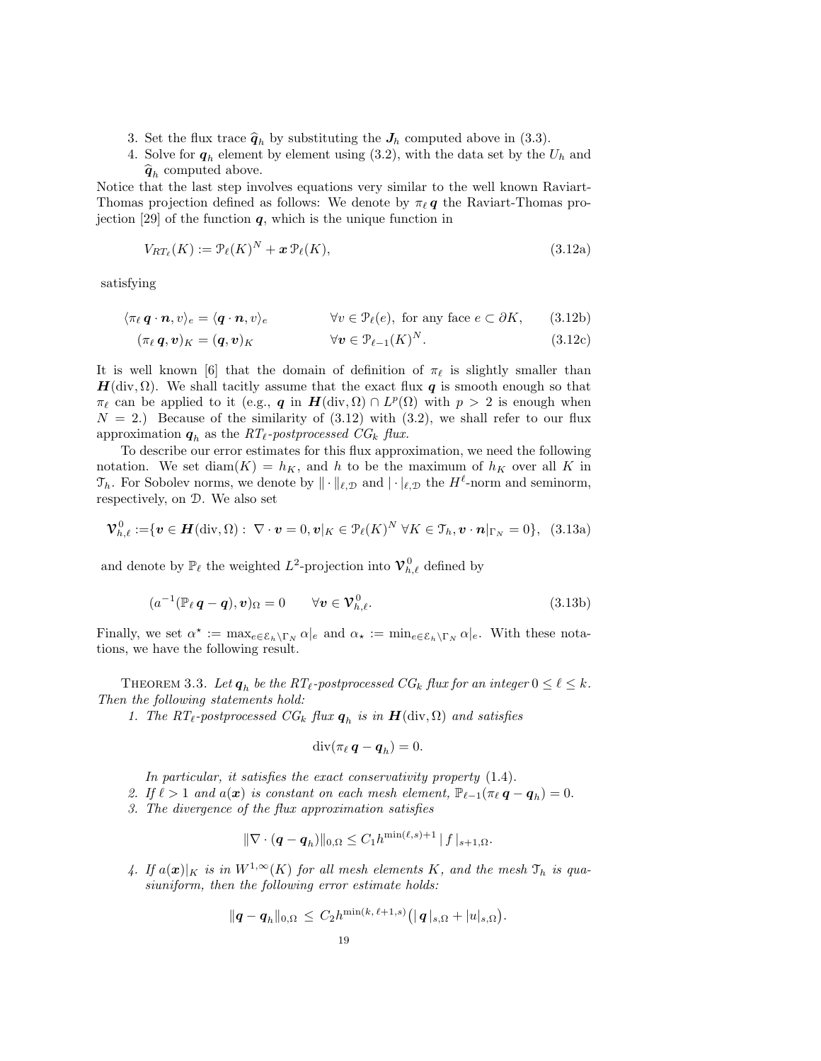- 3. Set the flux trace  $\hat{q}_h$  by substituting the  $J_h$  computed above in (3.3).
- 4. Solve for  $q_h$  element by element using (3.2), with the data set by the  $U_h$  and  $\widehat{\mathbf{q}}_h$  computed above.

Notice that the last step involves equations very similar to the well known Raviart-Thomas projection defined as follows: We denote by  $\pi_{\ell} q$  the Raviart-Thomas projection [29] of the function  $q$ , which is the unique function in

$$
V_{RT_{\ell}}(K) := \mathcal{P}_{\ell}(K)^N + \mathbf{x} \mathcal{P}_{\ell}(K),\tag{3.12a}
$$

satisfying

$$
\langle \pi_{\ell} \, \mathbf{q} \cdot \mathbf{n}, v \rangle_e = \langle \mathbf{q} \cdot \mathbf{n}, v \rangle_e \qquad \forall v \in \mathcal{P}_{\ell}(e), \text{ for any face } e \subset \partial K, \qquad (3.12b)
$$

$$
(\pi_{\ell}\,\mathbf{q},\mathbf{v})_K = (\mathbf{q},\mathbf{v})_K \qquad \forall \mathbf{v} \in \mathcal{P}_{\ell-1}(K)^N. \tag{3.12c}
$$

It is well known [6] that the domain of definition of  $\pi_{\ell}$  is slightly smaller than  $H(\text{div}, \Omega)$ . We shall tacitly assume that the exact flux q is smooth enough so that  $\pi_{\ell}$  can be applied to it (e.g., q in  $H(\text{div}, \Omega) \cap L^p(\Omega)$  with  $p > 2$  is enough when  $N = 2$ .) Because of the similarity of  $(3.12)$  with  $(3.2)$ , we shall refer to our flux approximation  $q_h$  as the  $RT_{\ell}$ -postprocessed  $CG_k$  flux.

To describe our error estimates for this flux approximation, we need the following notation. We set diam(K) =  $h_K$ , and h to be the maximum of  $h_K$  over all K in  $\mathfrak{T}_h$ . For Sobolev norms, we denote by  $\|\cdot\|_{\ell,\mathcal{D}}$  and  $|\cdot|_{\ell,\mathcal{D}}$  the  $H^{\ell}$ -norm and seminorm, respectively, on D. We also set

$$
\mathbf{\mathcal{V}}_{h,\ell}^{0} := \{ \mathbf{v} \in \mathbf{H}(\text{div},\Omega): \ \nabla \cdot \mathbf{v} = 0, \mathbf{v}|_{K} \in \mathcal{P}_{\ell}(K)^{N} \ \forall K \in \mathcal{T}_{h}, \mathbf{v} \cdot \mathbf{n}|_{\Gamma_{N}} = 0 \}, \ (3.13a)
$$

and denote by  $\mathbb{P}_{\ell}$  the weighted  $L^2$ -projection into  $\mathcal{V}_{h,\ell}^0$  defined by

$$
(a^{-1}(\mathbb{P}_{\ell}\,\boldsymbol{q}-\boldsymbol{q}),\boldsymbol{v})_{\Omega}=0\qquad\forall\boldsymbol{v}\in\mathcal{V}_{h,\ell}^{0}.\tag{3.13b}
$$

Finally, we set  $\alpha^* := \max_{e \in \mathcal{E}_h \backslash \Gamma_N} \alpha|_e$  and  $\alpha_* := \min_{e \in \mathcal{E}_h \backslash \Gamma_N} \alpha|_e$ . With these notations, we have the following result.

THEOREM 3.3. Let  $q_h$  be the RT<sub>ℓ</sub>-postprocessed CG<sub>k</sub> flux for an integer  $0 \leq \ell \leq k$ . Then the following statements hold:

1. The RT<sub>ℓ</sub>-postprocessed  $CG_k$  flux  $q_h$  is in  $H(\text{div}, \Omega)$  and satisfies

$$
\operatorname{div}(\pi_{\ell}\,\boldsymbol{q}-\boldsymbol{q}_h)=0.
$$

In particular, it satisfies the exact conservativity property  $(1.4)$ .

2. If  $\ell > 1$  and  $a(x)$  is constant on each mesh element,  $\mathbb{P}_{\ell-1}(\pi_{\ell} \mathbf{q} - \mathbf{q}_h) = 0$ .

3. The divergence of the flux approximation satisfies

$$
\|\nabla \cdot (\bm{q} - \bm{q}_h)\|_{0,\Omega} \leq C_1 h^{\min(\ell,s)+1} \|f\|_{s+1,\Omega}.
$$

4. If  $a(\mathbf{x})|_K$  is in  $W^{1,\infty}(K)$  for all mesh elements K, and the mesh  $\mathcal{T}_h$  is quasiuniform, then the following error estimate holds:

$$
\|\boldsymbol{q}-\boldsymbol{q}_h\|_{0,\Omega}\,\leq\,C_2h^{\min(k,\,\ell+1,s)}\big(|\,\boldsymbol{q}\,|_{s,\Omega}+|u|_{s,\Omega}\big).
$$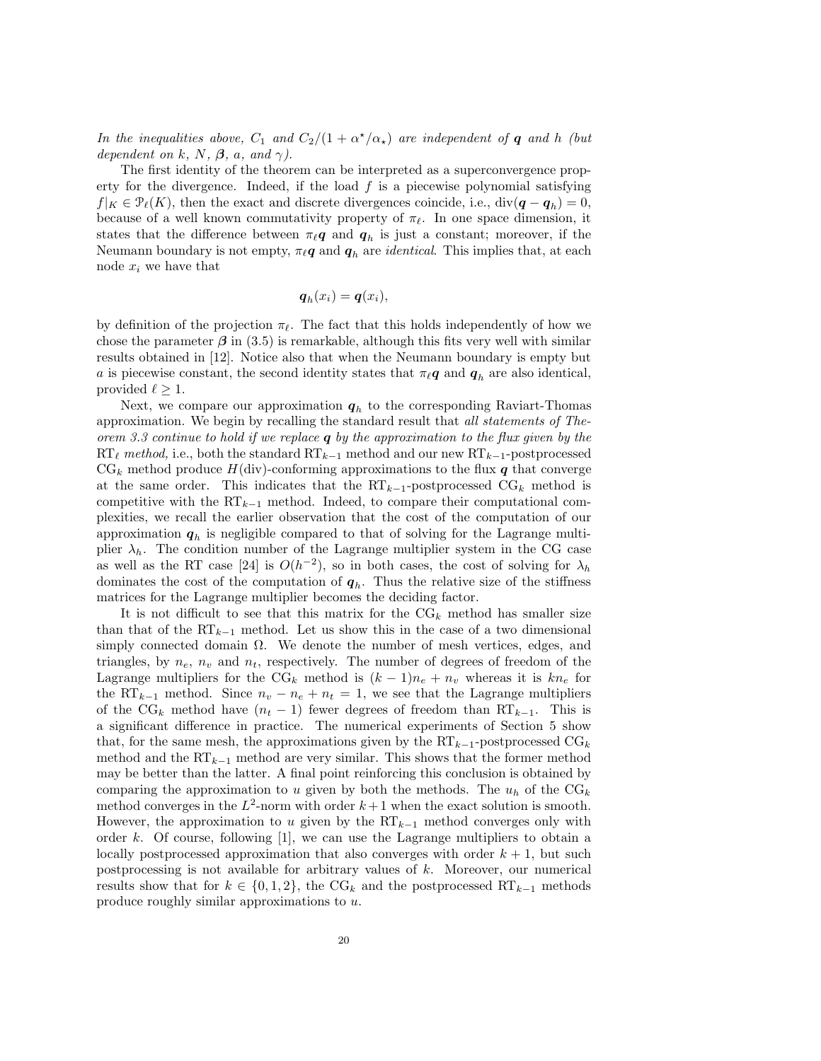In the inequalities above,  $C_1$  and  $C_2/(1+\alpha^{\star}/\alpha_{\star})$  are independent of **q** and h (but dependent on k, N,  $\beta$ , a, and  $\gamma$ ).

The first identity of the theorem can be interpreted as a superconvergence property for the divergence. Indeed, if the load  $f$  is a piecewise polynomial satisfying  $f|_K \in \mathcal{P}_{\ell}(K)$ , then the exact and discrete divergences coincide, i.e.,  $\text{div}(\mathbf{q} - \mathbf{q}_h) = 0$ , because of a well known commutativity property of  $\pi_{\ell}$ . In one space dimension, it states that the difference between  $\pi_{\ell} q$  and  $q_h$  is just a constant; moreover, if the Neumann boundary is not empty,  $\pi_{\ell} q$  and  $q_h$  are *identical*. This implies that, at each node  $x_i$  we have that

$$
\boldsymbol{q}_h(x_i) = \boldsymbol{q}(x_i),
$$

by definition of the projection  $\pi_{\ell}$ . The fact that this holds independently of how we chose the parameter  $\beta$  in (3.5) is remarkable, although this fits very well with similar results obtained in [12]. Notice also that when the Neumann boundary is empty but a is piecewise constant, the second identity states that  $\pi_{\ell} q$  and  $q_h$  are also identical, provided  $\ell \geq 1$ .

Next, we compare our approximation  $q_h$  to the corresponding Raviart-Thomas approximation. We begin by recalling the standard result that all statements of Theorem 3.3 continue to hold if we replace  $q$  by the approximation to the flux given by the  $RT_{\ell}$  method, i.e., both the standard  $RT_{k-1}$  method and our new  $RT_{k-1}$ -postprocessed  $CG_k$  method produce  $H(\text{div})$ -conforming approximations to the flux q that converge at the same order. This indicates that the  $RT_{k-1}$ -postprocessed  $CG_k$  method is competitive with the  $RT_{k-1}$  method. Indeed, to compare their computational complexities, we recall the earlier observation that the cost of the computation of our approximation  $q_h$  is negligible compared to that of solving for the Lagrange multiplier  $\lambda_h$ . The condition number of the Lagrange multiplier system in the CG case as well as the RT case [24] is  $O(h^{-2})$ , so in both cases, the cost of solving for  $\lambda_h$ dominates the cost of the computation of  $q_h$ . Thus the relative size of the stiffness matrices for the Lagrange multiplier becomes the deciding factor.

It is not difficult to see that this matrix for the  $\text{CG}_k$  method has smaller size than that of the  $RT_{k-1}$  method. Let us show this in the case of a two dimensional simply connected domain  $\Omega$ . We denote the number of mesh vertices, edges, and triangles, by  $n_e$ ,  $n_v$  and  $n_t$ , respectively. The number of degrees of freedom of the Lagrange multipliers for the CG<sub>k</sub> method is  $(k-1)n_e + n_v$  whereas it is  $kn_e$  for the RT<sub>k−1</sub> method. Since  $n_v - n_e + n_t = 1$ , we see that the Lagrange multipliers of the CG<sub>k</sub> method have  $(n_t - 1)$  fewer degrees of freedom than RT<sub>k−1</sub>. This is a significant difference in practice. The numerical experiments of Section 5 show that, for the same mesh, the approximations given by the  $RT_{k-1}$ -postprocessed  $CG_k$ method and the  $RT_{k-1}$  method are very similar. This shows that the former method may be better than the latter. A final point reinforcing this conclusion is obtained by comparing the approximation to u given by both the methods. The  $u_h$  of the CG<sub>k</sub> method converges in the  $L^2$ -norm with order  $k+1$  when the exact solution is smooth. However, the approximation to u given by the  $RT_{k-1}$  method converges only with order k. Of course, following [1], we can use the Lagrange multipliers to obtain a locally postprocessed approximation that also converges with order  $k + 1$ , but such postprocessing is not available for arbitrary values of k. Moreover, our numerical results show that for  $k \in \{0, 1, 2\}$ , the CG<sub>k</sub> and the postprocessed RT<sub>k−1</sub> methods produce roughly similar approximations to u.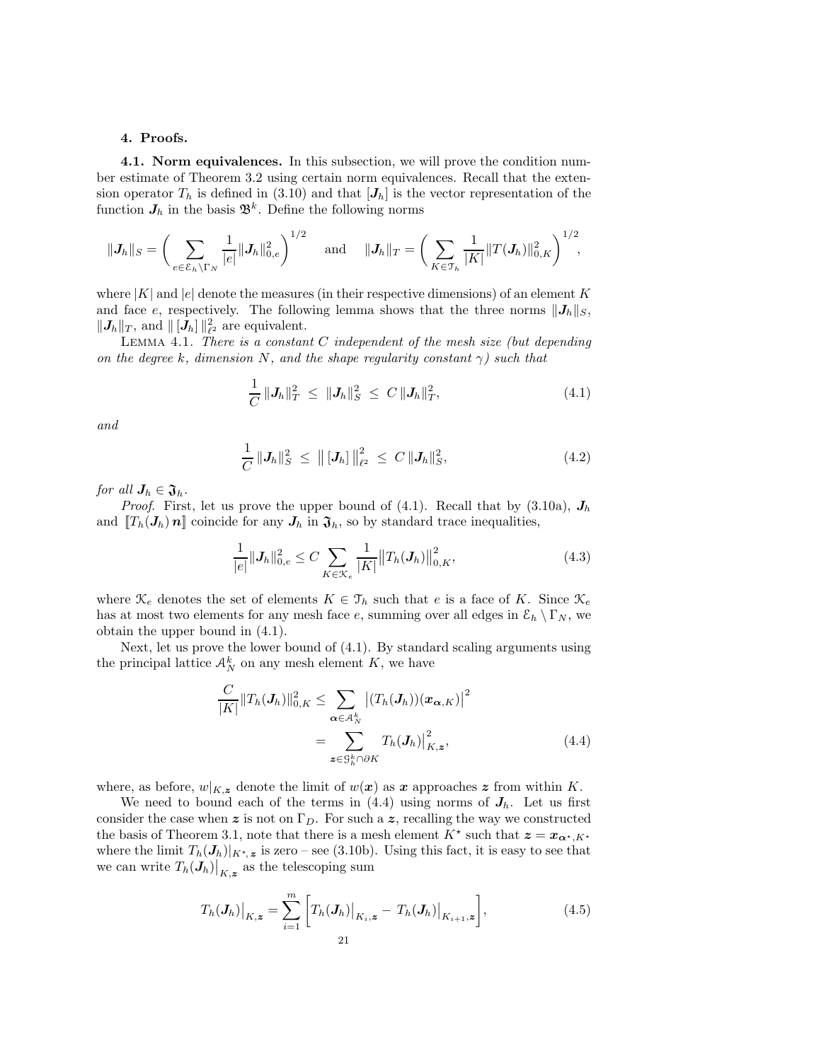### 4. Proofs.

4.1. Norm equivalences. In this subsection, we will prove the condition number estimate of Theorem 3.2 using certain norm equivalences. Recall that the extension operator  $T_h$  is defined in (3.10) and that  $[J_h]$  is the vector representation of the function  $J_h$  in the basis  $\mathfrak{B}^k$ . Define the following norms

$$
\|\bm{J}_h\|_S = \bigg(\sum_{e \in \mathcal{E}_h \backslash \Gamma_N} \frac{1}{|e|} \|\bm{J}_h\|_{0,e}^2\bigg)^{1/2} \quad \text{ and } \quad \|\bm{J}_h\|_T = \bigg(\sum_{K \in \mathcal{T}_h} \frac{1}{|K|} \|T(\bm{J}_h)\|_{0,K}^2\bigg)^{1/2},
$$

where  $|K|$  and  $|e|$  denote the measures (in their respective dimensions) of an element K and face e, respectively. The following lemma shows that the three norms  $\|\mathbf{J}_h\|_S$ ,  $||J_h||_T$ , and  $||[J_h]||_{\ell^2}^2$  are equivalent.

LEMMA 4.1. There is a constant  $C$  independent of the mesh size (but depending on the degree k, dimension N, and the shape regularity constant  $\gamma$ ) such that

$$
\frac{1}{C} \|\mathbf{J}_h\|_{T}^2 \leq \|\mathbf{J}_h\|_{S}^2 \leq C \|\mathbf{J}_h\|_{T}^2, \tag{4.1}
$$

and

$$
\frac{1}{C} \|\mathbf{J}_h\|_S^2 \leq \|[\mathbf{J}_h]\|_{\ell^2}^2 \leq C \|\mathbf{J}_h\|_S^2, \tag{4.2}
$$

for all  $J_h \in \mathfrak{J}_h$ .

*Proof.* First, let us prove the upper bound of  $(4.1)$ . Recall that by  $(3.10a)$ ,  $J_h$ and  $[T_h(\mathbf{J}_h)\mathbf{n}]$  coincide for any  $\mathbf{J}_h$  in  $\mathfrak{J}_h$ , so by standard trace inequalities,

$$
\frac{1}{|e|} \| \mathbf{J}_h \|_{0,e}^2 \le C \sum_{K \in \mathcal{K}_e} \frac{1}{|K|} \| T_h(\mathbf{J}_h) \|_{0,K}^2,
$$
\n(4.3)

where  $\mathcal{K}_e$  denotes the set of elements  $K \in \mathcal{T}_h$  such that e is a face of K. Since  $\mathcal{K}_e$ has at most two elements for any mesh face e, summing over all edges in  $\mathcal{E}_h \setminus \Gamma_N$ , we obtain the upper bound in (4.1).

Next, let us prove the lower bound of (4.1). By standard scaling arguments using the principal lattice  $\mathcal{A}_N^k$  on any mesh element K, we have

$$
\frac{C}{|K|} \|T_h(\mathbf{J}_h)\|_{0,K}^2 \leq \sum_{\alpha \in \mathcal{A}_N^k} |(T_h(\mathbf{J}_h))(x_{\alpha,K})|^2
$$

$$
= \sum_{\mathbf{z} \in \mathcal{G}_h^k \cap \partial K} T_h(\mathbf{J}_h)\big|_{K,\mathbf{z}}^2, \tag{4.4}
$$

where, as before,  $w|_{K,z}$  denote the limit of  $w(x)$  as x approaches z from within K.

We need to bound each of the terms in  $(4.4)$  using norms of  $J_h$ . Let us first consider the case when z is not on  $\Gamma_D$ . For such a z, recalling the way we constructed the basis of Theorem 3.1, note that there is a mesh element  $K^*$  such that  $\mathbf{z} = \mathbf{x}_{\alpha^*, K^*}$ where the limit  $T_h(\mathbf{J}_h)|_{K^*,\mathbf{z}}$  is zero – see (3.10b). Using this fact, it is easy to see that we can write  $T_h(\mathbf{J}_h)|_{K,\boldsymbol{z}}$  as the telescoping sum

$$
T_h(\mathbf{J}_h)|_{K,\mathbf{z}} = \sum_{i=1}^m \left[ T_h(\mathbf{J}_h)|_{K_i,\mathbf{z}} - T_h(\mathbf{J}_h)|_{K_{i+1},\mathbf{z}} \right],
$$
\n(4.5)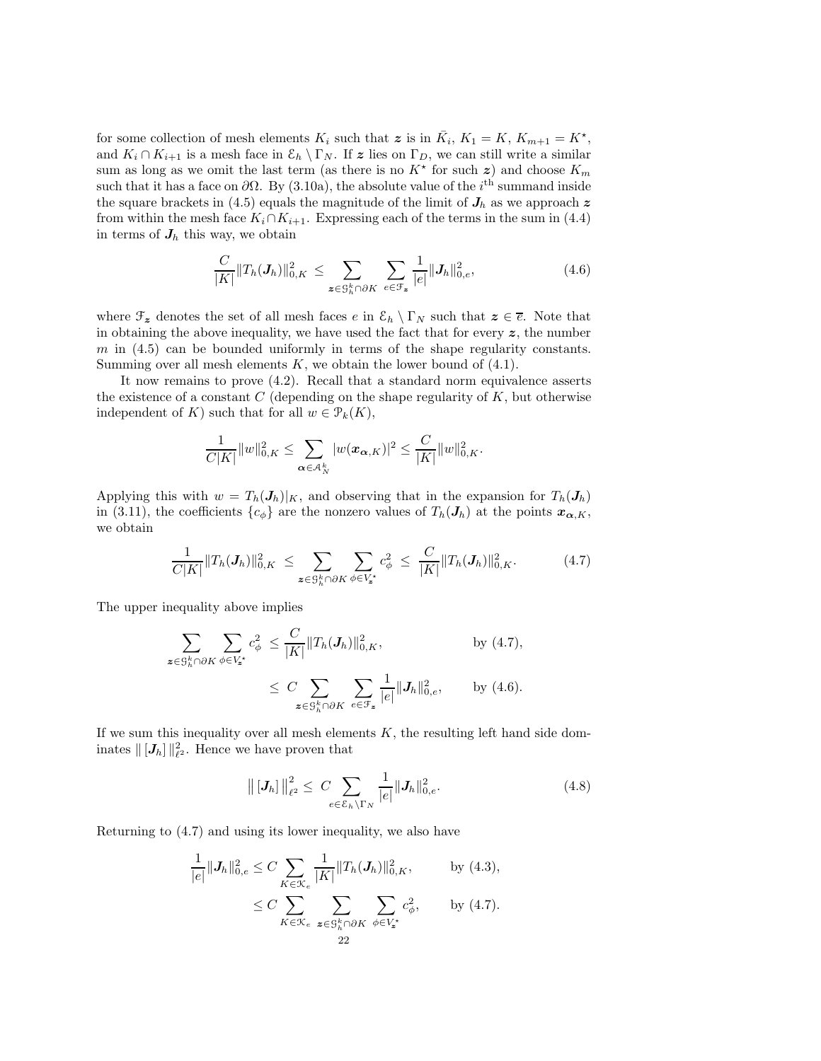for some collection of mesh elements  $K_i$  such that  $\boldsymbol{z}$  is in  $\bar{K}_i$ ,  $K_1 = K$ ,  $K_{m+1} = K^*$ , and  $K_i \cap K_{i+1}$  is a mesh face in  $\mathcal{E}_h \setminus \Gamma_N$ . If z lies on  $\Gamma_D$ , we can still write a similar sum as long as we omit the last term (as there is no  $K^*$  for such  $z$ ) and choose  $K_m$ such that it has a face on  $\partial\Omega$ . By (3.10a), the absolute value of the i<sup>th</sup> summand inside the square brackets in (4.5) equals the magnitude of the limit of  $J_h$  as we approach z from within the mesh face  $K_i \cap K_{i+1}$ . Expressing each of the terms in the sum in (4.4) in terms of  $J_h$  this way, we obtain

$$
\frac{C}{|K|}||T_h(\mathbf{J}_h)||_{0,K}^2 \leq \sum_{\mathbf{z}\in\mathcal{S}_h^k\cap\partial K} \sum_{e\in\mathcal{F}_{\mathbf{z}}} \frac{1}{|e|}||\mathbf{J}_h||_{0,e}^2,
$$
\n(4.6)

where  $\mathcal{F}_z$  denotes the set of all mesh faces e in  $\mathcal{E}_h \setminus \Gamma_N$  such that  $z \in \overline{e}$ . Note that in obtaining the above inequality, we have used the fact that for every  $z$ , the number  $m$  in  $(4.5)$  can be bounded uniformly in terms of the shape regularity constants. Summing over all mesh elements  $K$ , we obtain the lower bound of  $(4.1)$ .

It now remains to prove (4.2). Recall that a standard norm equivalence asserts the existence of a constant  $C$  (depending on the shape regularity of  $K$ , but otherwise independent of K) such that for all  $w \in \mathcal{P}_k(K)$ ,

$$
\frac{1}{C|K|}||w||_{0,K}^2 \leq \sum_{\alpha \in A_N^k} |w(\mathbf{x}_{\alpha,K})|^2 \leq \frac{C}{|K|}||w||_{0,K}^2.
$$

Applying this with  $w = T_h(\mathbf{J}_h)|_K$ , and observing that in the expansion for  $T_h(\mathbf{J}_h)$ in (3.11), the coefficients  $\{c_{\phi}\}\$ are the nonzero values of  $T_h(\mathbf{J}_h)$  at the points  $\mathbf{x}_{\alpha,K}$ , we obtain

$$
\frac{1}{C|K|}||T_h(\mathbf{J}_h)||_{0,K}^2 \leq \sum_{\mathbf{z}\in\mathcal{S}_h^k\cap\partial K} \sum_{\phi\in V_{\mathbf{z}}^*} c_{\phi}^2 \leq \frac{C}{|K|}||T_h(\mathbf{J}_h)||_{0,K}^2. \tag{4.7}
$$

The upper inequality above implies

$$
\sum_{\mathbf{z}\in\mathcal{S}_{h}^{k}\cap\partial K}\sum_{\phi\in V_{\mathbf{z}^*}}c_{\phi}^2 \leq \frac{C}{|K|}\|T_h(\mathbf{J}_h)\|_{0,K}^2, \quad \text{by (4.7)},
$$
\n
$$
\leq C \sum_{\mathbf{z}\in\mathcal{S}_{h}^{k}\cap\partial K}\sum_{e\in\mathcal{F}_{\mathbf{z}}} \frac{1}{|e|}\|\mathbf{J}_h\|_{0,e}^2, \quad \text{by (4.6)}.
$$

If we sum this inequality over all mesh elements  $K$ , the resulting left hand side dominates  $\| [J_h] \|_{\ell^2}^2$ . Hence we have proven that

$$
\| [J_h] \|_{\ell^2}^2 \le C \sum_{e \in \mathcal{E}_h \backslash \Gamma_N} \frac{1}{|e|} \| J_h \|_{0,e}^2.
$$
 (4.8)

Returning to (4.7) and using its lower inequality, we also have

$$
\frac{1}{|e|} \|\mathbf{J}_h\|_{0,e}^2 \leq C \sum_{K \in \mathcal{K}_e} \frac{1}{|K|} \|T_h(\mathbf{J}_h)\|_{0,K}^2, \quad \text{by (4.3)},
$$
\n
$$
\leq C \sum_{K \in \mathcal{K}_e} \sum_{\mathbf{z} \in \mathcal{G}_h^k \cap \partial K} \sum_{\phi \in V_{\mathbf{z}^*}} c_\phi^2, \quad \text{by (4.7)}.
$$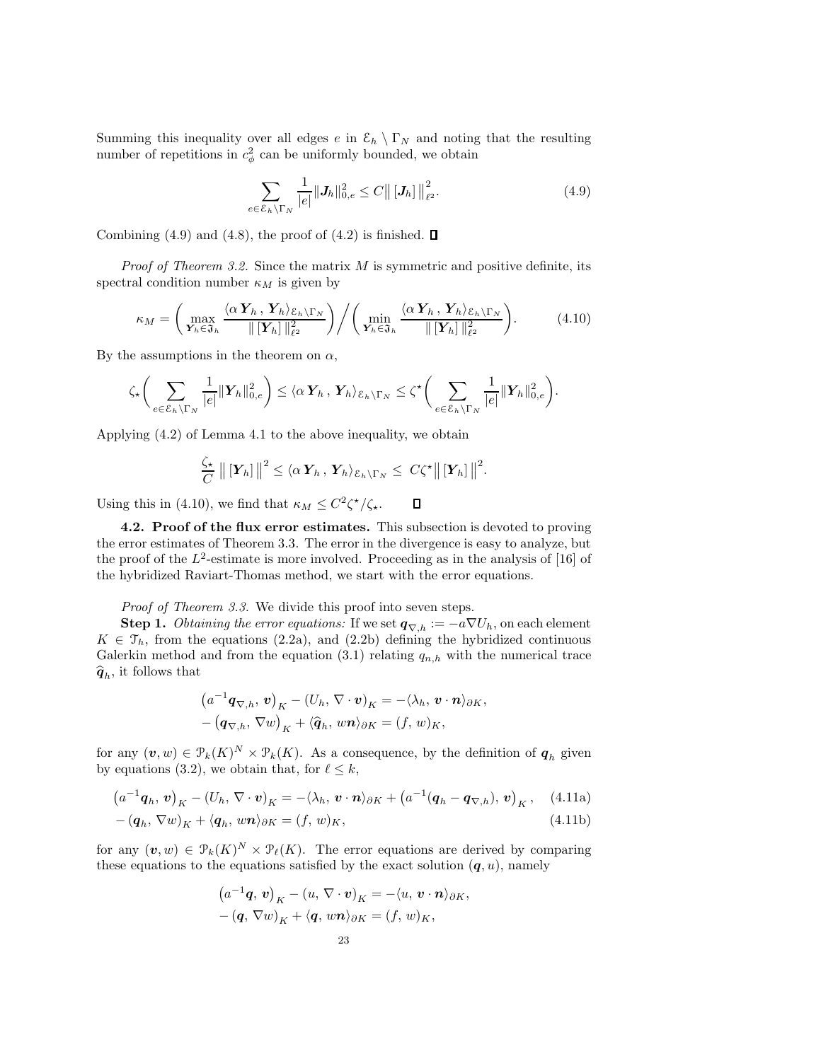Summing this inequality over all edges e in  $\mathcal{E}_h \setminus \Gamma_N$  and noting that the resulting number of repetitions in  $c^2_\phi$  can be uniformly bounded, we obtain

$$
\sum_{e \in \mathcal{E}_h \backslash \Gamma_N} \frac{1}{|e|} \|J_h\|_{0,e}^2 \le C \big\| [J_h] \big\|_{\ell^2}^2.
$$
 (4.9)

Combining (4.9) and (4.8), the proof of (4.2) is finished.  $\Box$ 

*Proof of Theorem 3.2.* Since the matrix  $M$  is symmetric and positive definite, its spectral condition number  $\kappa_M$  is given by

$$
\kappa_M = \left(\max_{\mathbf{Y}_h \in \mathfrak{F}_h} \frac{\langle \alpha \mathbf{Y}_h, \mathbf{Y}_h \rangle_{\mathcal{E}_h \setminus \Gamma_N}}{\|[\mathbf{Y}_h] \|_{\ell^2}^2}\right) \bigg/ \left(\min_{\mathbf{Y}_h \in \mathfrak{F}_h} \frac{\langle \alpha \mathbf{Y}_h, \mathbf{Y}_h \rangle_{\mathcal{E}_h \setminus \Gamma_N}}{\|[\mathbf{Y}_h] \|_{\ell^2}^2}\right).
$$
(4.10)

By the assumptions in the theorem on  $\alpha$ ,

$$
\zeta_{\star}\bigg(\sum_{e\in\mathcal{E}_h\backslash\Gamma_N}\frac{1}{|e|}\|\mathbf{Y}_h\|_{0,e}^2\bigg) \leq \langle\alpha\,\mathbf{Y}_h\,,\,\mathbf{Y}_h\rangle_{\mathcal{E}_h\backslash\Gamma_N} \leq \zeta^{\star}\bigg(\sum_{e\in\mathcal{E}_h\backslash\Gamma_N}\frac{1}{|e|}\|\mathbf{Y}_h\|_{0,e}^2\bigg).
$$

Applying (4.2) of Lemma 4.1 to the above inequality, we obtain

$$
\frac{\zeta_{\star}}{C} \left\| \left[ \boldsymbol{Y}_h \right] \right\|^2 \leq \langle \alpha \, \boldsymbol{Y}_h \, , \, \boldsymbol{Y}_h \rangle_{\mathcal{E}_h \setminus \Gamma_N} \leq \, C \zeta^{\star} \left\| \left[ \boldsymbol{Y}_h \right] \right\|^2.
$$

Using this in (4.10), we find that  $\kappa_M \leq C^2 \zeta^* / \zeta_*$ .  $\Box$ 

4.2. Proof of the flux error estimates. This subsection is devoted to proving the error estimates of Theorem 3.3. The error in the divergence is easy to analyze, but the proof of the  $L^2$ -estimate is more involved. Proceeding as in the analysis of [16] of the hybridized Raviart-Thomas method, we start with the error equations.

Proof of Theorem 3.3. We divide this proof into seven steps.

**Step 1.** Obtaining the error equations: If we set  $q_{\nabla,h} := -a\nabla U_h$ , on each element  $K \in \mathcal{T}_h$ , from the equations (2.2a), and (2.2b) defining the hybridized continuous Galerkin method and from the equation (3.1) relating  $q_{n,h}$  with the numerical trace  $\hat{\boldsymbol{q}}_h$ , it follows that

$$
(a^{-1}\mathbf{q}_{\nabla,h}, \mathbf{v})_K - (U_h, \nabla \cdot \mathbf{v})_K = -\langle \lambda_h, \mathbf{v} \cdot \mathbf{n} \rangle_{\partial K},
$$

$$
-(\mathbf{q}_{\nabla,h}, \nabla w)_K + \langle \widehat{\mathbf{q}}_h, w\mathbf{n} \rangle_{\partial K} = (f, w)_K,
$$

for any  $(v, w) \in \mathcal{P}_k(K)^N \times \mathcal{P}_k(K)$ . As a consequence, by the definition of  $q_h$  given by equations (3.2), we obtain that, for  $\ell \leq k$ ,

$$
(a^{-1}\mathbf{q}_h, \mathbf{v})_K - (U_h, \nabla \cdot \mathbf{v})_K = -\langle \lambda_h, \mathbf{v} \cdot \mathbf{n} \rangle_{\partial K} + (a^{-1}(\mathbf{q}_h - \mathbf{q}_{\nabla,h}), \mathbf{v})_K, \quad (4.11a)
$$

$$
-(\boldsymbol{q}_h, \nabla w)_K + \langle \boldsymbol{q}_h, w\boldsymbol{n} \rangle_{\partial K} = (f, w)_K, \tag{4.11b}
$$

for any  $(v, w) \in \mathcal{P}_k(K)^N \times \mathcal{P}_\ell(K)$ . The error equations are derived by comparing these equations to the equations satisfied by the exact solution  $(q, u)$ , namely

$$
(a^{-1}\mathbf{q}, \mathbf{v})_K - (u, \nabla \cdot \mathbf{v})_K = -\langle u, \mathbf{v} \cdot \mathbf{n} \rangle_{\partial K},
$$

$$
-(\mathbf{q}, \nabla w)_K + \langle \mathbf{q}, w\mathbf{n} \rangle_{\partial K} = (f, w)_K,
$$

$$
23
$$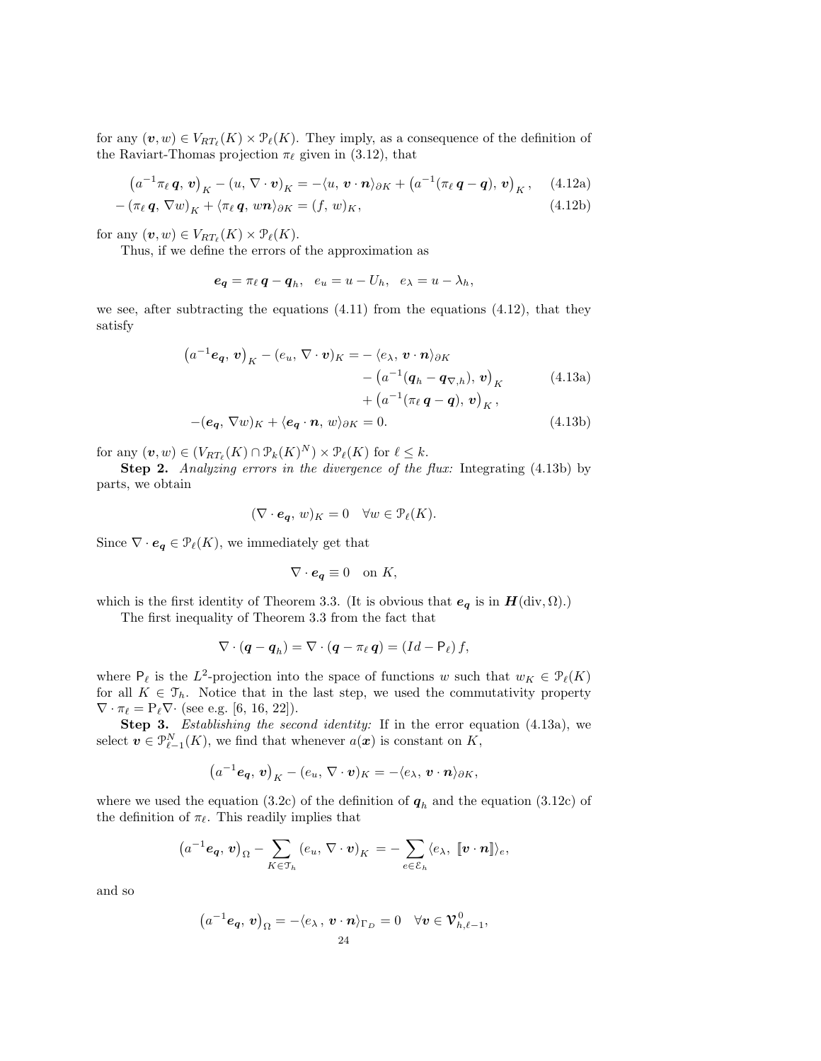for any  $(\boldsymbol{v}, w) \in V_{RT_{\ell}}(K) \times \mathcal{P}_{\ell}(K)$ . They imply, as a consequence of the definition of the Raviart-Thomas projection  $\pi_{\ell}$  given in (3.12), that

$$
(a^{-1}\pi_{\ell}\mathbf{q},\mathbf{v})_{K} - (u,\nabla\cdot\mathbf{v})_{K} = -\langle u,\mathbf{v}\cdot\mathbf{n}\rangle_{\partial K} + (a^{-1}(\pi_{\ell}\mathbf{q}-\mathbf{q}),\mathbf{v})_{K},\quad(4.12a)
$$

$$
-(\pi_{\ell}\mathbf{q}, \nabla w)_{K} + \langle \pi_{\ell}\mathbf{q}, w\mathbf{n} \rangle_{\partial K} = (f, w)_{K},
$$
\n(4.12b)

for any  $(\boldsymbol{v}, w) \in V_{RT_{\ell}}(K) \times \mathcal{P}_{\ell}(K)$ .

Thus, if we define the errors of the approximation as

$$
e_{q} = \pi_{\ell} q - q_{h}, \quad e_{u} = u - U_{h}, \quad e_{\lambda} = u - \lambda_{h},
$$

we see, after subtracting the equations (4.11) from the equations (4.12), that they satisfy

$$
(a^{-1}\mathbf{e}_{\mathbf{q}}, \mathbf{v})_{K} - (e_{u}, \nabla \cdot \mathbf{v})_{K} = -\langle e_{\lambda}, \mathbf{v} \cdot \mathbf{n} \rangle_{\partial K} - (a^{-1}(\mathbf{q}_{h} - \mathbf{q}_{\nabla,h}), \mathbf{v})_{K} + (a^{-1}(\pi_{\ell} \mathbf{q} - \mathbf{q}), \mathbf{v})_{K},
$$
\n(4.13a)

$$
-(\mathbf{e}_q, \nabla w)_K + \langle \mathbf{e}_q \cdot \mathbf{n}, w \rangle_{\partial K} = 0. \tag{4.13b}
$$

for any  $(\boldsymbol{v}, w) \in (V_{RT_{\ell}}(K) \cap \mathcal{P}_k(K)^N) \times \mathcal{P}_{\ell}(K)$  for  $\ell \leq k$ .

Step 2. Analyzing errors in the divergence of the flux: Integrating (4.13b) by parts, we obtain

$$
(\nabla \cdot \mathbf{e}_q, w)_K = 0 \quad \forall w \in \mathcal{P}_{\ell}(K).
$$

Since  $\nabla \cdot \mathbf{e}_{q} \in \mathcal{P}_{\ell}(K)$ , we immediately get that

$$
\nabla \cdot \mathbf{e}_{q} \equiv 0 \quad \text{on } K,
$$

which is the first identity of Theorem 3.3. (It is obvious that  $e_q$  is in  $H(\text{div}, \Omega)$ .)

The first inequality of Theorem 3.3 from the fact that

$$
\nabla \cdot (\boldsymbol{q} - \boldsymbol{q}_h) = \nabla \cdot (\boldsymbol{q} - \pi_\ell \, \boldsymbol{q}) = (Id - \mathsf{P}_\ell) \, f,
$$

where  $P_{\ell}$  is the L<sup>2</sup>-projection into the space of functions w such that  $w_K \in \mathcal{P}_{\ell}(K)$ for all  $K \in \mathcal{T}_h$ . Notice that in the last step, we used the commutativity property  $\nabla \cdot \pi_{\ell} = P_{\ell} \nabla \cdot$  (see e.g. [6, 16, 22]).

Step 3. Establishing the second identity: If in the error equation (4.13a), we select  $\boldsymbol{v} \in \mathcal{P}_{\ell-1}^N(K)$ , we find that whenever  $a(\boldsymbol{x})$  is constant on K,

$$
(a^{-1}\mathbf{e}_{q},\mathbf{v})_{K}-(e_{u},\nabla\cdot\mathbf{v})_{K}=-\langle e_{\lambda},\mathbf{v}\cdot\mathbf{n}\rangle_{\partial K},
$$

where we used the equation (3.2c) of the definition of  $q_h$  and the equation (3.12c) of the definition of  $\pi_{\ell}$ . This readily implies that

$$
(a^{-1}\mathbf{e}_{q},\mathbf{v})_{\Omega}-\sum_{K\in\mathfrak{I}_{h}}(e_{u},\nabla\cdot\mathbf{v})_{K}=-\sum_{e\in\mathcal{E}_{h}}\langle e_{\lambda},\ [v\cdot\mathbf{n}]\rangle_{e},
$$

and so

$$
(a^{-1}\mathbf{e}_{\mathbf{q}},\mathbf{v})_{\Omega} = -\langle e_{\lambda},\mathbf{v}\cdot\mathbf{n}\rangle_{\Gamma_D} = 0 \quad \forall \mathbf{v} \in \mathbf{V}_{h,\ell-1}^0,
$$
  
24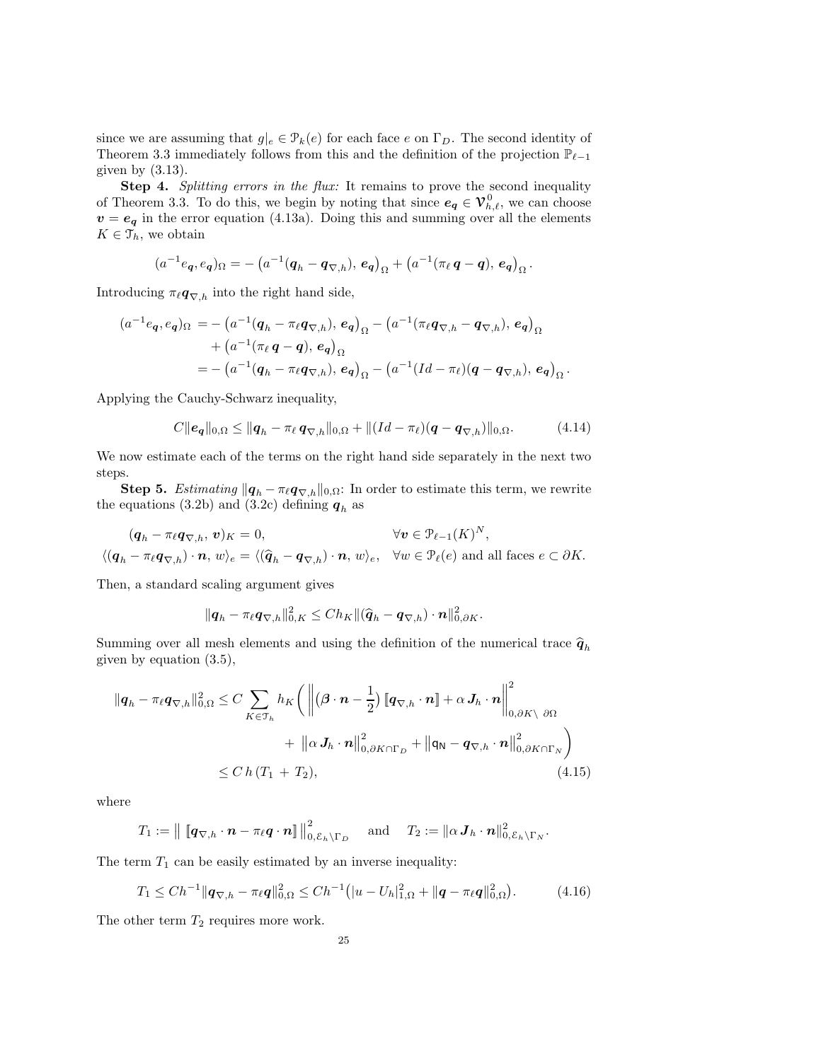since we are assuming that  $g|_e \in \mathcal{P}_k(e)$  for each face e on  $\Gamma_D$ . The second identity of Theorem 3.3 immediately follows from this and the definition of the projection  $\mathbb{P}_{\ell-1}$ given by  $(3.13)$ .

Step 4. Splitting errors in the flux: It remains to prove the second inequality of Theorem 3.3. To do this, we begin by noting that since  $e_q \in V_{h,\ell}^0$ , we can choose  $v = e_q$  in the error equation (4.13a). Doing this and summing over all the elements  $K \in \mathcal{T}_h$ , we obtain

$$
(a^{-1}e_{\bm{q}},e_{\bm{q}})_{\Omega} = -(a^{-1}(\bm{q}_h - \bm{q}_{\nabla,h}), e_{\bm{q}})_{\Omega} + (a^{-1}(\pi_\ell \, \bm{q} - \bm{q}), e_{\bm{q}})_{\Omega}.
$$

Introducing  $\pi_{\ell} \mathbf{q}_{\nabla,h}$  into the right hand side,

$$
(a^{-1}e_q, e_q)_{\Omega} = -\left(a^{-1}(\boldsymbol{q}_h - \pi_{\ell}\boldsymbol{q}_{\nabla,h}), e_q\right)_{\Omega} - \left(a^{-1}(\pi_{\ell}\boldsymbol{q}_{\nabla,h} - \boldsymbol{q}_{\nabla,h}), e_q\right)_{\Omega}
$$
  
+ 
$$
\left(a^{-1}(\pi_{\ell}\boldsymbol{q} - \boldsymbol{q}), e_q\right)_{\Omega}
$$
  
= 
$$
-\left(a^{-1}(\boldsymbol{q}_h - \pi_{\ell}\boldsymbol{q}_{\nabla,h}), e_q\right)_{\Omega} - \left(a^{-1}(Id - \pi_{\ell})(\boldsymbol{q} - \boldsymbol{q}_{\nabla,h}), e_q\right)_{\Omega}.
$$

Applying the Cauchy-Schwarz inequality,

$$
C||e_{\mathbf{q}}||_{0,\Omega} \leq ||\mathbf{q}_h - \pi_\ell \mathbf{q}_{\nabla,h}||_{0,\Omega} + ||(Id - \pi_\ell)(\mathbf{q} - \mathbf{q}_{\nabla,h})||_{0,\Omega}.
$$
 (4.14)

We now estimate each of the terms on the right hand side separately in the next two steps.

**Step 5.** Estimating  $||\boldsymbol{q}_h - \pi_\ell \boldsymbol{q}_{\nabla,h}||_{0,\Omega}$ : In order to estimate this term, we rewrite the equations (3.2b) and (3.2c) defining  $q_h$  as

$$
(\boldsymbol{q}_h - \pi_\ell \boldsymbol{q}_{\nabla,h}, \boldsymbol{v})_K = 0, \qquad \forall \boldsymbol{v} \in \mathcal{P}_{\ell-1}(K)^N,
$$
  

$$
\langle (\boldsymbol{q}_h - \pi_\ell \boldsymbol{q}_{\nabla,h}) \cdot \boldsymbol{n}, \, w \rangle_e = \langle (\widehat{\boldsymbol{q}}_h - \boldsymbol{q}_{\nabla,h}) \cdot \boldsymbol{n}, \, w \rangle_e, \quad \forall w \in \mathcal{P}_{\ell}(e) \text{ and all faces } e \subset \partial K.
$$

Then, a standard scaling argument gives

$$
\|\boldsymbol{q}_h - \pi_\ell \boldsymbol{q}_{\nabla,h}\|_{0,K}^2 \leq Ch_K \|(\widehat{\boldsymbol{q}}_h - \boldsymbol{q}_{\nabla,h}) \cdot \boldsymbol{n}\|_{0,\partial K}^2.
$$

Summing over all mesh elements and using the definition of the numerical trace  $\hat{q}_h$ given by equation (3.5),

$$
\begin{split} \|\boldsymbol{q}_{h} - \pi_{\ell} \boldsymbol{q}_{\nabla,h} \|_{0,\Omega}^{2} &\leq C \sum_{K \in \mathcal{T}_{h}} h_{K} \bigg( \left\| (\boldsymbol{\beta} \cdot \boldsymbol{n} - \frac{1}{2}) \left[ \boldsymbol{q}_{\nabla,h} \cdot \boldsymbol{n} \right] + \alpha \, \boldsymbol{J}_{h} \cdot \boldsymbol{n} \right\|_{0,\partial K \setminus \partial \Omega}^{2} \\ &+ \left\| \alpha \, \boldsymbol{J}_{h} \cdot \boldsymbol{n} \right\|_{0,\partial K \cap \Gamma_{D}}^{2} + \left\| \boldsymbol{q}_{\mathsf{N}} - \boldsymbol{q}_{\nabla,h} \cdot \boldsymbol{n} \right\|_{0,\partial K \cap \Gamma_{N}}^{2} \bigg) \\ &\leq C \, h \, (T_{1} + T_{2}), \end{split} \tag{4.15}
$$

where

$$
T_1 := \left\| \left[ \mathbf{q}_{\nabla,h} \cdot \boldsymbol{n} - \pi_{\ell} \boldsymbol{q} \cdot \boldsymbol{n} \right] \right\|_{0,\mathcal{E}_h \setminus \Gamma_D}^2 \quad \text{and} \quad T_2 := \left\| \alpha \boldsymbol{J}_h \cdot \boldsymbol{n} \right\|_{0,\mathcal{E}_h \setminus \Gamma_N}^2.
$$

The term  $T_1$  can be easily estimated by an inverse inequality:

$$
T_1 \leq Ch^{-1} \|\mathbf{q}_{\nabla,h} - \pi_{\ell}\mathbf{q}\|_{0,\Omega}^2 \leq Ch^{-1} \big( |u - U_h|_{1,\Omega}^2 + \|\mathbf{q} - \pi_{\ell}\mathbf{q}\|_{0,\Omega}^2 \big). \tag{4.16}
$$

The other term  $T_2$  requires more work.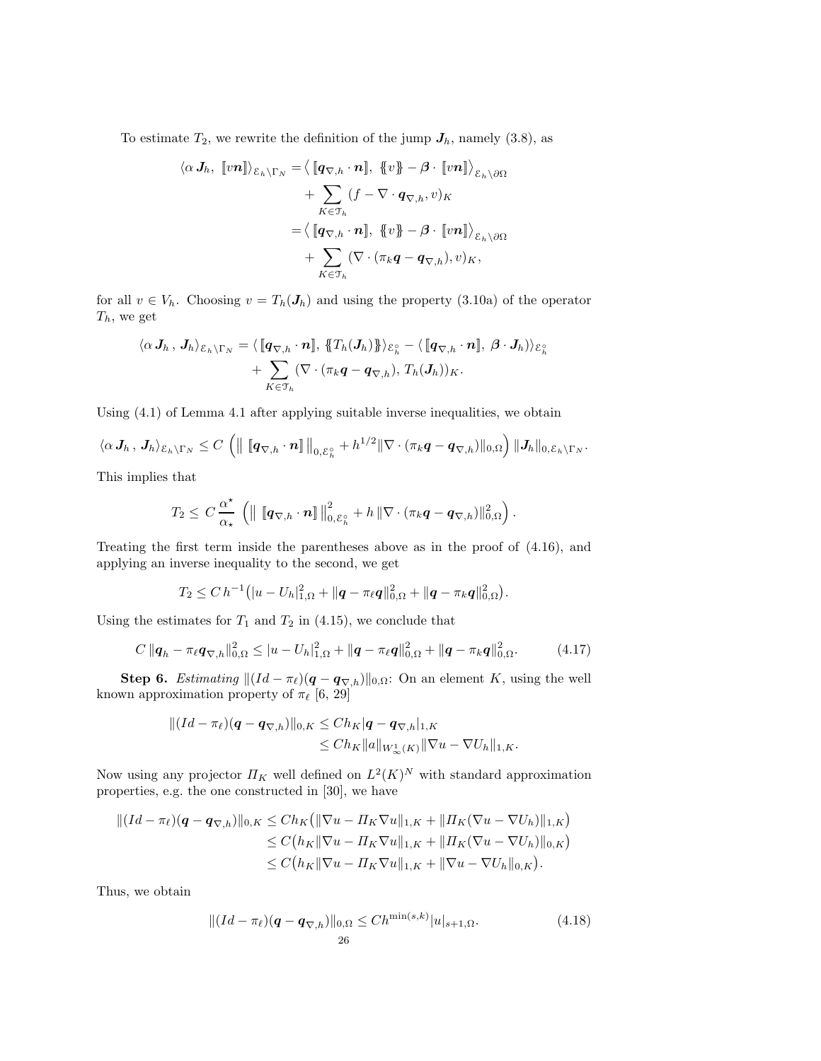To estimate  $T_2$ , we rewrite the definition of the jump  $J_h$ , namely (3.8), as

$$
\langle \alpha J_h, [vn] \rangle_{\mathcal{E}_h \setminus \Gamma_N} = \langle [q_{\nabla, h} \cdot n], [v] \rangle - \beta \cdot [vn] \rangle_{\mathcal{E}_h \setminus \partial \Omega} + \sum_{K \in \mathcal{T}_h} (f - \nabla \cdot q_{\nabla, h}, v)_K = \langle [q_{\nabla, h} \cdot n], [v] \rangle - \beta \cdot [vn] \rangle_{\mathcal{E}_h \setminus \partial \Omega} + \sum_{K \in \mathcal{T}_h} (\nabla \cdot (\pi_k q - q_{\nabla, h}), v)_K,
$$

for all  $v \in V_h$ . Choosing  $v = T_h(J_h)$  and using the property (3.10a) of the operator  $\mathcal{T}_h,$  we get

$$
\begin{aligned} \langle \alpha \, \boldsymbol{J}_h \, , \, \boldsymbol{J}_h \rangle_{\mathcal{E}_h \setminus \Gamma_N} &= \langle \, \llbracket \boldsymbol{q}_{\nabla,h} \cdot \boldsymbol{n} \rrbracket, \, \, \llbracket T_h(\boldsymbol{J}_h) \rrbracket \rangle_{\mathcal{E}_h^{\circ}} - \langle \, \llbracket \boldsymbol{q}_{\nabla,h} \cdot \boldsymbol{n} \rrbracket, \, \, \boldsymbol{\beta} \cdot \boldsymbol{J}_h \rangle \rangle_{\mathcal{E}_h^{\circ}} \\ &+ \sum_{K \in \mathfrak{T}_h} (\nabla \cdot (\pi_k \boldsymbol{q} - \boldsymbol{q}_{\nabla,h}), \, T_h(\boldsymbol{J}_h))_K. \end{aligned}
$$

Using (4.1) of Lemma 4.1 after applying suitable inverse inequalities, we obtain

$$
\langle \alpha J_h, J_h \rangle_{\mathcal{E}_h \setminus \Gamma_N} \leq C \left( \left\| \left[ \mathbf{q}_{\nabla,h} \cdot \mathbf{n} \right] \right\|_{0,\mathcal{E}_h^{\circ}} + h^{1/2} \|\nabla \cdot (\pi_k \mathbf{q} - \mathbf{q}_{\nabla,h})\|_{0,\Omega} \right) \|\mathbf{J}_h\|_{0,\mathcal{E}_h \setminus \Gamma_N}.
$$

This implies that

$$
T_2 \leq C \frac{\alpha^{\star}}{\alpha_{\star}} \left( \left\| \left[ \mathbf{q}_{\nabla,h} \cdot \boldsymbol{n} \right] \right\|_{0,\mathcal{E}_h^{\circ}}^2 + h \left\| \nabla \cdot (\pi_k \boldsymbol{q} - \boldsymbol{q}_{\nabla,h}) \right\|_{0,\Omega}^2 \right).
$$

Treating the first term inside the parentheses above as in the proof of (4.16), and applying an inverse inequality to the second, we get

$$
T_2 \leq C h^{-1} \big( |u - U_h|_{1,\Omega}^2 + \|\boldsymbol{q} - \pi_\ell \boldsymbol{q}\|_{0,\Omega}^2 + \|\boldsymbol{q} - \pi_k \boldsymbol{q}\|_{0,\Omega}^2 \big).
$$

Using the estimates for  $T_1$  and  $T_2$  in (4.15), we conclude that

$$
C \|\mathbf{q}_h - \pi_\ell \mathbf{q}_{\nabla,h}\|_{0,\Omega}^2 \le |u - U_h|_{1,\Omega}^2 + \|\mathbf{q} - \pi_\ell \mathbf{q}\|_{0,\Omega}^2 + \|\mathbf{q} - \pi_k \mathbf{q}\|_{0,\Omega}^2. \tag{4.17}
$$

Step 6. Estimating  $||(Id - \pi_{\ell})(\boldsymbol{q} - \boldsymbol{q}_{\nabla,h})||_{0,\Omega}$ : On an element K, using the well known approximation property of  $\pi_{\ell}$  [6, 29]

$$
|| (Id - \pi_{\ell})(\boldsymbol{q} - \boldsymbol{q}_{\nabla,h}) ||_{0,K} \leq Ch_K |\boldsymbol{q} - \boldsymbol{q}_{\nabla,h}|_{1,K} \leq Ch_K ||\boldsymbol{a}||_{W^1_{\infty}(K)} ||\nabla \boldsymbol{u} - \nabla U_h||_{1,K}.
$$

Now using any projector  $\Pi_K$  well defined on  $L^2(K)^N$  with standard approximation properties, e.g. the one constructed in [30], we have

$$
\begin{aligned} \|(Id - \pi_{\ell})(\boldsymbol{q} - \boldsymbol{q}_{\nabla,h})\|_{0,K} &\leq Ch_K \big(\|\nabla u - \Pi_K \nabla u\|_{1,K} + \|\Pi_K (\nabla u - \nabla U_h)\|_{1,K}\big) \\ &\leq C\big(h_K \|\nabla u - \Pi_K \nabla u\|_{1,K} + \|\Pi_K (\nabla u - \nabla U_h)\|_{0,K}\big) \\ &\leq C\big(h_K \|\nabla u - \Pi_K \nabla u\|_{1,K} + \|\nabla u - \nabla U_h\|_{0,K}\big). \end{aligned}
$$

Thus, we obtain

$$
||(Id - \pi_{\ell})(\boldsymbol{q} - \boldsymbol{q}_{\nabla,h})||_{0,\Omega} \leq Ch^{\min(s,k)}|u|_{s+1,\Omega}.
$$
\n(4.18)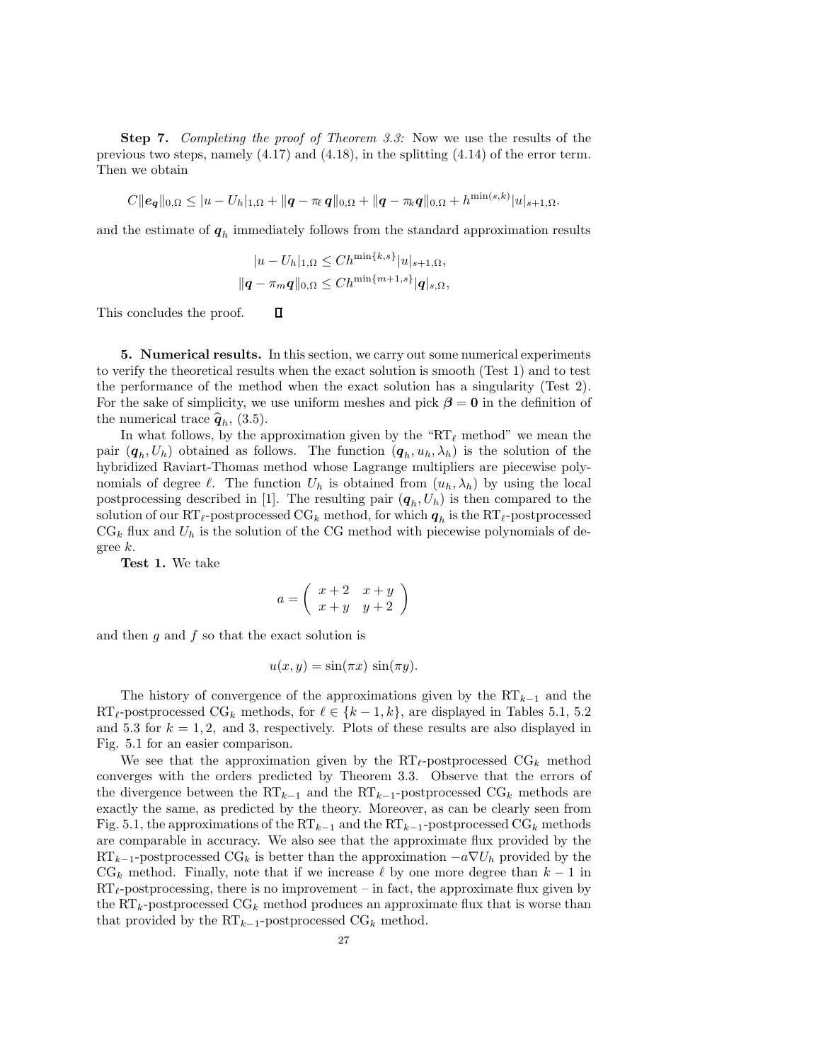**Step 7.** Completing the proof of Theorem 3.3: Now we use the results of the previous two steps, namely (4.17) and (4.18), in the splitting (4.14) of the error term. Then we obtain

$$
C||e_{q}||_{0,\Omega} \leq |u - U_{h}|_{1,\Omega} + ||q - \pi_{\ell} q||_{0,\Omega} + ||q - \pi_{\ell} q||_{0,\Omega} + h^{\min(s,k)}|u|_{s+1,\Omega}.
$$

and the estimate of  $q_h$  immediately follows from the standard approximation results

$$
|u - U_h|_{1,\Omega} \le Ch^{\min\{k,s\}} |u|_{s+1,\Omega},
$$
  

$$
||q - \pi_m q||_{0,\Omega} \le Ch^{\min\{m+1,s\}} |q|_{s,\Omega},
$$

 $\Box$ This concludes the proof.

5. Numerical results. In this section, we carry out some numerical experiments to verify the theoretical results when the exact solution is smooth (Test 1) and to test the performance of the method when the exact solution has a singularity (Test 2). For the sake of simplicity, we use uniform meshes and pick  $\beta = 0$  in the definition of the numerical trace  $\hat{q}_h$ , (3.5).

In what follows, by the approximation given by the "RT<sub> $\ell$ </sub> method" we mean the pair  $(q_h, U_h)$  obtained as follows. The function  $(q_h, u_h, \lambda_h)$  is the solution of the hybridized Raviart-Thomas method whose Lagrange multipliers are piecewise polynomials of degree  $\ell$ . The function  $U_h$  is obtained from  $(u_h, \lambda_h)$  by using the local postprocessing described in [1]. The resulting pair  $(q_h, U_h)$  is then compared to the solution of our RT<sub>ℓ</sub>-postprocessed CG<sub>k</sub> method, for which  $\boldsymbol{q}_h$  is the RT<sub>ℓ</sub>-postprocessed  $CG_k$  flux and  $U_h$  is the solution of the CG method with piecewise polynomials of degree k.

Test 1. We take

$$
a=\left(\begin{array}{cc} x+2 & x+y \\ x+y & y+2 \end{array}\right)
$$

and then  $q$  and  $f$  so that the exact solution is

$$
u(x, y) = \sin(\pi x) \sin(\pi y).
$$

The history of convergence of the approximations given by the  $RT_{k-1}$  and the RT<sub>ℓ</sub>-postprocessed CG<sub>k</sub> methods, for  $\ell \in \{k-1,k\}$ , are displayed in Tables 5.1, 5.2 and 5.3 for  $k = 1, 2$ , and 3, respectively. Plots of these results are also displayed in Fig. 5.1 for an easier comparison.

We see that the approximation given by the  $RT_{\ell}$ -postprocessed CG<sub>k</sub> method converges with the orders predicted by Theorem 3.3. Observe that the errors of the divergence between the  $RT_{k-1}$  and the  $RT_{k-1}$ -postprocessed  $CG_k$  methods are exactly the same, as predicted by the theory. Moreover, as can be clearly seen from Fig. 5.1, the approximations of the  $RT_{k-1}$  and the  $RT_{k-1}$ -postprocessed  $CG_k$  methods are comparable in accuracy. We also see that the approximate flux provided by the  $RT_{k-1}$ -postprocessed  $CG_k$  is better than the approximation  $-a\nabla U_h$  provided by the  $CG_k$  method. Finally, note that if we increase  $\ell$  by one more degree than  $k-1$  in  $RT_{\ell}$ -postprocessing, there is no improvement – in fact, the approximate flux given by the  $RT_k$ -postprocessed  $CG_k$  method produces an approximate flux that is worse than that provided by the  $RT_{k-1}$ -postprocessed  $CG_k$  method.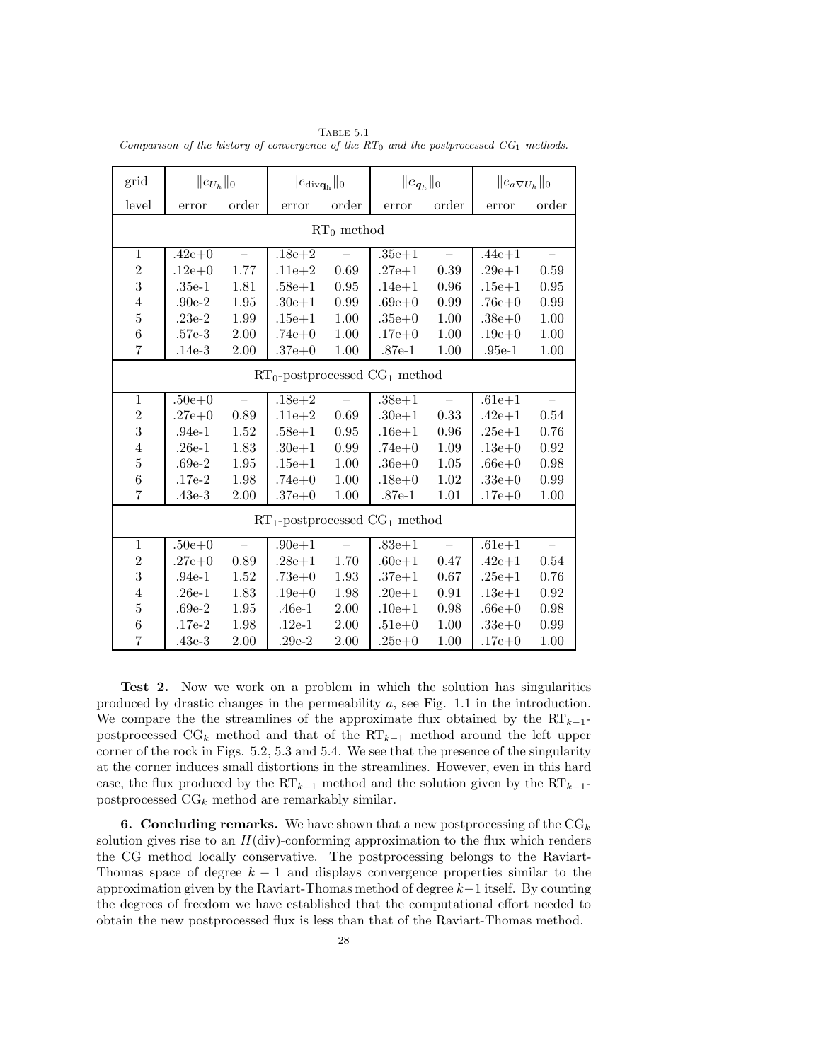TABLE  $5.1$ Comparison of the history of convergence of the  $RT_0$  and the postprocessed  $CG_1$  methods.

| grid                                | $  e_{U_h}  _0$ |                          | $\ e_{\text{div}\mathbf{q}_{\text{h}}}\ _0$ |       | $\ \bm{e}_{\bm{q}_h}\ _0$ |       | $\ e_a\nabla U_h\ _0$ |                          |
|-------------------------------------|-----------------|--------------------------|---------------------------------------------|-------|---------------------------|-------|-----------------------|--------------------------|
| level                               | error           | order                    | error                                       | order | error                     | order | error                 | order                    |
| $RT_0$ method                       |                 |                          |                                             |       |                           |       |                       |                          |
| $\mathbf{1}$                        | $.42e + 0$      |                          | $.18e + 2$                                  |       | $.35e + 1$                |       | $.44e + 1$            |                          |
| $\overline{2}$                      | $.12e+0$        | 1.77                     | $.11e + 2$                                  | 0.69  | $.27e + 1$                | 0.39  | $.29e + 1$            | 0.59                     |
| 3                                   | $.35e-1$        | 1.81                     | $.58e + 1$                                  | 0.95  | $.14e + 1$                | 0.96  | $.15e + 1$            | 0.95                     |
| $\overline{4}$                      | $.90e-2$        | 1.95                     | $.30e + 1$                                  | 0.99  | $.69e+0$                  | 0.99  | $.76e+0$              | 0.99                     |
| $\overline{5}$                      | $.23e-2$        | 1.99                     | $.15e+1$                                    | 1.00  | $.35e+0$                  | 1.00  | $.38e + 0$            | 1.00                     |
| 6                                   | $.57e-3$        | 2.00                     | $.74e+0$                                    | 1.00  | $.17e + 0$                | 1.00  | $.19e + 0$            | 1.00                     |
| $\overline{7}$                      | $.14e-3$        | 2.00                     | $.37e+0$                                    | 1.00  | $.87e-1$                  | 1.00  | $.95e-1$              | 1.00                     |
| $RT_0$ -postprocessed $CG_1$ method |                 |                          |                                             |       |                           |       |                       |                          |
| $\mathbf{1}$                        | $.50e + 0$      |                          | $.18e + 2$                                  |       | $.38e + 1$                |       | $.61e + 1$            |                          |
| $\overline{2}$                      | $.27e + 0$      | 0.89                     | $.11e + 2$                                  | 0.69  | $.30e + 1$                | 0.33  | $.42e + 1$            | 0.54                     |
| 3                                   | $.94e-1$        | 1.52                     | $.58e + 1$                                  | 0.95  | $.16e + 1$                | 0.96  | $.25e + 1$            | 0.76                     |
| $\overline{4}$                      | $.26e-1$        | 1.83                     | $.30e + 1$                                  | 0.99  | $.74e+0$                  | 1.09  | $.13e+0$              | 0.92                     |
| $\overline{5}$                      | $.69e-2$        | 1.95                     | $.15e + 1$                                  | 1.00  | $.36e+0$                  | 1.05  | $.66e+0$              | 0.98                     |
| $\boldsymbol{6}$                    | $.17e-2$        | 1.98                     | $.74e+0$                                    | 1.00  | $.18e + 0$                | 1.02  | $.33e+0$              | 0.99                     |
| $\overline{7}$                      | $.43e-3$        | 2.00                     | $.37e+0$                                    | 1.00  | $.87e-1$                  | 1.01  | $.17e + 0$            | 1.00                     |
|                                     |                 |                          | $RT_1$ -postprocessed $CG_1$ method         |       |                           |       |                       |                          |
| $\mathbf{1}$                        | $.50e + 0$      | $\overline{\phantom{0}}$ | $.90e + 1$                                  |       | $.83e + 1$                |       | $.61e + 1$            | $\overline{\phantom{0}}$ |
| $\overline{2}$                      | $.27e+0$        | 0.89                     | $.28e + 1$                                  | 1.70  | $.60e + 1$                | 0.47  | $.42e + 1$            | 0.54                     |
| 3                                   | $.94e-1$        | 1.52                     | $.73e+0$                                    | 1.93  | $.37e + 1$                | 0.67  | $.25e + 1$            | 0.76                     |
| $\overline{4}$                      | $.26e-1$        | 1.83                     | $.19e+0$                                    | 1.98  | $.20e + 1$                | 0.91  | $.13e + 1$            | 0.92                     |
| $\overline{5}$                      | $.69e-2$        | 1.95                     | $.46e-1$                                    | 2.00  | $.10e + 1$                | 0.98  | $.66e+0$              | 0.98                     |
| 6                                   | $.17e-2$        | 1.98                     | $.12e-1$                                    | 2.00  | $.51e+0$                  | 1.00  | $.33e+0$              | 0.99                     |
| $\overline{7}$                      | $.43e-3$        | 2.00                     | $.29e-2$                                    | 2.00  | $.25e+0$                  | 1.00  | $.17e+0$              | 1.00                     |

Test 2. Now we work on a problem in which the solution has singularities produced by drastic changes in the permeability  $a$ , see Fig. 1.1 in the introduction. We compare the the streamlines of the approximate flux obtained by the  $RT_{k-1}$ postprocessed  $CG_k$  method and that of the  $RT_{k-1}$  method around the left upper corner of the rock in Figs. 5.2, 5.3 and 5.4. We see that the presence of the singularity at the corner induces small distortions in the streamlines. However, even in this hard case, the flux produced by the RT<sub>k−1</sub> method and the solution given by the RT<sub>k−1</sub>postprocessed  $CG_k$  method are remarkably similar.

**6. Concluding remarks.** We have shown that a new postprocessing of the  $CG_k$ solution gives rise to an  $H(\text{div})$ -conforming approximation to the flux which renders the CG method locally conservative. The postprocessing belongs to the Raviart-Thomas space of degree  $k - 1$  and displays convergence properties similar to the approximation given by the Raviart-Thomas method of degree k−1 itself. By counting the degrees of freedom we have established that the computational effort needed to obtain the new postprocessed flux is less than that of the Raviart-Thomas method.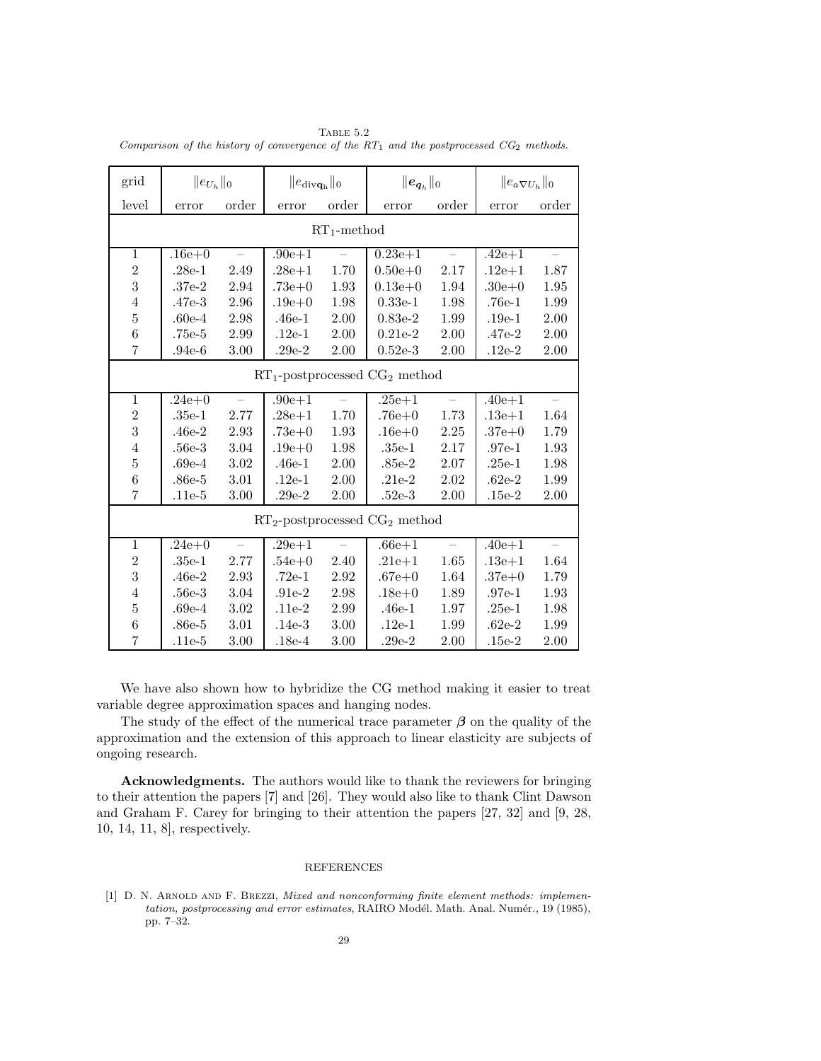TABLE  $5.2$ Comparison of the history of convergence of the  $RT_1$  and the postprocessed  $CG_2$  methods.

| grid             | $  e_{U_h}  _0$                     |                          | $\ e_{\text{div}\mathbf{q}_{h}}\ _{0}$ |          | $\ \bm{e}_{\bm{q}_h}\ _0$           |          | $\ e_a \nabla U_h\ _0$ |          |
|------------------|-------------------------------------|--------------------------|----------------------------------------|----------|-------------------------------------|----------|------------------------|----------|
| level            | error                               | order                    | error                                  | order    | error                               | order    | error                  | order    |
|                  |                                     |                          | $RT_1$ -method                         |          |                                     |          |                        |          |
| $\mathbf{1}$     | $.16e + 0$                          |                          | $.90e + 1$                             |          | $0.23e + 1$                         |          | $.42e + 1$             |          |
| $\sqrt{2}$       | $.28e-1$                            | 2.49                     | $.28e + 1$                             | 1.70     | $0.50e + 0$                         | 2.17     | $.12e + 1$             | 1.87     |
| 3                | $.37e-2$                            | 2.94                     | $.73e+0$                               | 1.93     | $0.13e + 0$                         | 1.94     | $.30e + 0$             | 1.95     |
| $\overline{4}$   | $.47e-3$                            | 2.96                     | $.19e+0$                               | 1.98     | $0.33e-1$                           | 1.98     | $.76e-1$               | 1.99     |
| $\overline{5}$   | $.60e-4$                            | 2.98                     | $.46e-1$                               | 2.00     | $0.83e-2$                           | 1.99     | $.19e-1$               | 2.00     |
| $\boldsymbol{6}$ | .75e-5                              | 2.99                     | $.12e-1$                               | 2.00     | $0.21e-2$                           | 2.00     | $.47e-2$               | 2.00     |
| $\overline{7}$   | $.94e-6$                            | 3.00                     | $.29e-2$                               | 2.00     | $0.52e-3$                           | $2.00\,$ | $.12e-2$               | $2.00\,$ |
|                  | $RT_1$ -postprocessed $CG_2$ method |                          |                                        |          |                                     |          |                        |          |
| $\mathbf{1}$     | $.24e+0$                            |                          | $.90e + 1$                             |          | $.25e + 1$                          |          | $.40e + 1$             |          |
| $\,2$            | $.35e-1$                            | 2.77                     | $.28e + 1$                             | 1.70     | $.76e + 0$                          | 1.73     | $.13e+1$               | 1.64     |
| 3                | $.46e-2$                            | 2.93                     | $.73e+0$                               | 1.93     | $.16e + 0$                          | 2.25     | $.37e+0$               | 1.79     |
| $\overline{4}$   | $.56e-3$                            | 3.04                     | $.19e+0$                               | 1.98     | $.35e-1$                            | 2.17     | $.97e-1$               | 1.93     |
| $\overline{5}$   | $.69e-4$                            | 3.02                     | $.46e-1$                               | 2.00     | $.85e-2$                            | 2.07     | $.25e-1$               | 1.98     |
| $\,$ 6 $\,$      | $.86e-5$                            | 3.01                     | $.12e-1$                               | 2.00     | $.21e-2$                            | $2.02\,$ | $.62e-2$               | 1.99     |
| $\overline{7}$   | $.11e-5$                            | 3.00                     | $.29e-2$                               | $2.00\,$ | $.52e-3$                            | 2.00     | $.15e-2$               | 2.00     |
|                  |                                     |                          |                                        |          | $RT_2$ -postprocessed $CG_2$ method |          |                        |          |
| $\mathbf{1}$     | $.24e+0$                            | $\overline{\phantom{0}}$ | $.29e + 1$                             |          | $.66e + 1$                          |          | $.40e + 1$             |          |
| $\overline{2}$   | $.35e-1$                            | 2.77                     | $.54e+0$                               | 2.40     | $.21e + 1$                          | 1.65     | $.13e+1$               | 1.64     |
| $\overline{3}$   | $.46e-2$                            | 2.93                     | $.72e-1$                               | 2.92     | $.67e+0$                            | 1.64     | $.37e+0$               | 1.79     |
| $\overline{4}$   | $.56e-3$                            | 3.04                     | $.91e-2$                               | 2.98     | $.18e + 0$                          | 1.89     | $.97e-1$               | 1.93     |
| $\overline{5}$   | $.69e-4$                            | 3.02                     | $.11e-2$                               | 2.99     | $.46e-1$                            | 1.97     | $.25e-1$               | 1.98     |
| $\boldsymbol{6}$ | $.86e-5$                            | $3.01\,$                 | $.14e-3$                               | 3.00     | $.12e-1$                            | 1.99     | $.62e-2$               | 1.99     |
| $\overline{7}$   | $.11e-5$                            | 3.00                     | $.18e-4$                               | 3.00     | $.29e-2$                            | 2.00     | $.15e-2$               | 2.00     |

We have also shown how to hybridize the CG method making it easier to treat variable degree approximation spaces and hanging nodes.

The study of the effect of the numerical trace parameter  $\beta$  on the quality of the approximation and the extension of this approach to linear elasticity are subjects of ongoing research.

Acknowledgments. The authors would like to thank the reviewers for bringing to their attention the papers [7] and [26]. They would also like to thank Clint Dawson and Graham F. Carey for bringing to their attention the papers [27, 32] and [9, 28, 10, 14, 11, 8], respectively.

# REFERENCES

<sup>[1]</sup> D. N. ARNOLD AND F. BREZZI, Mixed and nonconforming finite element methods: implementation, postprocessing and error estimates, RAIRO Modél. Math. Anal. Numér., 19 (1985), pp. 7–32.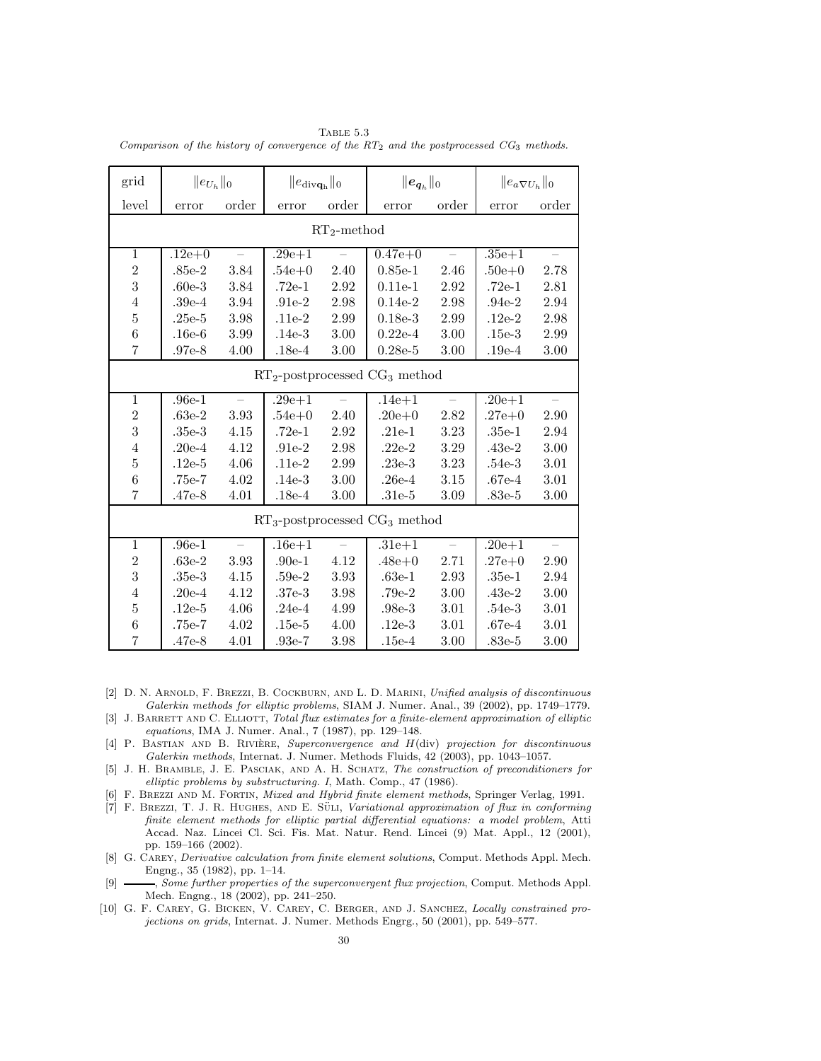TABLE  $5.3$ Comparison of the history of convergence of the  $RT_2$  and the postprocessed  $CG_3$  methods.

| grid                    | $  e_{U_h}  _0$ |          | $\ e_{\text{div}\mathbf{q}_{h}}\ _{0}$ |       | $\ \bm{e}_{\bm{q}_h}\ _0$           |          | $\ e_a \nabla U_h\ _0$ |          |
|-------------------------|-----------------|----------|----------------------------------------|-------|-------------------------------------|----------|------------------------|----------|
| level                   | error           | order    | error                                  | order | error                               | order    | error                  | order    |
| $RT_2$ -method          |                 |          |                                        |       |                                     |          |                        |          |
| $\mathbf{1}$            | $.12e + 0$      |          | $.29e + 1$                             |       | $0.47e + 0$                         |          | $.35e + 1$             |          |
| $\,2$                   | $.85e-2$        | 3.84     | $.54e+0$                               | 2.40  | $0.85e-1$                           | 2.46     | $.50e+0$               | 2.78     |
| $\overline{\mathbf{3}}$ | $.60e-3$        | 3.84     | $.72e-1$                               | 2.92  | $0.11e-1$                           | 2.92     | $.72e-1$               | 2.81     |
| $\overline{4}$          | $.39e-4$        | 3.94     | $.91e-2$                               | 2.98  | $0.14e-2$                           | 2.98     | $.94e-2$               | 2.94     |
| $\bf 5$                 | $.25e-5$        | 3.98     | $.11e-2$                               | 2.99  | $0.18e-3$                           | 2.99     | $.12e-2$               | 2.98     |
| $\,6$                   | $.16e-6$        | 3.99     | $.14e-3$                               | 3.00  | $0.22e-4$                           | 3.00     | $.15e-3$               | 2.99     |
| $\overline{7}$          | $.97e-8$        | 4.00     | $.18e-4$                               | 3.00  | $0.28e-5$                           | 3.00     | $.19e-4$               | 3.00     |
|                         |                 |          |                                        |       | $RT_2$ -postprocessed $CG_3$ method |          |                        |          |
| $\mathbf{1}$            | $.96e-1$        |          | $.29e + 1$                             |       | $.14e + 1$                          |          | $.20e + 1$             |          |
| $\overline{2}$          | $.63e-2$        | 3.93     | $.54e+0$                               | 2.40  | $.20e + 0$                          | 2.82     | $.27e+0$               | 2.90     |
| 3                       | $.35e-3$        | 4.15     | $.72e-1$                               | 2.92  | $.21e-1$                            | 3.23     | $.35e-1$               | 2.94     |
| $\overline{4}$          | $.20e-4$        | 4.12     | $.91e-2$                               | 2.98  | $.22e-2$                            | 3.29     | $.43e-2$               | 3.00     |
| $\bf 5$                 | $.12e-5$        | 4.06     | $.11e-2$                               | 2.99  | $.23e-3$                            | 3.23     | $.54e-3$               | $3.01\,$ |
| $\,$ 6 $\,$             | .75e-7          | 4.02     | $.14e-3$                               | 3.00  | $.26e-4$                            | 3.15     | $.67e-4$               | 3.01     |
| $\overline{7}$          | $.47e-8$        | 4.01     | $.18e-4$                               | 3.00  | $.31e-5$                            | 3.09     | $.83e-5$               | $3.00\,$ |
|                         |                 |          |                                        |       | $RT_3$ -postprocessed $CG_3$ method |          |                        |          |
| $\mathbf{1}$            | $.96e-1$        | $\equiv$ | $.16e + 1$                             |       | $.31e + 1$                          | $\equiv$ | $.20e + 1$             | $\equiv$ |
| $\sqrt{2}$              | $.63e-2$        | 3.93     | $.90e-1$                               | 4.12  | $.48e + 0$                          | 2.71     | $.27e + 0$             | 2.90     |
| 3                       | $.35e-3$        | 4.15     | $.59e-2$                               | 3.93  | $.63e-1$                            | 2.93     | $.35e-1$               | 2.94     |
| $\overline{4}$          | $.20e-4$        | 4.12     | $.37e-3$                               | 3.98  | $.79e-2$                            | $3.00\,$ | $.43e-2$               | 3.00     |
| $\overline{5}$          | $.12e-5$        | 4.06     | $.24e-4$                               | 4.99  | $.98e-3$                            | 3.01     | $.54e-3$               | 3.01     |
| $\,6$                   | .75e-7          | 4.02     | $.15e-5$                               | 4.00  | $.12e-3$                            | $3.01\,$ | $.67e-4$               | 3.01     |
| $\overline{7}$          | $.47e-8$        | 4.01     | $.93e-7$                               | 3.98  | $.15e-4$                            | 3.00     | $.83e-5$               | 3.00     |

- [2] D. N. ARNOLD, F. BREZZI, B. COCKBURN, AND L. D. MARINI, Unified analysis of discontinuous Galerkin methods for elliptic problems, SIAM J. Numer. Anal., 39 (2002), pp. 1749–1779.
- [3] J. BARRETT AND C. ELLIOTT, Total flux estimates for a finite-element approximation of elliptic equations, IMA J. Numer. Anal., 7 (1987), pp. 129–148.
- [4] P. BASTIAN AND B. RIVIÈRE, Superconvergence and H(div) projection for discontinuous Galerkin methods, Internat. J. Numer. Methods Fluids, 42 (2003), pp. 1043–1057.
- [5] J. H. Bramble, J. E. Pasciak, and A. H. Schatz, The construction of preconditioners for elliptic problems by substructuring. I, Math. Comp., 47 (1986).
- [6] F. BREZZI AND M. FORTIN, Mixed and Hybrid finite element methods, Springer Verlag, 1991.
- [7] F. BREZZI, T. J. R. HUGHES, AND E. SULI, Variational approximation of flux in conforming finite element methods for elliptic partial differential equations: a model problem, Atti Accad. Naz. Lincei Cl. Sci. Fis. Mat. Natur. Rend. Lincei (9) Mat. Appl., 12 (2001), pp. 159–166 (2002).
- [8] G. Carey, Derivative calculation from finite element solutions, Comput. Methods Appl. Mech. Engng., 35 (1982), pp. 1–14.
- [9]  $\_\_\_\_\$  Some further properties of the superconvergent flux projection, Comput. Methods Appl. Mech. Engng., 18 (2002), pp. 241–250.
- [10] G. F. Carey, G. Bicken, V. Carey, C. Berger, and J. Sanchez, Locally constrained projections on grids, Internat. J. Numer. Methods Engrg., 50 (2001), pp. 549–577.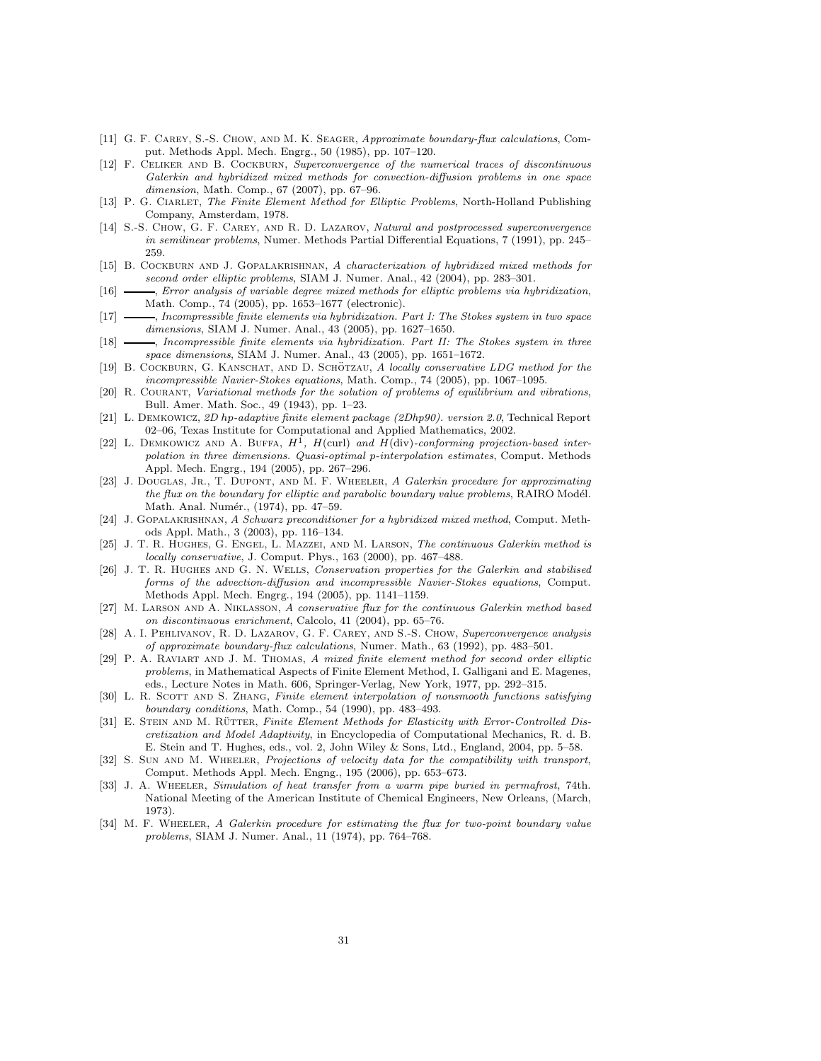- [11] G. F. CAREY, S.-S. CHOW, AND M. K. SEAGER, Approximate boundary-flux calculations, Comput. Methods Appl. Mech. Engrg., 50 (1985), pp. 107–120.
- [12] F. Celiker and B. Cockburn, Superconvergence of the numerical traces of discontinuous Galerkin and hybridized mixed methods for convection-diffusion problems in one space dimension, Math. Comp., 67 (2007), pp. 67–96.
- [13] P. G. CIARLET, The Finite Element Method for Elliptic Problems, North-Holland Publishing Company, Amsterdam, 1978.
- [14] S.-S. Chow, G. F. Carey, and R. D. Lazarov, Natural and postprocessed superconvergence in semilinear problems, Numer. Methods Partial Differential Equations, 7 (1991), pp. 245– 259.
- [15] B. COCKBURN AND J. GOPALAKRISHNAN, A characterization of hybridized mixed methods for second order elliptic problems, SIAM J. Numer. Anal., 42 (2004), pp. 283–301.
- [16]  $\longrightarrow$ , Error analysis of variable degree mixed methods for elliptic problems via hybridization, Math. Comp., 74 (2005), pp. 1653–1677 (electronic).
- [17]  $\longrightarrow$ , Incompressible finite elements via hybridization. Part I: The Stokes system in two space dimensions, SIAM J. Numer. Anal., 43 (2005), pp. 1627–1650.
- [18]  $\longrightarrow$ , Incompressible finite elements via hybridization. Part II: The Stokes system in three space dimensions, SIAM J. Numer. Anal., 43 (2005), pp. 1651–1672.
- [19] B. COCKBURN, G. KANSCHAT, AND D. SCHÖTZAU, A locally conservative LDG method for the incompressible Navier-Stokes equations, Math. Comp., 74 (2005), pp. 1067–1095.
- [20] R. Courant, Variational methods for the solution of problems of equilibrium and vibrations, Bull. Amer. Math. Soc., 49 (1943), pp. 1–23.
- [21] L. Demkowicz, 2D hp-adaptive finite element package (2Dhp90). version 2.0, Technical Report 02–06, Texas Institute for Computational and Applied Mathematics, 2002.
- [22] L. DEMKOWICZ AND A. BUFFA,  $H^1$ ,  $H$ (curl) and  $H$ (div)-conforming projection-based interpolation in three dimensions. Quasi-optimal p-interpolation estimates, Comput. Methods Appl. Mech. Engrg., 194 (2005), pp. 267–296.
- [23] J. DOUGLAS, JR., T. DUPONT, AND M. F. WHEELER, A Galerkin procedure for approximating the flux on the boundary for elliptic and parabolic boundary value problems, RAIRO Modél. Math. Anal. Numér., (1974), pp. 47-59.
- [24] J. Gopalakrishnan, A Schwarz preconditioner for a hybridized mixed method, Comput. Methods Appl. Math., 3 (2003), pp. 116–134.
- [25] J. T. R. Hughes, G. Engel, L. Mazzei, and M. Larson, The continuous Galerkin method is locally conservative, J. Comput. Phys., 163 (2000), pp. 467–488.
- [26] J. T. R. Hughes and G. N. Wells, Conservation properties for the Galerkin and stabilised forms of the advection-diffusion and incompressible Navier-Stokes equations, Comput. Methods Appl. Mech. Engrg., 194 (2005), pp. 1141–1159.
- [27] M. Larson and A. Niklasson, A conservative flux for the continuous Galerkin method based on discontinuous enrichment, Calcolo, 41 (2004), pp. 65–76.
- [28] A. I. Pehlivanov, R. D. Lazarov, G. F. Carey, and S.-S. Chow, Superconvergence analysis of approximate boundary-flux calculations, Numer. Math., 63 (1992), pp. 483–501.
- [29] P. A. Raviart and J. M. Thomas, A mixed finite element method for second order elliptic problems, in Mathematical Aspects of Finite Element Method, I. Galligani and E. Magenes, eds., Lecture Notes in Math. 606, Springer-Verlag, New York, 1977, pp. 292–315.
- [30] L. R. SCOTT AND S. ZHANG, Finite element interpolation of nonsmooth functions satisfying boundary conditions, Math. Comp., 54 (1990), pp. 483–493.
- [31] E. STEIN AND M. RÜTTER, Finite Element Methods for Elasticity with Error-Controlled Discretization and Model Adaptivity, in Encyclopedia of Computational Mechanics, R. d. B. E. Stein and T. Hughes, eds., vol. 2, John Wiley & Sons, Ltd., England, 2004, pp. 5–58.
- [32] S. SUN AND M. WHEELER, Projections of velocity data for the compatibility with transport, Comput. Methods Appl. Mech. Engng., 195 (2006), pp. 653–673.
- [33] J. A. WHEELER, Simulation of heat transfer from a warm pipe buried in permafrost, 74th. National Meeting of the American Institute of Chemical Engineers, New Orleans, (March, 1973).
- [34] M. F. WHEELER, A Galerkin procedure for estimating the flux for two-point boundary value problems, SIAM J. Numer. Anal., 11 (1974), pp. 764–768.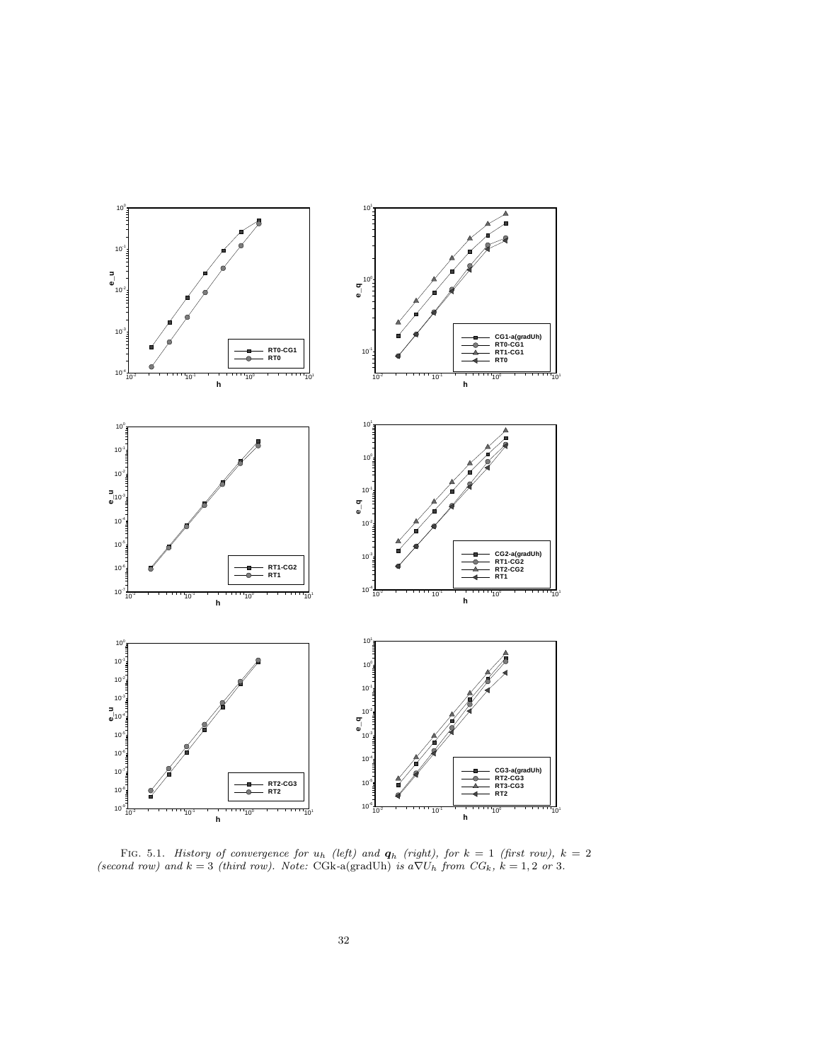

FIG. 5.1. History of convergence for  $u_h$  (left) and  $q_h$  (right), for  $k = 1$  (first row),  $k = 2$ (second row) and  $k = 3$  (third row). Note: CGk-a(gradUh) is  $a\nabla U_h$  from  $CG_k$ ,  $k = 1, 2$  or 3.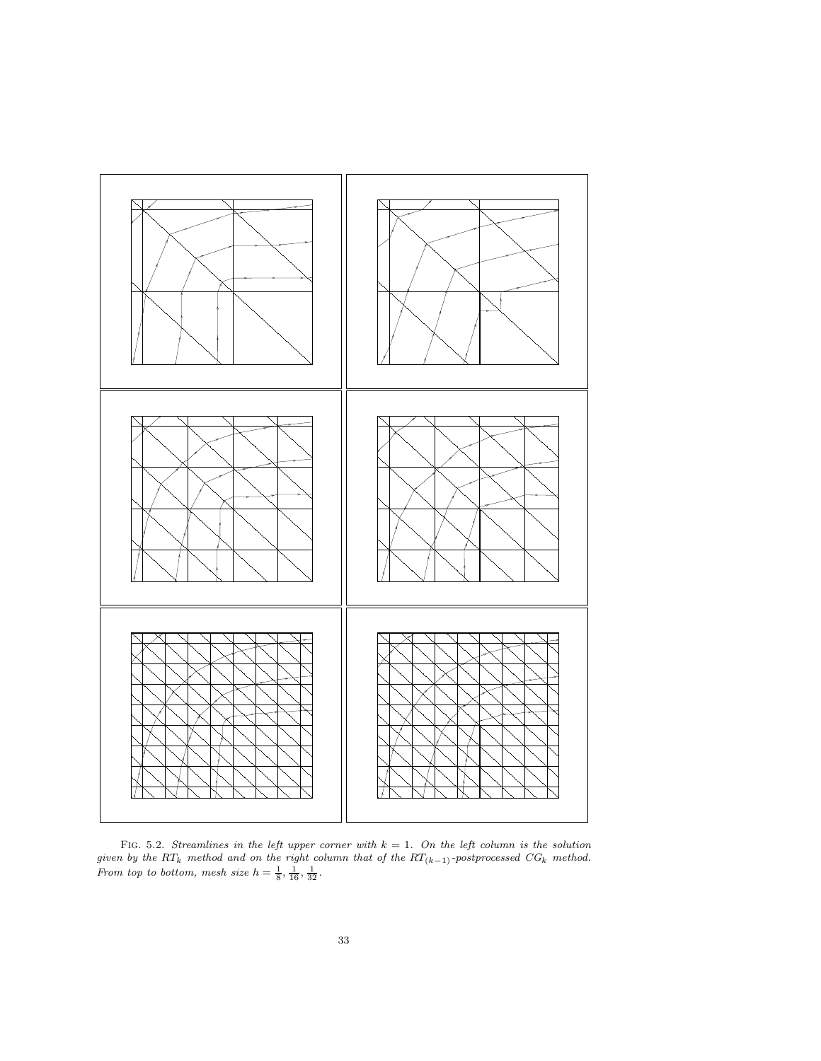

FIG. 5.2. Streamlines in the left upper corner with  $k = 1$ . On the left column is the solution given by the  $RT_k$  method and on the right column that of the  $RT_{(k-1)}$ -postprocessed  $CG_k$  method. From top to bottom, mesh size  $h = \frac{1}{8}, \frac{1}{16}, \frac{1}{32}$ .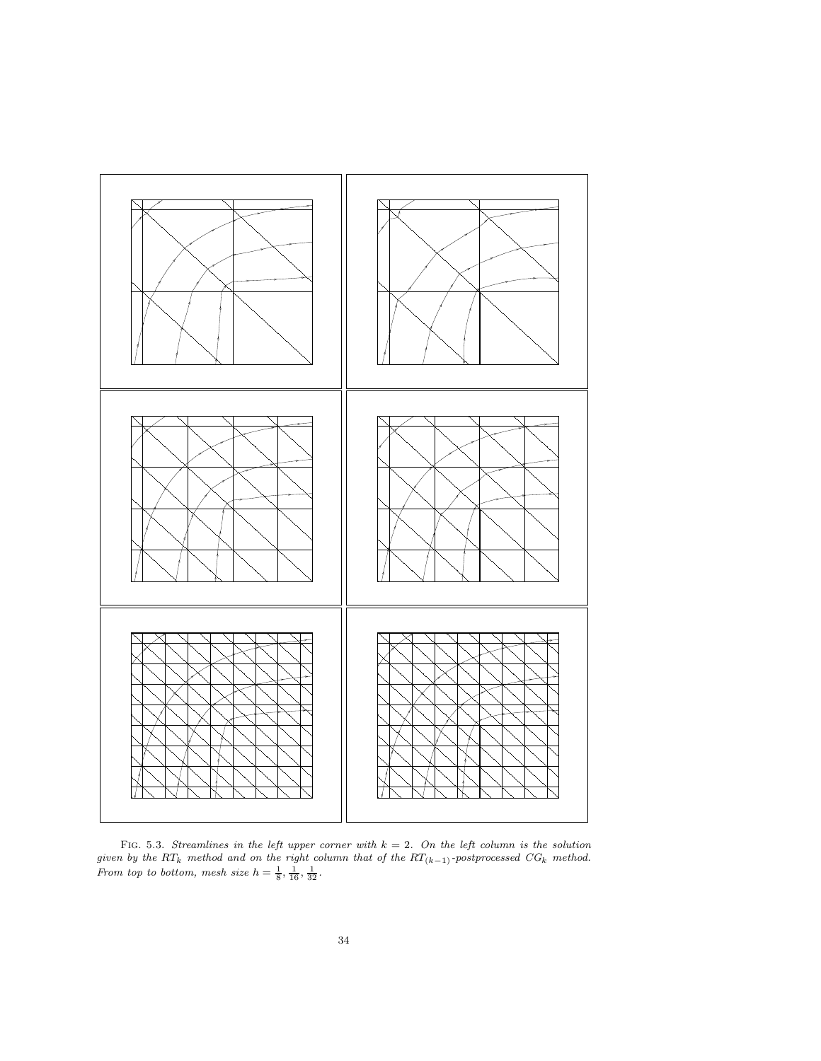

FIG. 5.3. Streamlines in the left upper corner with  $k = 2$ . On the left column is the solution given by the  $RT_k$  method and on the right column that of the  $RT_{(k-1)}$ -postprocessed  $CG_k$  method. From top to bottom, mesh size  $h = \frac{1}{8}, \frac{1}{16}, \frac{1}{32}$ .